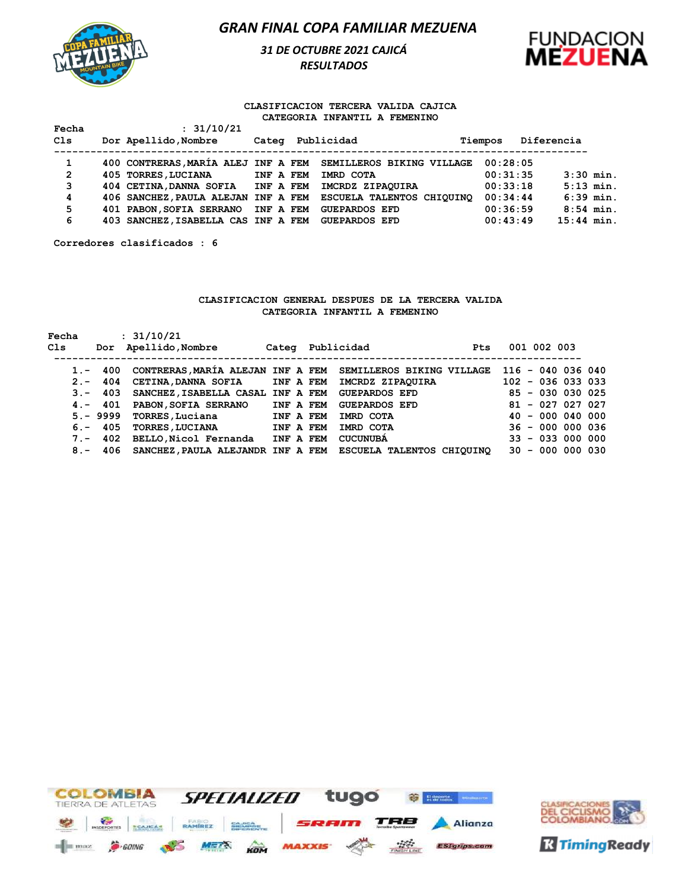

*31 DE OCTUBRE 2021 CAJICÁ RESULTADOS* 



#### **CLASIFICACION TERCERA VALIDA CAJICA CATEGORIA INFANTIL A FEMENINO**

| Fecha          | : 31/10/21                          |           |                                                               |          |              |
|----------------|-------------------------------------|-----------|---------------------------------------------------------------|----------|--------------|
| Cls            | Dor Apellido, Nombre                |           | Categ Publicidad                                              | Tiempos  | Diferencia   |
| 1              |                                     |           | 400 CONTRERAS, MARÍA ALEJ INF A FEM SEMILLEROS BIKING VILLAGE | 00:28:05 |              |
| $\overline{2}$ | 405 TORRES, LUCIANA                 | INF A FEM | IMRD COTA                                                     | 00:31:35 | $3:30$ min.  |
| 3              | 404 CETINA, DANNA SOFIA INF A FEM   |           | IMCRDZ ZIPAOUIRA                                              | 00:33:18 | $5:13$ min.  |
| 4              |                                     |           | 406 SANCHEZ, PAULA ALEJAN INF A FEM ESCUELA TALENTOS CHIQUINO | 00:34:44 | $6:39$ min.  |
| 5              | 401 PABON, SOFIA SERRANO INF A FEM  |           | <b>GUEPARDOS EFD</b>                                          | 00:36:59 | $8:54$ min.  |
| 6              | 403 SANCHEZ, ISABELLA CAS INF A FEM |           | <b>GUEPARDOS EFD</b>                                          | 00:43:49 | $15:44$ min. |

**Corredores clasificados : 6**

#### **CLASIFICACION GENERAL DESPUES DE LA TERCERA VALIDA CATEGORIA INFANTIL A FEMENINO**

| Fecha  |            | : 31/10/21                        |           |                                                                     |                     |
|--------|------------|-----------------------------------|-----------|---------------------------------------------------------------------|---------------------|
| Cls    |            | Dor Apellido, Nombre              |           | Categ Publicidad<br><b>Pts</b>                                      | 001 002 003         |
|        |            |                                   |           |                                                                     |                     |
|        |            |                                   |           | 1.- 400 CONTRERAS, MARÍA ALEJAN INF A FEM SEMILLEROS BIKING VILLAGE | $116 - 040 036 040$ |
| $2 -$  | 404        | <b>CETINA, DANNA SOFIA</b>        | INF A FEM | IMCRDZ ZIPAOUIRA                                                    | $102 - 036 033 033$ |
|        | $3 - 403$  | SANCHEZ, ISABELLA CASAL INF A FEM |           | <b>GUEPARDOS EFD</b>                                                | $85 - 030 030 025$  |
|        | $4. - 401$ | PABON, SOFIA SERRANO              | INF A FEM | <b>GUEPARDOS EFD</b>                                                | $81 - 027 027 027$  |
|        |            | 5.- 9999 TORRES, Luciana          | INF A FEM | IMRD COTA                                                           | $40 - 00004000$     |
| $6. -$ | 405        | <b>TORRES, LUCIANA</b>            | INF A FEM | IMRD COTA                                                           | $36 - 000 000 036$  |
|        | 7. – 402   | BELLO, Nicol Fernanda             | INF A FEM | <b>CUCUNUBA</b>                                                     | $33 - 033000000$    |
| $8 -$  |            |                                   |           | 406 SANCHEZ, PAULA ALEJANDR INF A FEM ESCUELA TALENTOS CHIQUINQ     | $30 - 000 000 030$  |



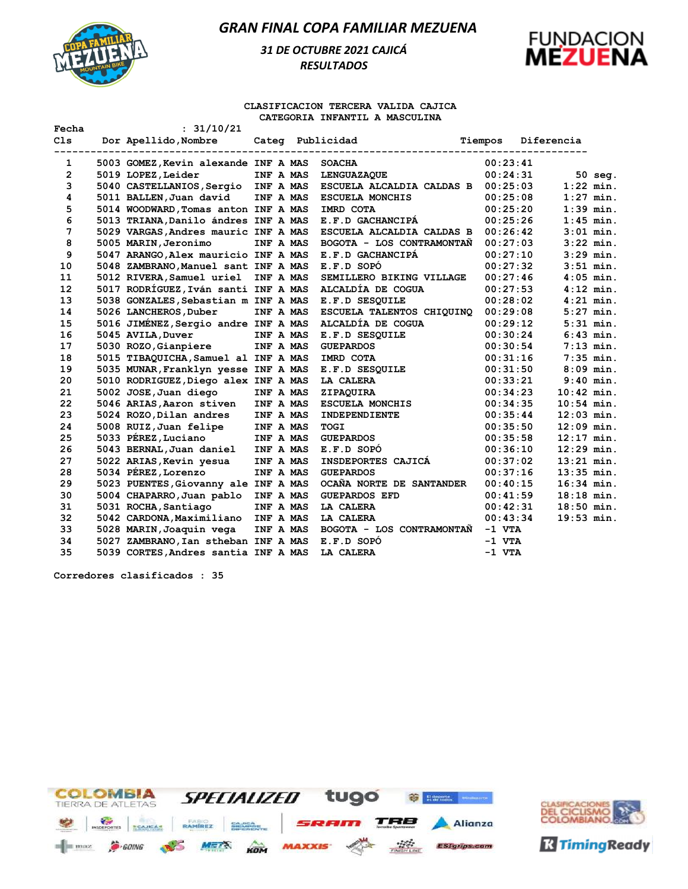

# *31 DE OCTUBRE 2021 CAJICÁ RESULTADOS*



#### **CLASIFICACION TERCERA VALIDA CAJICA CATEGORIA INFANTIL A MASCULINA**

| Fecha        | : 31/10/21                           |           |                           |         |          |              |             |
|--------------|--------------------------------------|-----------|---------------------------|---------|----------|--------------|-------------|
| C1s          | Dor Apellido, Nombre                 |           | Categ Publicidad          | Tiempos |          | Diferencia   |             |
|              |                                      |           |                           |         |          |              |             |
| $\mathbf{1}$ | 5003 GOMEZ, Kevin alexande INF A MAS |           | <b>SOACHA</b>             |         | 00:23:41 |              |             |
| 2            | 5019 LOPEZ, Leider                   | INF A MAS | <b>LENGUAZAQUE</b>        |         | 00:24:31 |              | $50$ seq.   |
| 3            | 5040 CASTELLANIOS, Sergio INF A MAS  |           | ESCUELA ALCALDIA CALDAS B |         | 00:25:03 |              | $1:22$ min. |
| 4            | 5011 BALLEN, Juan david              | INF A MAS | <b>ESCUELA MONCHIS</b>    |         | 00:25:08 |              | $1:27$ min. |
| 5            | 5014 WOODWARD, Tomas anton INF A MAS |           | IMRD COTA                 |         | 00:25:20 |              | $1:39$ min. |
| 6            | 5013 TRIANA, Danilo ándres INF A MAS |           | E.F.D GACHANCIPA          |         | 00:25:26 |              | $1:45$ min. |
| 7            | 5029 VARGAS, Andres mauric INF A MAS |           | ESCUELA ALCALDIA CALDAS B |         | 00:26:42 |              | $3:01$ min. |
| 8            | 5005 MARIN, Jeronimo                 | INF A MAS | BOGOTA - LOS CONTRAMONTAÑ |         | 00:27:03 |              | $3:22$ min. |
| 9            | 5047 ARANGO, Alex mauricio INF A MAS |           | E.F.D GACHANCIPA          |         | 00:27:10 |              | $3:29$ min. |
| 10           | 5048 ZAMBRANO, Manuel sant INF A MAS |           | E.F.D SOPÓ                |         | 00:27:32 |              | $3:51$ min. |
| 11           | 5012 RIVERA, Samuel uriel            | INF A MAS | SEMILLERO BIKING VILLAGE  |         | 00:27:46 |              | $4:05$ min. |
| 12           | 5017 RODRÍGUEZ, Iván santi INF A MAS |           | ALCALDÍA DE COGUA         |         | 00:27:53 |              | $4:12$ min. |
| 13           | 5038 GONZALES, Sebastian m INF A MAS |           | E.F.D SESQUILE            |         | 00:28:02 |              | $4:21$ min. |
| 14           | 5026 LANCHEROS, Duber                | INF A MAS | ESCUELA TALENTOS CHIQUINO |         | 00:29:08 |              | $5:27$ min. |
| 15           | 5016 JIMÉNEZ, Sergio andre INF A MAS |           | ALCALDÍA DE COGUA         |         | 00:29:12 |              | $5:31$ min. |
| 16           | 5045 AVILA, Duver                    | INF A MAS | E.F.D SESQUILE            |         | 00:30:24 |              | $6:43$ min. |
| 17           | 5030 ROZO, Gianpiere                 | INF A MAS | <b>GUEPARDOS</b>          |         | 00:30:54 |              | $7:13$ min. |
| 18           | 5015 TIBAQUICHA, Samuel al INF A MAS |           | IMRD COTA                 |         | 00:31:16 |              | $7:35$ min. |
| 19           | 5035 MUNAR, Franklyn yesse INF A MAS |           | E.F.D SESQUILE            |         | 00:31:50 |              | $8:09$ min. |
| 20           | 5010 RODRIGUEZ, Diego alex INF A MAS |           | LA CALERA                 |         | 00:33:21 |              | $9:40$ min. |
| 21           | 5002 JOSE, Juan diego                | INF A MAS | ZIPAQUIRA                 |         | 00:34:23 | $10:42$ min. |             |
| 22           | 5046 ARIAS, Aaron stiven             | INF A MAS | <b>ESCUELA MONCHIS</b>    |         | 00:34:35 | $10:54$ min. |             |
| 23           | 5024 ROZO, Dilan andres              | INF A MAS | <b>INDEPENDIENTE</b>      |         | 00:35:44 | $12:03$ min. |             |
| 24           | 5008 RUIZ, Juan felipe               | INF A MAS | TOGI                      |         | 00:35:50 | $12:09$ min. |             |
| 25           | 5033 PEREZ, Luciano                  | INF A MAS | <b>GUEPARDOS</b>          |         | 00:35:58 | $12:17$ min. |             |
| 26           | 5043 BERNAL, Juan daniel             | INF A MAS | E.F.D SOPÓ                |         | 00:36:10 | $12:29$ min. |             |
| 27           | 5022 ARIAS, Kevin yesua              | INF A MAS | INSDEPORTES CAJICA        |         | 00:37:02 | $13:21$ min. |             |
| 28           | 5034 PEREZ, Lorenzo                  | INF A MAS | <b>GUEPARDOS</b>          |         | 00:37:16 | $13:35$ min. |             |
| 29           | 5023 PUENTES, Giovanny ale INF A MAS |           | OCAÑA NORTE DE SANTANDER  |         | 00:40:15 | $16:34$ min. |             |
| 30           | 5004 CHAPARRO, Juan pablo            | INF A MAS | <b>GUEPARDOS EFD</b>      |         | 00:41:59 | $18:18$ min. |             |
| 31           | 5031 ROCHA, Santiago                 | INF A MAS | LA CALERA                 |         | 00:42:31 | $18:50$ min. |             |
| 32           | 5042 CARDONA, Maximiliano INF A MAS  |           | LA CALERA                 |         | 00:43:34 | $19:53$ min. |             |
| 33           | 5028 MARIN, Joaquin vega             | INF A MAS | BOGOTA - LOS CONTRAMONTAN |         | $-1$ VTA |              |             |
| 34           | 5027 ZAMBRANO, Ian stheban INF A MAS |           | E.F.D SOPÓ                |         | $-1$ VTA |              |             |
| 35           | 5039 CORTES, Andres santia INF A MAS |           | <b>LA CALERA</b>          |         | $-1$ VTA |              |             |

**Corredores clasificados : 35**



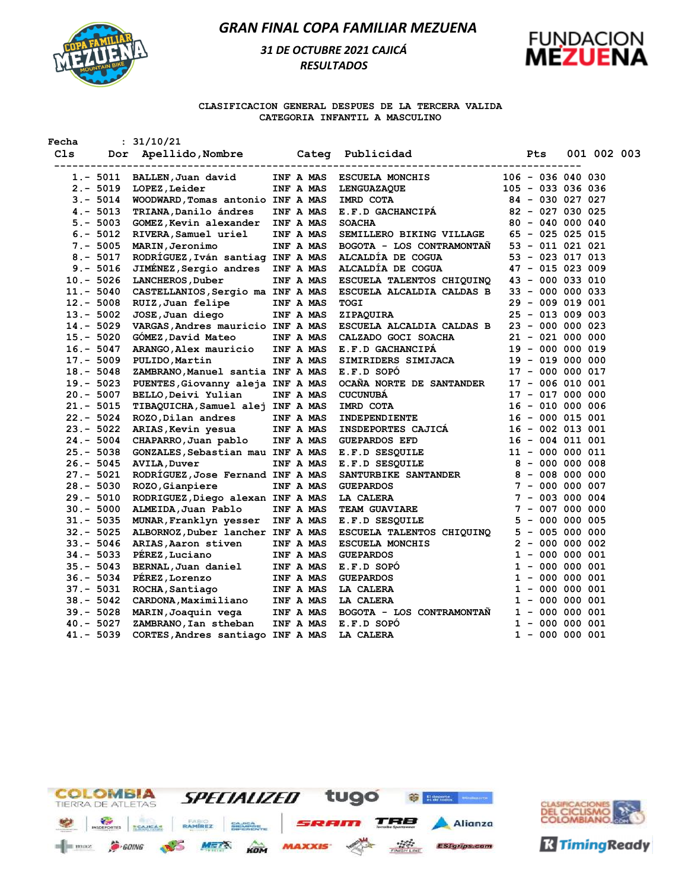

# *31 DE OCTUBRE 2021 CAJICÁ RESULTADOS*



#### **CLASIFICACION GENERAL DESPUES DE LA TERCERA VALIDA CATEGORIA INFANTIL A MASCULINO**

| Fecha |                | : 31/10/21                        |           |           |                                                             |            |                     |             |  |
|-------|----------------|-----------------------------------|-----------|-----------|-------------------------------------------------------------|------------|---------------------|-------------|--|
| Cls   | -------------- | ----------------------            |           |           | Dor Apellido, Nombre Categ Publicidad<br>------------------ | <b>Pts</b> |                     | 001 002 003 |  |
|       | $1.-5011$      | BALLEN, Juan david                |           | INF A MAS | <b>ESCUELA MONCHIS</b>                                      |            | $106 - 036 040 030$ |             |  |
|       | $2. - 5019$    | LOPEZ, Leider                     |           | INF A MAS | LENGUAZAQUE                                                 |            | $105 - 033036036$   |             |  |
|       | $3. - 5014$    | WOODWARD, Tomas antonio INF A MAS |           |           | IMRD COTA                                                   |            | 84 - 030 027 027    |             |  |
|       | $4. - 5013$    | TRIANA, Danilo ándres             |           | INF A MAS | E.F.D GACHANCIPÁ                                            |            | $82 - 027 030 025$  |             |  |
|       | $5. - 5003$    | GOMEZ, Kevin alexander            | INF A MAS |           | <b>SOACHA</b>                                               |            | $80 - 040 000 040$  |             |  |
|       | $6. - 5012$    | RIVERA, Samuel uriel              |           | INF A MAS | SEMILLERO BIKING VILLAGE                                    |            | 65 - 025 025 015    |             |  |
|       | $7. - 5005$    | MARIN, Jeronimo                   |           | INF A MAS | BOGOTA - LOS CONTRAMONTAN                                   |            | $53 - 011 021 021$  |             |  |
|       | $8. - 5017$    | RODRÍGUEZ, Iván santiag INF A MAS |           |           | ALCALDÍA DE COGUA                                           |            | $53 - 023 017 013$  |             |  |
|       | $9. - 5016$    | JIMENEZ, Sergio andres INF A MAS  |           |           | ALCALDIA DE COGUA                                           |            | $47 - 015 023 009$  |             |  |
|       | $10.-5026$     | LANCHEROS, Duber                  |           | INF A MAS | ESCUELA TALENTOS CHIQUINQ                                   |            | $43 - 000 033 010$  |             |  |
|       | $11. - 5040$   | CASTELLANIOS, Sergio ma INF A MAS |           |           | ESCUELA ALCALDIA CALDAS B                                   |            | $33 - 000 000 033$  |             |  |
|       | $12 - 5008$    | RUIZ, Juan felipe                 | INF A MAS |           | TOGI                                                        |            | 29 - 009 019 001    |             |  |
|       | $13.-5002$     | JOSE, Juan diego                  | INF A MAS |           | ZIPAQUIRA                                                   |            | $25 - 013009003$    |             |  |
|       | $14. - 5029$   | VARGAS, Andres mauricio INF A MAS |           |           | ESCUELA ALCALDIA CALDAS B                                   |            | $23 - 000 000 023$  |             |  |
|       | $15. - 5020$   | GOMEZ, David Mateo                |           | INF A MAS | CALZADO GOCI SOACHA                                         |            | $21 - 021 000 000$  |             |  |
|       | $16. - 5047$   | ARANGO, Alex mauricio             | INF A MAS |           | E.F.D GACHANCIPA                                            |            | 19 - 000 000 019    |             |  |
|       | $17. - 5009$   | PULIDO, Martin                    |           | INF A MAS | SIMIRIDERS SIMIJACA                                         |            | $19 - 019 000 000$  |             |  |
|       | $18 - 5048$    | ZAMBRANO, Manuel santia INF A MAS |           |           | E.F.D SOPO                                                  |            | $17 - 000 000 017$  |             |  |
|       | $19. - 5023$   | PUENTES, Giovanny aleja INF A MAS |           |           | OCAÑA NORTE DE SANTANDER                                    |            | $17 - 006 010 001$  |             |  |
|       | $20.-5007$     | BELLO, Deivi Yulian               |           | INF A MAS | <b>CUCUNUBA</b>                                             |            | $17 - 017 000 000$  |             |  |
|       | $21 - 5015$    | TIBAQUICHA, Samuel alej INF A MAS |           |           | IMRD COTA                                                   |            | $16 - 010 000 006$  |             |  |
|       | $22 - 5024$    | ROZO, Dilan andres                | INF A MAS |           | <b>INDEPENDIENTE</b>                                        |            | $16 - 000 015 001$  |             |  |
|       | $23 - 5022$    | ARIAS, Kevin yesua                |           | INF A MAS | <b>INSDEPORTES CAJICA</b>                                   |            | $16 - 002 013 001$  |             |  |
|       | $24. - 5004$   | CHAPARRO, Juan pablo              |           | INF A MAS | <b>GUEPARDOS EFD</b>                                        |            | $16 - 004$ 011 001  |             |  |
|       | $25. - 5038$   | GONZALES, Sebastian mau INF A MAS |           |           | E.F.D SESQUILE                                              |            | $11 - 000 000 011$  |             |  |
|       | $26. - 5045$   | <b>AVILA, Duver</b>               |           | INF A MAS | E.F.D SESQUILE                                              |            | 8 - 000 000 008     |             |  |
|       | $27. - 5021$   | RODRÍGUEZ, Jose Fernand INF A MAS |           |           | SANTURBIKE SANTANDER                                        |            | 8 - 008 000 000     |             |  |
|       | $28 - 5030$    | ROZO, Gianpiere                   |           | INF A MAS | <b>GUEPARDOS</b>                                            |            | $7 - 000 000 007$   |             |  |
|       | $29. - 5010$   | RODRIGUEZ, Diego alexan INF A MAS |           |           | LA CALERA                                                   |            | $7 - 003000004$     |             |  |
|       | $30. - 5000$   | ALMEIDA, Juan Pablo               |           | INF A MAS | <b>TEAM GUAVIARE</b>                                        |            | $7 - 007 000 000$   |             |  |
|       | $31 - 5035$    | MUNAR, Franklyn yesser            |           | INF A MAS | E.F.D SESQUILE                                              |            | $5 - 000 000 005$   |             |  |
|       | $32 - 5025$    | ALBORNOZ, Duber lancher INF A MAS |           |           | ESCUELA TALENTOS CHIQUINQ                                   |            | $5 - 005 000 000$   |             |  |
|       | $33 - 5046$    | ARIAS, Aaron stiven               |           | INF A MAS | <b>ESCUELA MONCHIS</b>                                      |            | $2 - 000000002$     |             |  |
|       | $34 - 5033$    | PÉREZ, Luciano                    |           | INF A MAS | <b>GUEPARDOS</b>                                            |            | $1 - 000 000 001$   |             |  |
|       | $35 - 5043$    | BERNAL, Juan daniel               |           | INF A MAS | E.F.D SOPO                                                  |            | $1 - 000 000 001$   |             |  |
|       | $36. - 5034$   | PÉREZ, Lorenzo                    |           | INF A MAS | <b>GUEPARDOS</b>                                            |            | $1 - 000 000 001$   |             |  |
|       | $37. - 5031$   | ROCHA, Santiago                   |           | INF A MAS | LA CALERA                                                   |            | $1 - 000 000 001$   |             |  |
|       | $38 - 5042$    | CARDONA, Maximiliano              | INF A MAS |           | LA CALERA                                                   |            | $1 - 000 000 001$   |             |  |
|       | $39 - 5028$    | MARIN, Joaquin vega               |           | INF A MAS | BOGOTA - LOS CONTRAMONTAN                                   |            | $1 - 000 000 001$   |             |  |
|       | $40 - 5027$    | ZAMBRANO, Ian stheban             |           | INF A MAS | E.F.D SOPO                                                  |            | $1 - 000 000 001$   |             |  |
|       | $41. - 5039$   | CORTES, Andres santiago INF A MAS |           |           | LA CALERA                                                   |            | $1 - 000 000 001$   |             |  |
|       |                |                                   |           |           |                                                             |            |                     |             |  |



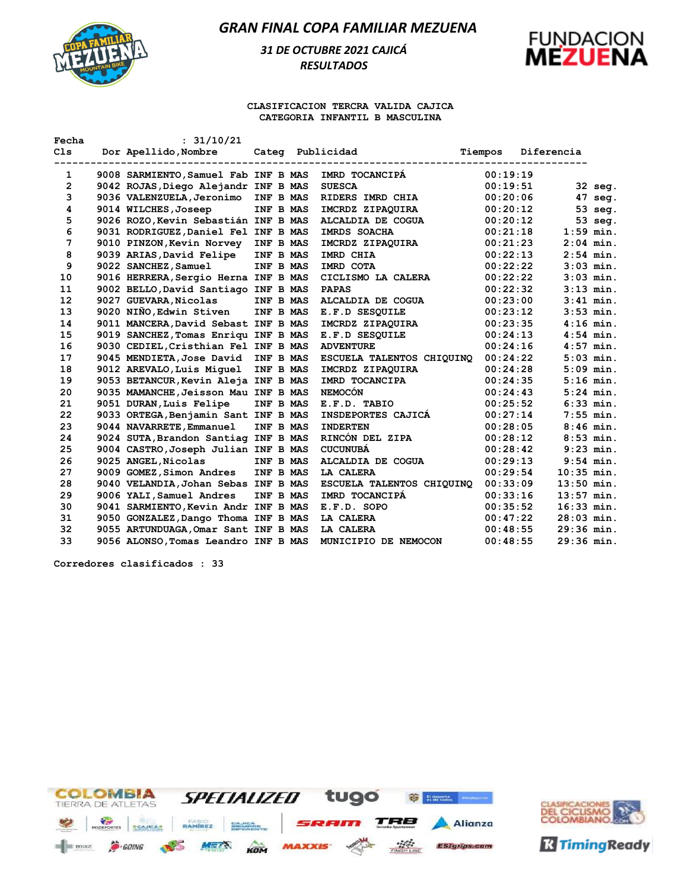

# *31 DE OCTUBRE 2021 CAJICÁ RESULTADOS*



#### **CLASIFICACION TERCRA VALIDA CAJICA CATEGORIA INFANTIL B MASCULINA**

| Fecha        | : 31/10/21                           |           |                           |          |              |             |
|--------------|--------------------------------------|-----------|---------------------------|----------|--------------|-------------|
| C1s          | Dor Apellido, Nombre                 |           | Categ Publicidad          | Tiempos  | Diferencia   |             |
| 1            | 9008 SARMIENTO, Samuel Fab INF B MAS |           | IMRD TOCANCIPA            | 00:19:19 |              |             |
| $\mathbf{2}$ | 9042 ROJAS, Diego Alejandr INF B MAS |           | <b>SUESCA</b>             | 00:19:51 |              | 32 seg.     |
| 3            | 9036 VALENZUELA, Jeronimo            | INF B MAS | RIDERS IMRD CHIA          | 00:20:06 |              | 47 seg.     |
| 4            | 9014 WILCHES, Joseep                 | INF B MAS | IMCRDZ ZIPAQUIRA          | 00:20:12 |              | 53 seg.     |
| 5            | 9026 ROZO, Kevin Sebastián INF B MAS |           | ALCALDIA DE COGUA         | 00:20:12 |              | 53 seg.     |
| 6            | 9031 RODRIGUEZ, Daniel Fel INF B MAS |           | IMRDS SOACHA              | 00:21:18 |              | $1:59$ min. |
| 7            | 9010 PINZON, Kevin Norvey            | INF B MAS | IMCRDZ ZIPAQUIRA          | 00:21:23 |              | $2:04$ min. |
| 8            | 9039 ARIAS, David Felipe             | INF B MAS | IMRD CHIA                 | 00:22:13 |              | $2:54$ min. |
| 9            | 9022 SANCHEZ, Samuel                 | INF B MAS | IMRD COTA                 | 00:22:22 |              | $3:03$ min. |
| 10           | 9016 HERRERA, Sergio Herna INF B MAS |           | CICLISMO LA CALERA        | 00:22:22 |              | $3:03$ min. |
| 11           | 9002 BELLO, David Santiago INF B MAS |           | <b>PAPAS</b>              | 00:22:32 |              | $3:13$ min. |
| 12           | 9027 GUEVARA, Nicolas                | INF B MAS | ALCALDIA DE COGUA         | 00:23:00 |              | $3:41$ min. |
| 13           | 9020 NIÑO, Edwin Stiven              | INF B MAS | E.F.D SESQUILE            | 00:23:12 |              | $3:53$ min. |
| 14           | 9011 MANCERA, David Sebast INF B MAS |           | IMCRDZ ZIPAQUIRA          | 00:23:35 |              | $4:16$ min. |
| 15           | 9019 SANCHEZ, Tomas Enriqu INF B MAS |           | E.F.D SESOUILE            | 00:24:13 |              | $4:54$ min. |
| 16           | 9030 CEDIEL, Cristhian Fel INF B MAS |           | <b>ADVENTURE</b>          | 00:24:16 |              | $4:57$ min. |
| 17           | 9045 MENDIETA, Jose David            | INF B MAS | ESCUELA TALENTOS CHIQUINO | 00:24:22 |              | $5:03$ min. |
| 18           | 9012 AREVALO, Luis Miquel            | INF B MAS | IMCRDZ ZIPAQUIRA          | 00:24:28 |              | $5:09$ min. |
| 19           | 9053 BETANCUR, Kevin Aleja INF B MAS |           | IMRD TOCANCIPA            | 00:24:35 |              | $5:16$ min. |
| 20           | 9035 MAMANCHE, Jeisson Mau INF B MAS |           | <b>NEMOCÓN</b>            | 00:24:43 |              | $5:24$ min. |
| 21           | 9051 DURAN, Luis Felipe              | INF B MAS | E.F.D. TABIO              | 00:25:52 |              | $6:33$ min. |
| 22           | 9033 ORTEGA, Benjamin Sant INF B MAS |           | INSDEPORTES CAJICA        | 00:27:14 |              | $7:55$ min. |
| 23           | 9044 NAVARRETE, Emmanuel             | INF B MAS | <b>INDERTEN</b>           | 00:28:05 |              | $8:46$ min. |
| 24           | 9024 SUTA, Brandon Santiag INF B MAS |           | RINCÓN DEL ZIPA           | 00:28:12 |              | $8:53$ min. |
| 25           | 9004 CASTRO, Joseph Julian INF B MAS |           | <b>CUCUNUBA</b>           | 00:28:42 |              | $9:23$ min. |
| 26           | 9025 ANGEL, Nicolas                  | INF B MAS | ALCALDIA DE COGUA         | 00:29:13 |              | $9:54$ min. |
| 27           | 9009 GOMEZ, Simon Andres             | INF B MAS | <b>LA CALERA</b>          | 00:29:54 | $10:35$ min. |             |
| 28           | 9040 VELANDIA, Johan Sebas INF B MAS |           | ESCUELA TALENTOS CHIQUINQ | 00:33:09 | $13:50$ min. |             |
| 29           | 9006 YALI, Samuel Andres             | INF B MAS | IMRD TOCANCIPA            | 00:33:16 | $13:57$ min. |             |
| 30           | 9041 SARMIENTO, Kevin Andr INF B MAS |           | E.F.D. SOPO               | 00:35:52 | $16:33$ min. |             |
| 31           | 9050 GONZALEZ, Dango Thoma INF B MAS |           | LA CALERA                 | 00:47:22 | $28:03$ min. |             |
| 32           | 9055 ARTUNDUAGA, Omar Sant INF B MAS |           | LA CALERA                 | 00:48:55 | $29:36$ min. |             |
| 33           | 9056 ALONSO, Tomas Leandro INF B MAS |           | MUNICIPIO DE NEMOCON      | 00:48:55 | $29:36$ min. |             |

**Corredores clasificados : 33**



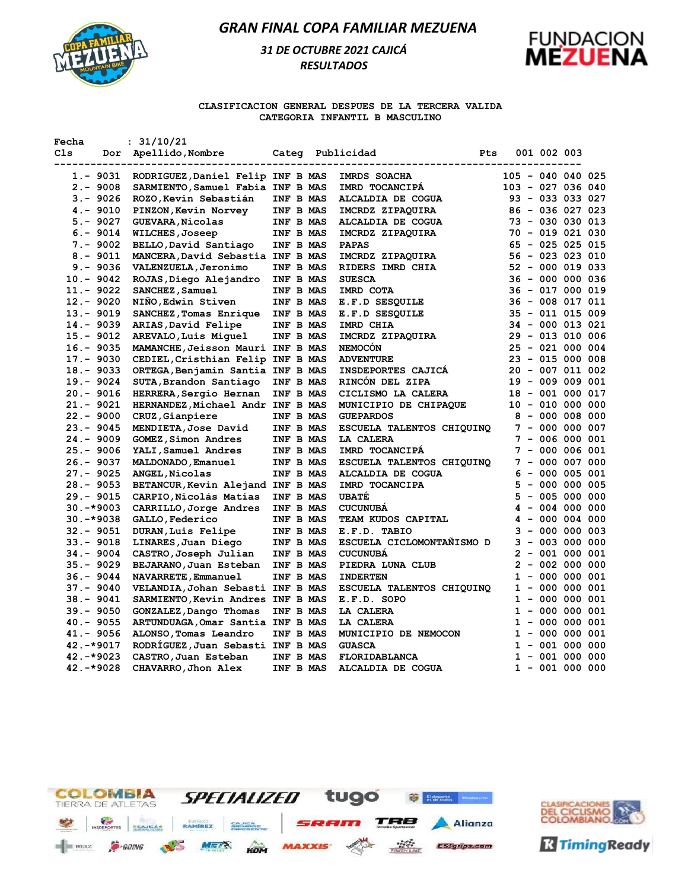

# *31 DE OCTUBRE 2021 CAJICÁ RESULTADOS*



#### **CLASIFICACION GENERAL DESPUES DE LA TERCERA VALIDA CATEGORIA INFANTIL B MASCULINO**

| Fecha |                            | : 31/10/21                                         |                        |  |                                           |            |  |             |                                        |  |
|-------|----------------------------|----------------------------------------------------|------------------------|--|-------------------------------------------|------------|--|-------------|----------------------------------------|--|
| Cls   |                            | Dor Apellido, Nombre                               |                        |  | Categ Publicidad<br>--------------------- | <b>Pts</b> |  | 001 002 003 |                                        |  |
|       | 1.- 9031                   | RODRIGUEZ, Daniel Felip INF B MAS                  |                        |  | IMRDS SOACHA                              |            |  |             | $105 - 040 040 025$                    |  |
|       | $2. - 9008$                | SARMIENTO, Samuel Fabia INF B MAS                  |                        |  | IMRD TOCANCIPA                            |            |  |             | 103 - 027 036 040                      |  |
|       | $3. - 9026$                | ROZO, Kevin Sebastián                              | INF B MAS              |  | ALCALDIA DE COGUA                         |            |  |             | 93 - 033 033 027                       |  |
|       | $4. - 9010$                | PINZON, Kevin Norvey                               | INF B MAS              |  | IMCRDZ ZIPAQUIRA                          |            |  |             | $86 - 036 027 023$                     |  |
|       | $5. - 9027$                | GUEVARA, Nicolas                                   | INF B MAS              |  | ALCALDIA DE COGUA                         |            |  |             | 73 - 030 030 013                       |  |
|       | $6. - 9014$                | WILCHES, Joseep                                    | INF B MAS              |  | IMCRDZ ZIPAQUIRA                          |            |  |             | 70 - 019 021 030                       |  |
|       | $7. - 9002$                | BELLO, David Santiago                              | INF B MAS              |  | <b>PAPAS</b>                              |            |  |             | $65 - 025 025 015$                     |  |
|       | $8. - 9011$                | MANCERA, David Sebastia INF B MAS                  |                        |  | IMCRDZ ZIPAQUIRA                          |            |  |             | $56 - 023 023 010$                     |  |
|       | $9. - 9036$                | VALENZUELA, Jeronimo                               | INF B MAS              |  | RIDERS IMRD CHIA                          |            |  |             | $52 - 000$ 019 033                     |  |
|       | $10.-9042$                 | ROJAS, Diego Alejandro                             | INF B MAS              |  | <b>SUESCA</b>                             |            |  |             | $36 - 000 000 036$                     |  |
|       | $11. - 9022$               | SANCHEZ, Samuel                                    | INF B MAS              |  | IMRD COTA                                 |            |  |             | 36 - 017 000 019                       |  |
|       | $12 - 9020$                | NIÑO, Edwin Stiven                                 | INF B MAS              |  | E.F.D SESQUILE                            |            |  |             | 36 - 008 017 011                       |  |
|       | $13 - 9019$                | SANCHEZ, Tomas Enrique                             | INF B MAS              |  | E.F.D SESQUILE                            |            |  |             | $35 - 011$ 015 009                     |  |
|       | 14.- 9039                  | ARIAS, David Felipe                                | INF B MAS              |  | IMRD CHIA                                 |            |  |             | 34 - 000 013 021                       |  |
|       | $15 - 9012$                | AREVALO, Luis Miquel                               | INF B MAS              |  | IMCRDZ ZIPAQUIRA                          |            |  |             | 29 - 013 010 006                       |  |
|       | $16. - 9035$               | MAMANCHE, Jeisson Mauri INF B MAS                  |                        |  | <b>NEMOCON</b>                            |            |  |             | $25 - 021 000 004$                     |  |
|       | $17. - 9030$               | CEDIEL, Cristhian Felip INF B MAS                  |                        |  | <b>ADVENTURE</b>                          |            |  |             | $23 - 015 000 008$                     |  |
|       | $18 - 9033$                | ORTEGA, Benjamin Santia INF B MAS                  |                        |  | INSDEPORTES CAJICA                        |            |  |             | $20 - 007 011 002$                     |  |
|       | $19. - 9024$               | SUTA, Brandon Santiago                             | INF B MAS              |  | RINCON DEL ZIPA                           |            |  |             | $19 - 009 009 001$                     |  |
|       | $20. - 9016$               | HERRERA, Sergio Hernan                             | INF B MAS              |  | CICLISMO LA CALERA                        |            |  |             | 18 - 001 000 017                       |  |
|       | $21. - 9021$               | HERNANDEZ, Michael Andr INF B MAS                  |                        |  | MUNICIPIO DE CHIPAQUE                     |            |  |             | $10 - 010 000 000$                     |  |
|       | $22 - 9000$<br>$23 - 9045$ | CRUZ, Gianpiere                                    | INF B MAS              |  | <b>GUEPARDOS</b>                          |            |  |             | $8 - 000 008 000$<br>$7 - 000 000 007$ |  |
|       | $24. - 9009$               | MENDIETA, Jose David<br><b>GOMEZ, Simon Andres</b> | INF B MAS<br>INF B MAS |  | ESCUELA TALENTOS CHIQUINQ<br>LA CALERA    |            |  |             | $7 - 006 000 001$                      |  |
|       | $25. - 9006$               |                                                    | INF B MAS              |  | IMRD TOCANCIPA                            |            |  |             | $7 - 000 006 001$                      |  |
|       | $26. - 9037$               | YALI, Samuel Andres<br>MALDONADO, Emanuel          | INF B MAS              |  | ESCUELA TALENTOS CHIQUINQ                 |            |  |             | $7 - 000 007 000$                      |  |
|       | $27. - 9025$               | ANGEL, Nicolas                                     | INF B MAS              |  | ALCALDIA DE COGUA                         |            |  |             | $6 - 000 005 001$                      |  |
|       | $28 - 9053$                | BETANCUR, Kevin Alejand INF B MAS                  |                        |  | IMRD TOCANCIPA                            |            |  |             | $5 - 000 000 005$                      |  |
|       | $29. - 9015$               | CARPIO, Nicolás Matías                             | INF B MAS              |  | <b>UBATE</b>                              |            |  |             | $5 - 005 000 000$                      |  |
|       | $30. -*9003$               | CARRILLO, Jorge Andres                             | INF B MAS              |  | <b>CUCUNUBA</b>                           |            |  |             | $4 - 004 000 000$                      |  |
|       | $30.-*9038$                | GALLO, Federico                                    | INF B MAS              |  | TEAM KUDOS CAPITAL                        |            |  |             | $4 - 000004000$                        |  |
|       | $32 - 9051$                | DURAN, Luis Felipe                                 | INF B MAS              |  | E.F.D. TABIO                              |            |  |             | $3 - 000 000 003$                      |  |
|       | $33. - 9018$               | LINARES, Juan Diego                                | INF B MAS              |  | ESCUELA CICLOMONTANISMO D                 |            |  |             | $3 - 003000000$                        |  |
|       | 34.-9004                   | CASTRO, Joseph Julian                              | INF B MAS              |  | <b>CUCUNUBA</b>                           |            |  |             | $2 - 001 000 001$                      |  |
|       | $35. - 9029$               | BEJARANO, Juan Esteban                             | INF B MAS              |  | PIEDRA LUNA CLUB                          |            |  |             | $2 - 002 000 000$                      |  |
|       | $36. - 9044$               | NAVARRETE, Emmanuel                                | INF B MAS              |  | <b>INDERTEN</b>                           |            |  |             | $1 - 000 000 001$                      |  |
|       | $37. - 9040$               | VELANDIA, Johan Sebasti INF B MAS                  |                        |  | ESCUELA TALENTOS CHIQUINQ                 |            |  |             | $1 - 000 000 001$                      |  |
|       | $38 - 9041$                | SARMIENTO, Kevin Andres INF B MAS                  |                        |  | E.F.D. SOPO                               |            |  |             | $1 - 000 000 001$                      |  |
|       | $39 - 9050$                | GONZALEZ, Dango Thomas                             | INF B MAS              |  | LA CALERA                                 |            |  |             | $1 - 000 000 001$                      |  |
|       | $40.-9055$                 | ARTUNDUAGA, Omar Santia INF B MAS                  |                        |  | LA CALERA                                 |            |  |             | $1 - 000 000 001$                      |  |
|       | $41. - 9056$               | ALONSO, Tomas Leandro                              | INF B MAS              |  | MUNICIPIO DE NEMOCON                      |            |  |             | $1 - 000 000 001$                      |  |
|       | $42.-*9017$                | RODRIGUEZ, Juan Sebasti INF B MAS                  |                        |  | <b>GUASCA</b>                             |            |  |             | $1 - 001 000 000$                      |  |
|       | 42. -*9023                 | CASTRO, Juan Esteban                               | INF B MAS              |  | FLORIDABLANCA                             |            |  |             | $1 - 001 000 000$                      |  |
|       | 42.-*9028                  | CHAVARRO, Jhon Alex                                | INF B MAS              |  | ALCALDIA DE COGUA                         |            |  |             | $1 - 001 000 000$                      |  |
|       |                            |                                                    |                        |  |                                           |            |  |             |                                        |  |



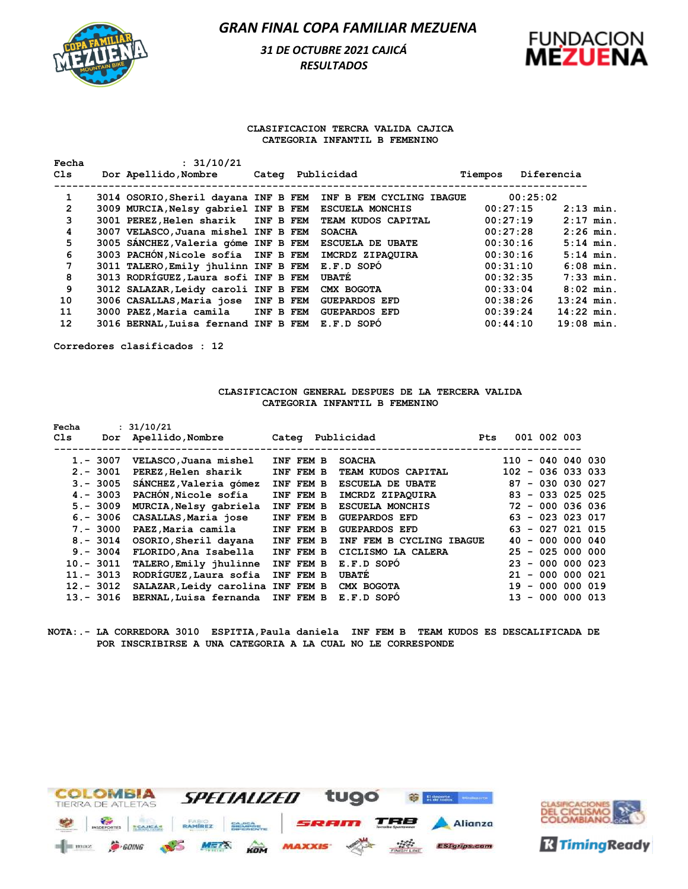

### *31 DE OCTUBRE 2021 CAJICÁ RESULTADOS*



#### **CLASIFICACION TERCRA VALIDA CAJICA CATEGORIA INFANTIL B FEMENINO**

| Fecha          | : 31/10/21                           |  |                                                               |         |            |              |             |
|----------------|--------------------------------------|--|---------------------------------------------------------------|---------|------------|--------------|-------------|
| C1s            | Dor Apellido, Nombre                 |  | Categ Publicidad                                              | Tiempos | Diferencia |              |             |
|                |                                      |  |                                                               |         |            |              |             |
| 1              |                                      |  | 3014 OSORIO, Sheril dayana INF B FEM INF B FEM CYCLING IBAGUE |         | 00:25:02   |              |             |
| $\overline{2}$ | 3009 MURCIA, Nelsy gabriel INF B FEM |  | <b>ESCUELA MONCHIS</b>                                        |         | 00:27:15   | $2:13$ min.  |             |
| 3              | 3001 PEREZ, Helen sharik INF B FEM   |  | TEAM KUDOS CAPITAL                                            |         | 00:27:19   | $2:17$ min.  |             |
| 4              | 3007 VELASCO, Juana mishel INF B FEM |  | <b>SOACHA</b>                                                 |         | 00:27:28   | $2:26$ min.  |             |
| 5              | 3005 SANCHEZ, Valeria góme INF B FEM |  | <b>ESCUELA DE UBATE</b>                                       |         | 00:30:16   |              | $5:14$ min. |
| 6              | 3003 PACHÓN, Nicole sofía INF B FEM  |  | IMCRDZ ZIPAOUIRA                                              |         | 00:30:16   |              | $5:14$ min. |
| 7              | 3011 TALERO, Emily jhulinn INF B FEM |  | E.F.D SOPÓ                                                    |         | 00:31:10   | $6:08$ min.  |             |
| 8              | 3013 RODRÍGUEZ, Laura sofi INF B FEM |  | <b>UBATE</b>                                                  |         | 00:32:35   | $7:33$ min.  |             |
| 9              | 3012 SALAZAR, Leidy caroli INF B FEM |  | CMX BOGOTA                                                    |         | 00:33:04   | $8:02$ min.  |             |
| 10             | 3006 CASALLAS, Maria jose INF B FEM  |  | <b>GUEPARDOS EFD</b>                                          |         | 00:38:26   | $13:24$ min. |             |
| 11             | 3000 PAEZ, Maria camila INF B FEM    |  | <b>GUEPARDOS EFD</b>                                          |         | 00:39:24   | $14:22$ min. |             |
| 12             | 3016 BERNAL, Luisa fernand INF B FEM |  | E.F.D SOPO                                                    |         | 00:44:10   | $19:08$ min. |             |
|                |                                      |  |                                                               |         |            |              |             |

**Corredores clasificados : 12**

#### **CLASIFICACION GENERAL DESPUES DE LA TERCERA VALIDA CATEGORIA INFANTIL B FEMENINO**

| Fecha        |             | : 31/10/21                        |           |                          |            |                     |             |  |
|--------------|-------------|-----------------------------------|-----------|--------------------------|------------|---------------------|-------------|--|
| Cls          | Dor         | Apellido,Nombre                   |           | Categ Publicidad         | <b>Pts</b> |                     | 001 002 003 |  |
|              |             |                                   |           |                          |            |                     |             |  |
|              | $1.-3007$   | VELASCO, Juana mishel             | INF FEM B | <b>SOACHA</b>            |            | $110 - 040 040 030$ |             |  |
|              | $2 - 3001$  | PEREZ, Helen sharik               | INF FEM B | TEAM KUDOS CAPITAL       |            | $102 - 036 033 033$ |             |  |
|              | $3 - 3005$  | SÁNCHEZ, Valeria gómez            | INF FEM B | <b>ESCUELA DE UBATE</b>  |            | $87 - 030 030 027$  |             |  |
|              | $4 - 3003$  | PACHÓN, Nicole sofía              | INF FEM B | IMCRDZ ZIPAOUIRA         |            | $83 - 033 025 025$  |             |  |
|              | $5. - 3009$ | MURCIA, Nelsy gabriela            | INF FEM B | <b>ESCUELA MONCHIS</b>   |            | $72 - 000$ 036 036  |             |  |
|              | $6. - 3006$ | CASALLAS, Maria jose              | INF FEM B | <b>GUEPARDOS EFD</b>     |            | $63 - 023 023 017$  |             |  |
|              | $7. - 3000$ | PAEZ, Maria camila                | INF FEM B | <b>GUEPARDOS EFD</b>     |            | $63 - 027 021 015$  |             |  |
|              | $8 - 3014$  | OSORIO, Sheril dayana             | INF FEM B | INF FEM B CYCLING IBAGUE |            | $40 - 000 000 040$  |             |  |
|              | $9 - 3004$  | FLORIDO, Ana Isabella             | INF FEM B | CICLISMO LA CALERA       |            | $25 - 025 000 000$  |             |  |
| $10.-3011$   |             | TALERO, Emily jhulinne            | INF FEM B | E.F.D SOPO               |            | $23 - 000 000 023$  |             |  |
| $11. - 3013$ |             | RODRÍGUEZ, Laura sofia            | INF FEM B | <b>UBATE</b>             |            | $21 - 000 000 021$  |             |  |
| $12 - 3012$  |             | SALAZAR, Leidy carolina INF FEM B |           | CMX BOGOTA               |            | $19 - 000 000 019$  |             |  |
| $13 - 3016$  |             | BERNAL, Luisa fernanda INF FEM B  |           | E.F.D SOPO               |            | $13 - 000 000 013$  |             |  |

#### **NOTA:.- LA CORREDORA 3010 ESPITIA,Paula daniela INF FEM B TEAM KUDOS ES DESCALIFICADA DE POR INSCRIBIRSE A UNA CATEGORIA A LA CUAL NO LE CORRESPONDE**



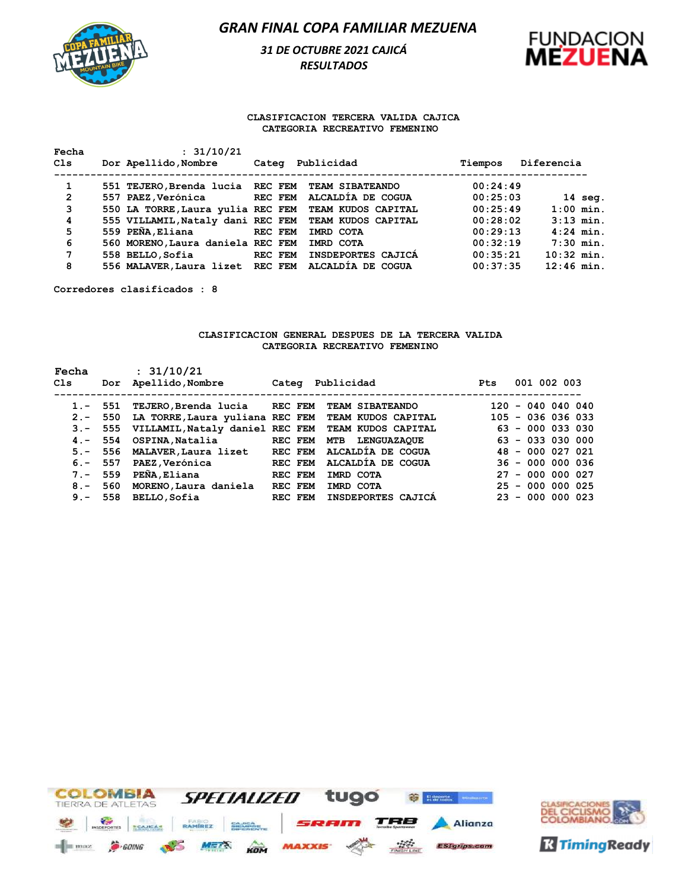

# *31 DE OCTUBRE 2021 CAJICÁ RESULTADOS*



### **CLASIFICACION TERCERA VALIDA CAJICA CATEGORIA RECREATIVO FEMENINO**

| Fecha          | : 31/10/21                        |                               |          |                   |
|----------------|-----------------------------------|-------------------------------|----------|-------------------|
| Cls            | Dor Apellido, Nombre              | Publicidad<br>Categ           | Tiempos  | Diferencia        |
| 1              | 551 TEJERO, Brenda lucia REC FEM  | <b>TEAM SIBATEANDO</b>        | 00:24:49 |                   |
| $\overline{2}$ | 557 PAEZ, Verónica                | ALCALDIA DE COGUA<br>REC FEM  | 00:25:03 | $14 \text{ seq.}$ |
| 3              | 550 LA TORRE, Laura yulia REC FEM | TEAM KUDOS CAPITAL            | 00:25:49 | $1:00$ min.       |
| 4              | 555 VILLAMIL, Nataly dani REC FEM | TEAM KUDOS CAPITAL            | 00:28:02 | $3:13$ min.       |
| 5              | 559 PEÑA, Eliana                  | REC FEM<br>IMRD COTA          | 00:29:13 | $4:24$ min.       |
| 6              | 560 MORENO, Laura daniela REC FEM | IMRD COTA                     | 00:32:19 | $7:30$ min.       |
| 7              | 558 BELLO, Sofia                  | INSDEPORTES CAJICA<br>REC FEM | 00:35:21 | $10:32$ min.      |
| 8              | 556 MALAVER, Laura lizet REC FEM  | ALCALDIA DE COGUA             | 00:37:35 | $12:46$ min.      |

**Corredores clasificados : 8**

#### **CLASIFICACION GENERAL DESPUES DE LA TERCERA VALIDA CATEGORIA RECREATIVO FEMENINO**

| Fecha<br>Cls |            | : 31/10/21                              |                |                           | <b>Pts</b> | 001 002 003         |
|--------------|------------|-----------------------------------------|----------------|---------------------------|------------|---------------------|
|              | Dor        | Apellido, Nombre                        | Categ          | Publicidad                |            |                     |
| $1. - 551$   |            | TEJERO, Brenda lucia REC FEM            |                | <b>TEAM SIBATEANDO</b>    |            | $120 - 040040040$   |
| $2. - 550$   |            | LA TORRE, Laura yuliana REC FEM         |                | <b>TEAM KUDOS CAPITAL</b> |            | $105 - 036 036 033$ |
|              |            | 3.- 555 VILLAMIL, Nataly daniel REC FEM |                | TEAM KUDOS CAPITAL        |            | $63 - 000$ 033 030  |
|              | $4 - 554$  | OSPINA,Natalia                          | REC FEM        | <b>MTB LENGUAZAQUE</b>    |            | $63 - 0330000$      |
|              | $5. - 556$ | MALAVER, Laura lizet                    | <b>REC FEM</b> | ALCALDÍA DE COGUA         |            | 48 - 000 027 021    |
| $6. - 557$   |            | PAEZ, Verónica                          | REC FEM        | ALCALDIA DE COGUA         |            | $36 - 000 000 036$  |
| $7. - 559$   |            | PEÑA, Eliana                            | REC FEM        | IMRD COTA                 |            | $27 - 000 000 027$  |
|              | $8 - 560$  | MORENO, Laura daniela                   | REC FEM        | IMRD COTA                 |            | $25 - 000 000 025$  |
|              | $9 - 558$  | BELLO, Sofia                            | REC FEM        | INSDEPORTES CAJICA        |            | $23 - 000 000 023$  |



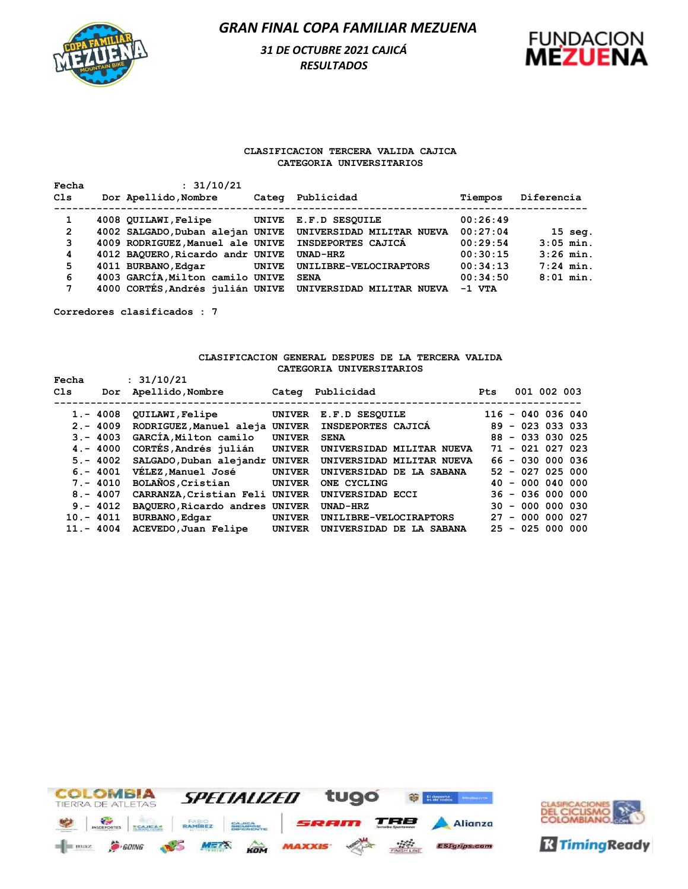

# *31 DE OCTUBRE 2021 CAJICÁ RESULTADOS*



#### **CLASIFICACION TERCERA VALIDA CAJICA CATEGORIA UNIVERSITARIOS**

| Fecha        | : 31/10/21                       |       |                           |          |             |
|--------------|----------------------------------|-------|---------------------------|----------|-------------|
| Cls          | Dor Apellido, Nombre             | Categ | Publicidad                | Tiempos  | Diferencia  |
| 1            | 4008 QUILAWI, Felipe             | UNIVE | E.F.D SESOUILE            | 00:26:49 |             |
| $\mathbf{2}$ | 4002 SALGADO, Duban alejan UNIVE |       | UNIVERSIDAD MILITAR NUEVA | 00:27:04 | $15$ seq.   |
| 3            | 4009 RODRIGUEZ, Manuel ale UNIVE |       | INSDEPORTES CAJICA        | 00:29:54 | $3:05$ min. |
| 4            | 4012 BAQUERO, Ricardo andr UNIVE |       | UNAD-HRZ                  | 00:30:15 | $3:26$ min. |
| 5            | 4011 BURBANO, Edgar              | UNIVE | UNILIBRE-VELOCIRAPTORS    | 00:34:13 | $7:24$ min. |
| 6            | 4003 GARCÍA, Milton camilo UNIVE |       | <b>SENA</b>               | 00:34:50 | $8:01$ min. |
| 7            | 4000 CORTÉS, Andrés julián UNIVE |       | UNIVERSIDAD MILITAR NUEVA | $-1$ VTA |             |

**Corredores clasificados : 7**

### **CLASIFICACION GENERAL DESPUES DE LA TERCERA VALIDA CATEGORIA UNIVERSITARIOS**

| Fecha<br>Cls | Dor | : 31/10/21<br>Apellido, Nombre | Categ         | Publicidad                | <b>Pts</b> | 001 002 003         |
|--------------|-----|--------------------------------|---------------|---------------------------|------------|---------------------|
|              |     |                                |               |                           |            |                     |
| $1. - 4008$  |     | <b>QUILAWI, Felipe</b>         | <b>UNIVER</b> | E.F.D SESOUILE            |            | $116 - 040 036 040$ |
| $2 - 4009$   |     | RODRIGUEZ, Manuel aleja        | <b>UNIVER</b> | INSDEPORTES CAJICA        |            | $89 - 023 033 033$  |
| $3 - 4003$   |     | GARCIA, Milton camilo          | <b>UNIVER</b> | <b>SENA</b>               |            | $88 - 033 030 025$  |
| $4 - 4000$   |     | CORTÉS, Andrés julián          | <b>UNIVER</b> | UNIVERSIDAD MILITAR NUEVA |            | $71 - 021 027 023$  |
| $5. - 4002$  |     | SALGADO, Duban alejandr        | <b>UNIVER</b> | UNIVERSIDAD MILITAR NUEVA |            | $66 - 030 000 036$  |
| $6. - 4001$  |     | VÉLEZ, Manuel José             | <b>UNIVER</b> | UNIVERSIDAD DE LA SABANA  |            | $52 - 027 025 000$  |
| $7. - 4010$  |     | BOLAÑOS, Cristian              | <b>UNIVER</b> | ONE CYCLING               | 40         | $-000004000$        |
| $8 - 4007$   |     | CARRANZA, Cristian Feli        | <b>UNIVER</b> | UNIVERSIDAD ECCI          |            | $36 - 036 000 000$  |
| $9 - 4012$   |     | BAQUERO, Ricardo andres UNIVER |               | UNAD-HRZ                  |            | $30 - 000 000 030$  |
| $10 - 4011$  |     | <b>BURBANO, Edgar</b>          | <b>UNIVER</b> | UNILIBRE-VELOCIRAPTORS    | 27         | $-000000027$        |
| $11. - 4004$ |     | ACEVEDO, Juan Felipe           | <b>UNIVER</b> | UNIVERSIDAD DE LA SABANA  | 25         | - 025 000 000       |



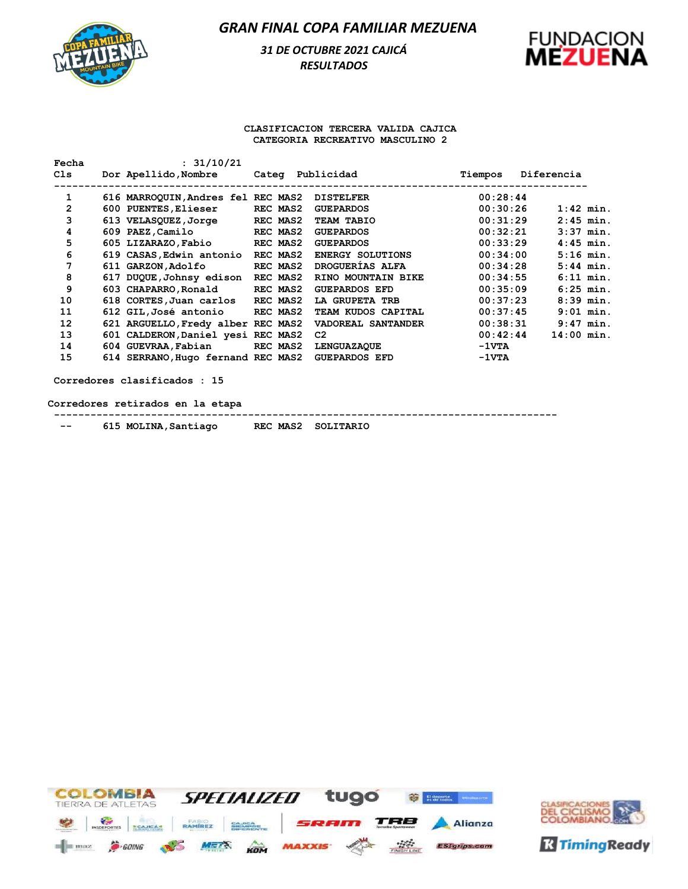## *31 DE OCTUBRE 2021 CAJICÁ RESULTADOS*



#### **CLASIFICACION TERCERA VALIDA CAJICA CATEGORIA RECREATIVO MASCULINO 2**

| Fecha        | : 31/10/21                         |          |                         |                 |            |              |
|--------------|------------------------------------|----------|-------------------------|-----------------|------------|--------------|
| C1s          | Dor Apellido, Nombre               |          | Categ Publicidad        | Tiempos         | Diferencia |              |
| 1            | 616 MARROQUIN, Andres fel REC MAS2 |          | <b>DISTELFER</b>        | 00:28:44        |            |              |
| $\mathbf{2}$ | 600 PUENTES, Elieser               | REC MAS2 | <b>GUEPARDOS</b>        | 00:30:26        |            | $1:42$ min.  |
| 3            | 613 VELASQUEZ, Jorge               | REC MAS2 | TEAM TABIO              | 00:31:29        |            | $2:45$ min.  |
| 4            | 609 PAEZ, Camilo                   | REC MAS2 | <b>GUEPARDOS</b>        | 00:32:21        |            | $3:37$ min.  |
| 5            | 605 LIZARAZO, Fabio                | REC MAS2 | <b>GUEPARDOS</b>        | 00:33:29        |            | $4:45$ min.  |
| 6            | 619 CASAS, Edwin antonio           | REC MAS2 | <b>ENERGY SOLUTIONS</b> | 00:34:00        |            | $5:16$ min.  |
| 7            | 611 GARZON, Adolfo                 | REC MAS2 | DROGUERIAS ALFA         | 00:34:28        |            | $5:44$ min.  |
| 8            | 617 DUQUE, Johnsy edison           | REC MAS2 | RINO MOUNTAIN BIKE      | 00:34:55        |            | $6:11$ min.  |
| 9            | 603 CHAPARRO, Ronald               | REC MAS2 | <b>GUEPARDOS EFD</b>    | 00:35:09        |            | $6:25$ min.  |
| 10           | 618 CORTES, Juan carlos REC MAS2   |          | LA GRUPETA TRB          | 00:37:23        |            | $8:39$ min.  |
| 11           | 612 GIL, José antonio REC MAS2     |          | TEAM KUDOS CAPITAL      | 00:37:45        |            | $9:01$ min.  |
| 12           | 621 ARGUELLO, Fredy alber REC MAS2 |          | VADOREAL SANTANDER      | 00:38:31        |            | $9:47$ min.  |
| 13           | 601 CALDERON, Daniel yesi REC MAS2 |          | C <sub>2</sub>          | 00:42:44        |            | $14:00$ min. |
| 14           | 604 GUEVRAA, Fabian                | REC MAS2 | <b>LENGUAZAQUE</b>      | $-1 \nabla T A$ |            |              |
| 15           | 614 SERRANO, Hugo fernand REC MAS2 |          | <b>GUEPARDOS EFD</b>    | $-1 \nabla T A$ |            |              |

**Corredores clasificados : 15**

**Corredores retirados en la etapa**

**-----------------------------------------------------------------------------------**

 **-- 615 MOLINA,Santiago REC MAS2 SOLITARIO** 



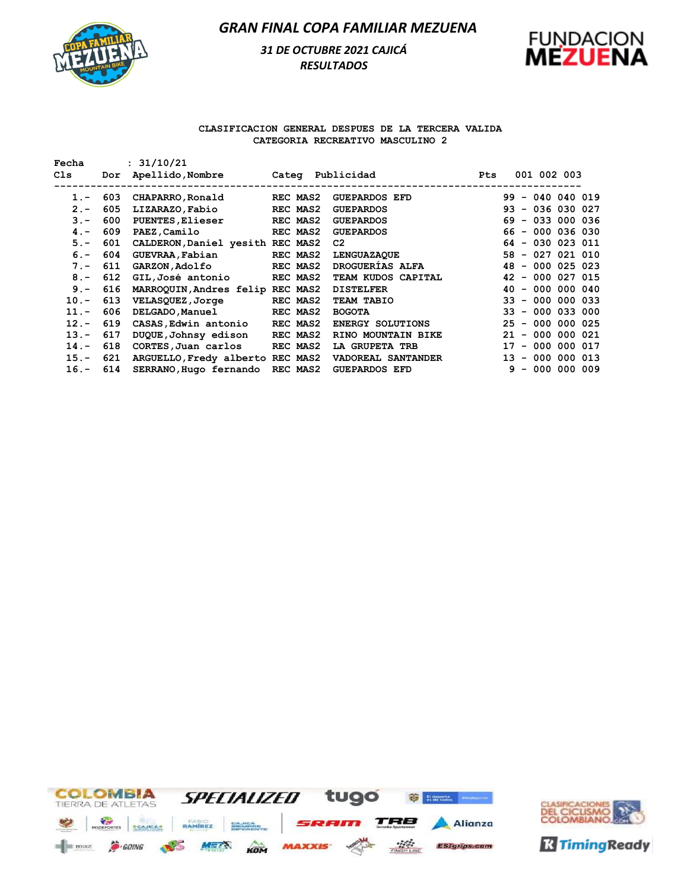# *31 DE OCTUBRE 2021 CAJICÁ RESULTADOS*



### **CLASIFICACION GENERAL DESPUES DE LA TERCERA VALIDA CATEGORIA RECREATIVO MASCULINO 2**

| Fecha      |     | : 31/10/21                        |          |                         |            |                        |
|------------|-----|-----------------------------------|----------|-------------------------|------------|------------------------|
| Cls        | Dor | Apellido, Nombre Categ Publicidad |          |                         | <b>Pts</b> | 001 002 003            |
|            |     |                                   |          |                         |            |                        |
| $1 -$      | 603 | CHAPARRO, Ronald                  | REC MAS2 | <b>GUEPARDOS EFD</b>    |            | $99 - 040 040 019$     |
| $2 -$      | 605 | LIZARAZO, Fabio                   | REC MAS2 | <b>GUEPARDOS</b>        |            | $93 - 036 030 027$     |
| $3 -$      | 600 | <b>PUENTES, Elieser</b>           | REC MAS2 | <b>GUEPARDOS</b>        |            | $69 - 033 000 036$     |
| $4 -$      | 609 | PAEZ, Camilo                      | REC MAS2 | <b>GUEPARDOS</b>        |            | $66 - 000 036 030$     |
| $5. -$     | 601 | CALDERON, Daniel yesith REC MAS2  |          | C2                      |            | $64 - 030 023 011$     |
| $6. - 604$ |     | GUEVRAA, Fabian                   | REC MAS2 | <b>LENGUAZAQUE</b>      |            | $58 - 027 021 010$     |
| $7 -$      | 611 | <b>GARZON,Adolfo</b>              | REC MAS2 | <b>DROGUERIAS ALFA</b>  |            | $48 - 000 025 023$     |
| $8 -$      | 612 | GIL,José antonio                  | REC MAS2 | TEAM KUDOS CAPITAL      |            | $42 - 000 027 015$     |
| $9 -$      | 616 | MARROQUIN, Andres felip REC MAS2  |          | <b>DISTELFER</b>        |            | $40 - 000 000 040$     |
| $10. -$    | 613 | VELASQUEZ,Jorge                   | REC MAS2 | TEAM TABIO              |            | $33 - 000 000 033$     |
| $11. -$    | 606 | <b>DELGADO, Manuel</b>            | REC MAS2 | <b>BOGOTA</b>           |            | $33 - 000$ 033 000     |
| $12 -$     | 619 | CASAS, Edwin antonio              | REC MAS2 | <b>ENERGY SOLUTIONS</b> |            | $25 - 000 000 025$     |
| $13 -$     | 617 | DUQUE,Johnsy edison               | REC MAS2 | RINO MOUNTAIN BIKE      |            | - 000 000 021<br>21    |
| $14. -$    | 618 | CORTES, Juan carlos               | REC MAS2 | LA GRUPETA TRB          |            | 17<br>$-000000017$     |
| $15. -$    | 621 | ARGUELLO, Fredy alberto REC MAS2  |          | VADOREAL SANTANDER      |            | - 000<br>000 013<br>13 |
| $16. -$    | 614 | SERRANO, Hugo fernando            | REC MAS2 | <b>GUEPARDOS EFD</b>    |            | $9 - 000 000 009$      |



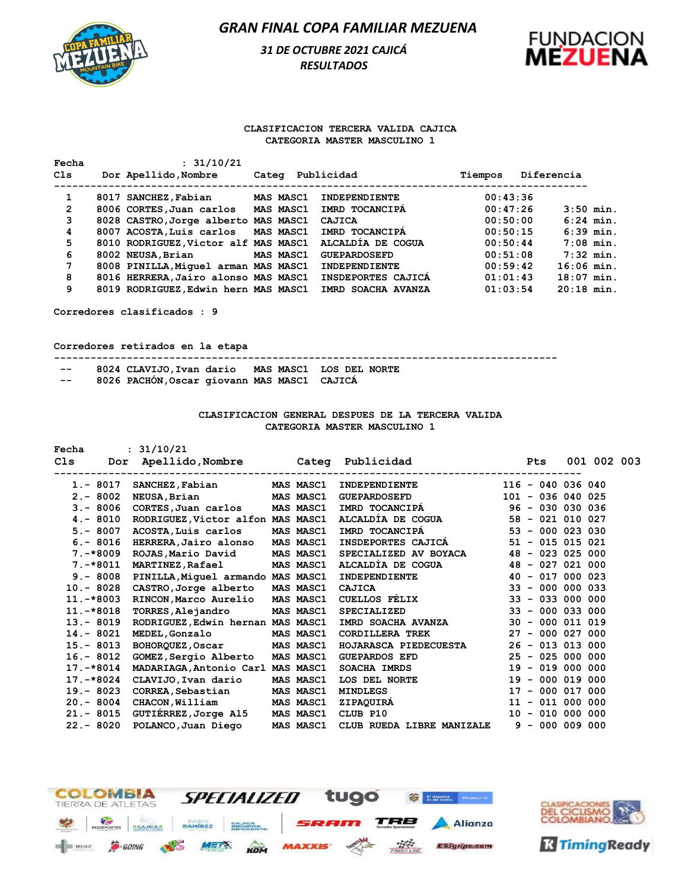## *31 DE OCTUBRE 2021 CAJICÁ RESULTADOS*



#### **CLASIFICACION TERCERA VALIDA CAJICA CATEGORIA MASTER MASCULINO 1**

| Fecha          | : 31/10/21                           |       |                  |                      |         |          |              |             |
|----------------|--------------------------------------|-------|------------------|----------------------|---------|----------|--------------|-------------|
| Cls            | Dor Apellido, Nombre                 | Categ |                  | Publicidad           | Tiempos |          | Diferencia   |             |
| 1              | 8017 SANCHEZ, Fabian                 |       | <b>MAS MASC1</b> | <b>INDEPENDIENTE</b> |         | 00:43:36 |              |             |
| $\overline{2}$ | 8006 CORTES, Juan carlos             |       | MAS MASC1        | IMRD TOCANCIPA       |         | 00:47:26 | $3:50$ min.  |             |
| 3              | 8028 CASTRO, Jorge alberto MAS MASC1 |       |                  | CAJICA               |         | 00:50:00 |              | $6:24$ min. |
| 4              | 8007 ACOSTA, Luis carlos             |       | MAS MASC1        | IMRD TOCANCIPA       |         | 00:50:15 |              | $6:39$ min. |
| 5              | 8010 RODRIGUEZ, Victor alf MAS MASC1 |       |                  | ALCALDIA DE COGUA    |         | 00:50:44 | $7:08$ min.  |             |
| 6              | 8002 NEUSA, Brian                    |       | MAS MASC1        | <b>GUEPARDOSEFD</b>  |         | 00:51:08 | $7:32$ min.  |             |
| 7              | 8008 PINILLA, Miquel arman MAS MASC1 |       |                  | INDEPENDIENTE        |         | 00:59:42 | $16:06$ min. |             |
| 8              | 8016 HERRERA, Jairo alonso MAS MASC1 |       |                  | INSDEPORTES CAJICA   |         | 01:01:43 | $18:07$ min. |             |
| 9              | 8019 RODRIGUEZ, Edwin hern MAS MASC1 |       |                  | IMRD SOACHA AVANZA   |         | 01:03:54 | $20:18$ min. |             |
|                |                                      |       |                  |                      |         |          |              |             |

**Corredores clasificados : 9**

**Corredores retirados en la etapa**

**----------------------------------------------------------------------------------- -- 8024 CLAVIJO,Ivan dario MAS MASC1 LOS DEL NORTE** 

 **-- 8026 PACHÓN,Oscar giovann MAS MASC1 CAJICÁ** 

#### **CLASIFICACION GENERAL DESPUES DE LA TERCERA VALIDA CATEGORIA MASTER MASCULINO 1**

**Fecha : 31/10/21**

|                                           |  |                                                                                                                                                                                                                                                                                                                                                                                                                                                         |                                                                                                                                | <b>Pts</b>                                                                                                                                                                                  |                                  |                                                                                                                                                                                                                                                                                                                                                                                                                                                                                                          |
|-------------------------------------------|--|---------------------------------------------------------------------------------------------------------------------------------------------------------------------------------------------------------------------------------------------------------------------------------------------------------------------------------------------------------------------------------------------------------------------------------------------------------|--------------------------------------------------------------------------------------------------------------------------------|---------------------------------------------------------------------------------------------------------------------------------------------------------------------------------------------|----------------------------------|----------------------------------------------------------------------------------------------------------------------------------------------------------------------------------------------------------------------------------------------------------------------------------------------------------------------------------------------------------------------------------------------------------------------------------------------------------------------------------------------------------|
| SANCHEZ, Fabian                           |  | INDEPENDIENTE                                                                                                                                                                                                                                                                                                                                                                                                                                           |                                                                                                                                |                                                                                                                                                                                             |                                  |                                                                                                                                                                                                                                                                                                                                                                                                                                                                                                          |
| NEUSA, Brian                              |  | <b>GUEPARDOSEFD</b>                                                                                                                                                                                                                                                                                                                                                                                                                                     |                                                                                                                                |                                                                                                                                                                                             |                                  |                                                                                                                                                                                                                                                                                                                                                                                                                                                                                                          |
| CORTES, Juan carlos                       |  |                                                                                                                                                                                                                                                                                                                                                                                                                                                         |                                                                                                                                |                                                                                                                                                                                             |                                  |                                                                                                                                                                                                                                                                                                                                                                                                                                                                                                          |
| $4 - 8010$                                |  |                                                                                                                                                                                                                                                                                                                                                                                                                                                         |                                                                                                                                |                                                                                                                                                                                             |                                  |                                                                                                                                                                                                                                                                                                                                                                                                                                                                                                          |
| ACOSTA, Luis carlos                       |  | IMRD TOCANCIPA                                                                                                                                                                                                                                                                                                                                                                                                                                          |                                                                                                                                |                                                                                                                                                                                             |                                  |                                                                                                                                                                                                                                                                                                                                                                                                                                                                                                          |
| $6. - 8016$<br>HERRERA, Jairo alonso      |  |                                                                                                                                                                                                                                                                                                                                                                                                                                                         |                                                                                                                                |                                                                                                                                                                                             |                                  |                                                                                                                                                                                                                                                                                                                                                                                                                                                                                                          |
| $7. -*8009$<br>ROJAS, Mario David         |  |                                                                                                                                                                                                                                                                                                                                                                                                                                                         |                                                                                                                                |                                                                                                                                                                                             |                                  |                                                                                                                                                                                                                                                                                                                                                                                                                                                                                                          |
| <b>MARTINEZ, Rafael</b><br>7.-*8011       |  |                                                                                                                                                                                                                                                                                                                                                                                                                                                         |                                                                                                                                |                                                                                                                                                                                             |                                  |                                                                                                                                                                                                                                                                                                                                                                                                                                                                                                          |
|                                           |  | INDEPENDIENTE                                                                                                                                                                                                                                                                                                                                                                                                                                           |                                                                                                                                |                                                                                                                                                                                             |                                  |                                                                                                                                                                                                                                                                                                                                                                                                                                                                                                          |
| 10.- 8028<br>CASTRO, Jorge alberto        |  | CAJICA                                                                                                                                                                                                                                                                                                                                                                                                                                                  |                                                                                                                                |                                                                                                                                                                                             |                                  |                                                                                                                                                                                                                                                                                                                                                                                                                                                                                                          |
| 11.-*8003<br>RINCON, Marco Aurelio        |  | <b>CUELLOS FÉLIX</b>                                                                                                                                                                                                                                                                                                                                                                                                                                    |                                                                                                                                |                                                                                                                                                                                             |                                  |                                                                                                                                                                                                                                                                                                                                                                                                                                                                                                          |
| TORRES, Alejandro                         |  | <b>SPECIALIZED</b>                                                                                                                                                                                                                                                                                                                                                                                                                                      |                                                                                                                                |                                                                                                                                                                                             |                                  |                                                                                                                                                                                                                                                                                                                                                                                                                                                                                                          |
| 13.- 8019                                 |  |                                                                                                                                                                                                                                                                                                                                                                                                                                                         |                                                                                                                                |                                                                                                                                                                                             |                                  |                                                                                                                                                                                                                                                                                                                                                                                                                                                                                                          |
| <b>MEDEL, Gonzalo</b>                     |  |                                                                                                                                                                                                                                                                                                                                                                                                                                                         |                                                                                                                                |                                                                                                                                                                                             |                                  |                                                                                                                                                                                                                                                                                                                                                                                                                                                                                                          |
| $15 - 8013$<br><b>BOHORQUEZ, Oscar</b>    |  |                                                                                                                                                                                                                                                                                                                                                                                                                                                         |                                                                                                                                |                                                                                                                                                                                             |                                  |                                                                                                                                                                                                                                                                                                                                                                                                                                                                                                          |
| 16.- 8012<br><b>GOMEZ, Sergio Alberto</b> |  | GUEPARDOS EFD                                                                                                                                                                                                                                                                                                                                                                                                                                           |                                                                                                                                |                                                                                                                                                                                             |                                  |                                                                                                                                                                                                                                                                                                                                                                                                                                                                                                          |
| $17. -*8014$                              |  | SOACHA IMRDS                                                                                                                                                                                                                                                                                                                                                                                                                                            |                                                                                                                                |                                                                                                                                                                                             |                                  |                                                                                                                                                                                                                                                                                                                                                                                                                                                                                                          |
| 17.-*8024<br>CLAVIJO,Ivan dario           |  | LOS DEL NORTE                                                                                                                                                                                                                                                                                                                                                                                                                                           |                                                                                                                                |                                                                                                                                                                                             |                                  |                                                                                                                                                                                                                                                                                                                                                                                                                                                                                                          |
| CORREA, Sebastian                         |  | <b>MINDLEGS</b>                                                                                                                                                                                                                                                                                                                                                                                                                                         |                                                                                                                                |                                                                                                                                                                                             |                                  |                                                                                                                                                                                                                                                                                                                                                                                                                                                                                                          |
| $20 - 8004$<br>CHACON, William            |  | ZIPAQUIRA                                                                                                                                                                                                                                                                                                                                                                                                                                               |                                                                                                                                |                                                                                                                                                                                             |                                  |                                                                                                                                                                                                                                                                                                                                                                                                                                                                                                          |
| GUTIÉRREZ,Jorge Al5<br>$21 - 8015$        |  | CLUB P10                                                                                                                                                                                                                                                                                                                                                                                                                                                |                                                                                                                                |                                                                                                                                                                                             |                                  |                                                                                                                                                                                                                                                                                                                                                                                                                                                                                                          |
| 22.- 8020<br>POLANCO, Juan Diego          |  |                                                                                                                                                                                                                                                                                                                                                                                                                                                         |                                                                                                                                |                                                                                                                                                                                             |                                  |                                                                                                                                                                                                                                                                                                                                                                                                                                                                                                          |
|                                           |  | <b>MAS MASC1</b><br><b>MAS MASC1</b><br><b>MAS MASC1</b><br>RODRIGUEZ, Victor alfon MAS MASC1<br>MAS MASC1<br><b>MAS MASC1</b><br><b>MAS MASC1</b><br>9. - 8008 PINILLA, Miguel armando MAS MASC1<br><b>MAS MASC1</b><br><b>MAS MASC1</b><br>RODRIGUEZ, Edwin hernan MAS MASC1<br><b>MAS MASC1</b><br><b>MAS MASC1</b><br>MAS MASC1<br>MADARIAGA, Antonio Carl MAS MASC1<br>MAS MASC1<br>MAS MASC1<br><b>MAS MASC1</b><br><b>MAS MASC1</b><br>MAS MASC1 | Dor Apellido, Nombre Cateq Publicidad<br>---------------------------<br>IMRD TOCANCIPÁ<br><b>MAS MASC1</b><br><b>MAS MASC1</b> | ALCALDÍA DE COGUA<br><b>INSDEPORTES CAJICÁ</b><br>SPECIALIZED AV BOYACA<br>ALCALDÍA DE COGUA<br>IMRD SOACHA AVANZA<br>CORDILLERA TREK<br>HOJARASCA PIEDECUESTA<br>CLUB RUEDA LIBRE MANIZALE | -------------------------------- | 001 002 003<br>$116 - 040 036 040$<br>$101 - 036 040 025$<br>$96 - 030 030 036$<br>$58 - 021 010 027$<br>$53 - 000 023 030$<br>$51 - 015 015 021$<br>$48 - 023 025 000$<br>$48 - 027 021 000$<br>$40 - 017 000 023$<br>$33 - 000000033$<br>$33 - 033000000$<br>$33 - 000033000$<br>$30 - 000 011 019$<br>$27 - 000027000$<br>$26 - 013 013 000$<br>$25 - 025 000 000$<br>$19 - 019 000 000$<br>$19 - 000 019 000$<br>$17 - 000 017 000$<br>$11 - 011 000 000$<br>$10 - 010 000 000$<br>$9 - 000 009 000$ |



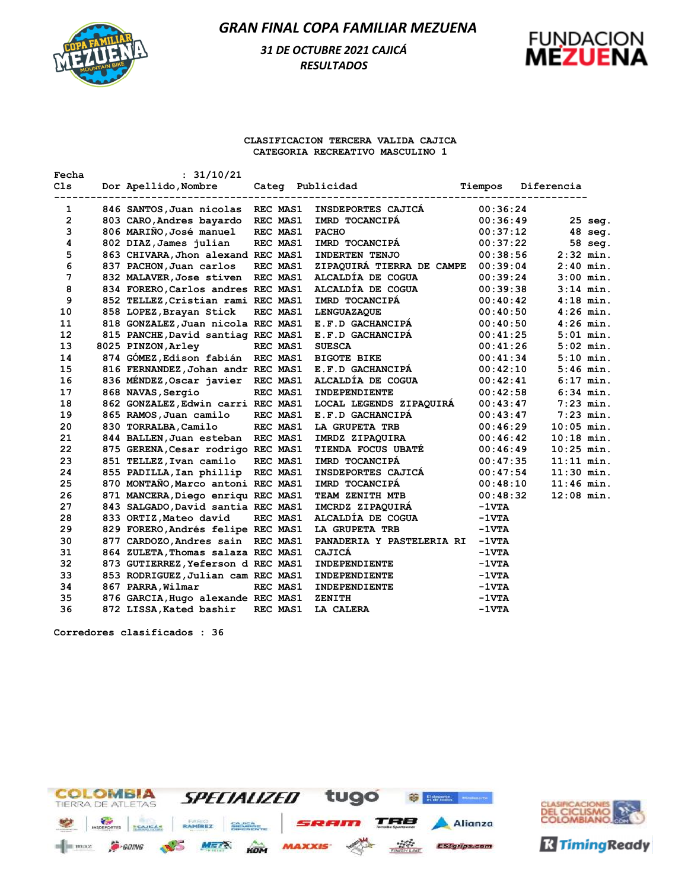

# *31 DE OCTUBRE 2021 CAJICÁ RESULTADOS*



#### **CLASIFICACION TERCERA VALIDA CAJICA CATEGORIA RECREATIVO MASCULINO 1**

| Fecha        | : 31/10/21                         |          |                           |                           |              |             |
|--------------|------------------------------------|----------|---------------------------|---------------------------|--------------|-------------|
| Cls          | Dor Apellido, Nombre               |          | Categ Publicidad          | Tiempos                   | Diferencia   |             |
| 1            | 846 SANTOS, Juan nicolas           | REC MAS1 | <b>INSDEPORTES CAJICA</b> | -------------<br>00:36:24 |              |             |
| $\mathbf{2}$ | 803 CARO, Andres bayardo REC MAS1  |          | IMRD TOCANCIPA            | 00:36:49                  |              | 25 seg.     |
| 3            | 806 MARIÑO, José manuel            | REC MAS1 | <b>PACHO</b>              | 00:37:12                  |              | 48 seg.     |
| 4            | 802 DIAZ, James julian             | REC MAS1 | IMRD TOCANCIPA            | 00:37:22                  |              | 58 seg.     |
| 5            | 863 CHIVARA, Jhon alexand REC MAS1 |          | INDERTEN TENJO            | 00:38:56                  |              | $2:32$ min. |
| 6            | 837 PACHON, Juan carlos            | REC MAS1 | ZIPAQUIRÁ TIERRA DE CAMPE | 00:39:04                  |              | $2:40$ min. |
| 7            | 832 MALAVER, Jose stiven REC MAS1  |          | ALCALDÍA DE COGUA         | 00:39:24                  |              | $3:00$ min. |
| 8            | 834 FORERO, Carlos andres REC MAS1 |          | ALCALDÍA DE COGUA         | 00:39:38                  |              | $3:14$ min. |
| 9            | 852 TELLEZ, Cristian rami REC MAS1 |          | IMRD TOCANCIPA            | 00:40:42                  |              | $4:18$ min. |
| 10           | 858 LOPEZ, Brayan Stick            | REC MAS1 | <b>LENGUAZAQUE</b>        | 00:40:50                  |              | $4:26$ min. |
| 11           | 818 GONZALEZ, Juan nicola REC MAS1 |          | E.F.D GACHANCIPÁ          | 00:40:50                  |              | $4:26$ min. |
| 12           | 815 PANCHE, David santiag REC MAS1 |          | E.F.D GACHANCIPA          | 00:41:25                  |              | $5:01$ min. |
| 13           | 8025 PINZON, Arley                 | REC MAS1 | <b>SUESCA</b>             | 00:41:26                  |              | $5:02$ min. |
| 14           | 874 GÓMEZ, Edison fabián REC MAS1  |          | <b>BIGOTE BIKE</b>        | 00:41:34                  |              | $5:10$ min. |
| 15           | 816 FERNANDEZ, Johan andr REC MAS1 |          | E.F.D GACHANCIPA          | 00:42:10                  |              | $5:46$ min. |
| 16           | 836 MENDEZ, Oscar javier REC MAS1  |          | ALCALDÍA DE COGUA         | 00:42:41                  |              | $6:17$ min. |
| 17           | 868 NAVAS, Sergio                  | REC MAS1 | INDEPENDIENTE             | 00:42:58                  |              | $6:34$ min. |
| 18           | 862 GONZALEZ, Edwin carri REC MAS1 |          | LOCAL LEGENDS ZIPAQUIRA   | 00:43:47                  |              | $7:23$ min. |
| 19           | 865 RAMOS, Juan camilo             | REC MAS1 | E.F.D GACHANCIPA          | 00:43:47                  |              | $7:23$ min. |
| 20           | 830 TORRALBA, Camilo REC MAS1      |          | LA GRUPETA TRB            | 00:46:29                  | $10:05$ min. |             |
| 21           | 844 BALLEN, Juan esteban REC MAS1  |          | IMRDZ ZIPAQUIRA           | 00:46:42                  | $10:18$ min. |             |
| 22           | 875 GERENA, Cesar rodrigo REC MAS1 |          | <b>TIENDA FOCUS UBATE</b> | 00:46:49                  | $10:25$ min. |             |
| 23           | 851 TELLEZ, Ivan camilo REC MAS1   |          | IMRD TOCANCIPA            | 00:47:35                  | $11:11$ min. |             |
| 24           | 855 PADILLA, Ian phillip REC MAS1  |          | INSDEPORTES CAJICA        | 00:47:54                  | $11:30$ min. |             |
| 25           | 870 MONTAÑO, Marco antoni REC MAS1 |          | IMRD TOCANCIPA            | 00:48:10                  | $11:46$ min. |             |
| 26           | 871 MANCERA, Diego enriqu REC MAS1 |          | TEAM ZENITH MTB           | 00:48:32                  | $12:08$ min. |             |
| 27           | 843 SALGADO, David santia REC MAS1 |          | IMCRDZ ZIPAQUIRA          | $-1VTA$                   |              |             |
| 28           | 833 ORTIZ, Mateo david             | REC MAS1 | ALCALDÍA DE COGUA         | $-1VTA$                   |              |             |
| 29           | 829 FORERO, Andrés felipe REC MAS1 |          | LA GRUPETA TRB            | $-1 \nabla T A$           |              |             |
| 30           | 877 CARDOZO, Andres sain REC MAS1  |          | PANADERIA Y PASTELERIA RI | $-1VTA$                   |              |             |
| 31           | 864 ZULETA, Thomas salaza REC MAS1 |          | CAJICÁ                    | $-1VTA$                   |              |             |
| 32           | 873 GUTIERREZ, Yeferson d REC MAS1 |          | INDEPENDIENTE             | $-1VTA$                   |              |             |
| 33           | 853 RODRIGUEZ, Julian cam REC MAS1 |          | INDEPENDIENTE             | $-1VTA$                   |              |             |
| 34           | 867 PARRA, Wilmar                  | REC MAS1 | INDEPENDIENTE             | -1VTA                     |              |             |
| 35           | 876 GARCIA, Hugo alexande REC MAS1 |          | ZENITH                    | $-1VTA$                   |              |             |
| 36           | 872 LISSA, Kated bashir            | REC MAS1 | LA CALERA                 | $-1VTA$                   |              |             |

**Corredores clasificados : 36**



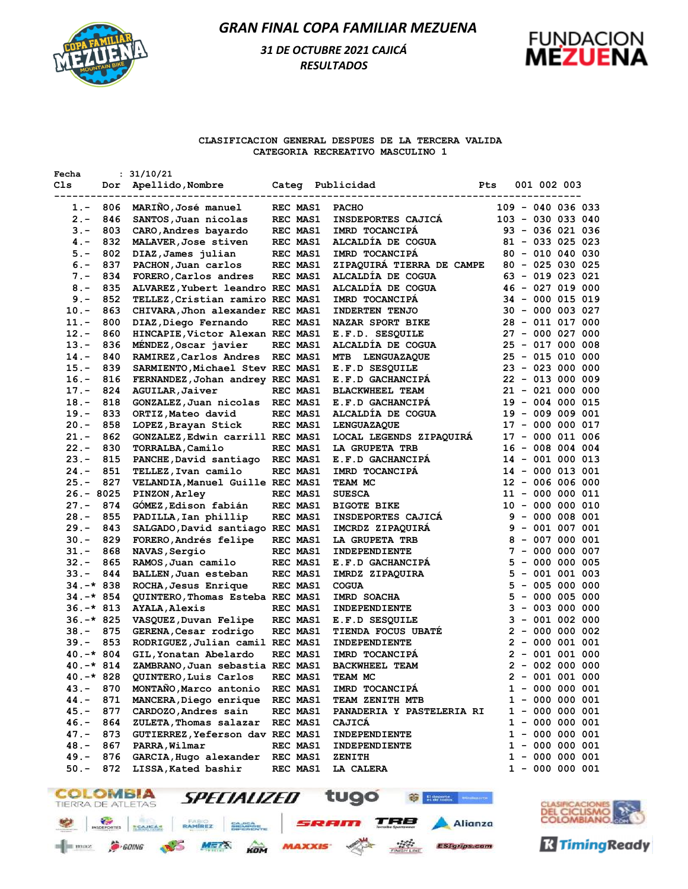

# *31 DE OCTUBRE 2021 CAJICÁ RESULTADOS*



### **CLASIFICACION GENERAL DESPUES DE LA TERCERA VALIDA CATEGORIA RECREATIVO MASCULINO 1**

| Fecha<br>Cls         | Dor | : 31/10/21<br>Apellido, Nombre                            |                             | Categ Publicidad                     | Pts | 001 002 003                          |  |
|----------------------|-----|-----------------------------------------------------------|-----------------------------|--------------------------------------|-----|--------------------------------------|--|
| $1. -$               | 806 | MARIÑO, José manuel                                       | REC MAS1                    | <b>PACHO</b>                         |     | $109 - 040 036 033$                  |  |
| 2.-                  | 846 | SANTOS, Juan nicolas                                      | REC MAS1                    | INSDEPORTES CAJICA                   |     | 103 - 030 033 040                    |  |
| $3 -$                | 803 | CARO, Andres bayardo                                      | REC MAS1                    | IMRD TOCANCIPA                       |     | 93 - 036 021 036                     |  |
| 4. –                 | 832 | MALAVER, Jose stiven                                      | <b>REC MAS1</b>             | ALCALDIA DE COGUA                    |     | $81 - 033 025 023$                   |  |
| $5. -$               | 802 | DIAZ, James julian                                        | REC MAS1                    | IMRD TOCANCIPA                       |     | $80 - 010 040 030$                   |  |
| $6. -$               | 837 | PACHON, Juan carlos                                       | REC MAS1                    | ZIPAQUIRA TIERRA DE CAMPE            |     | $80 - 025 030 025$                   |  |
| 7.-                  | 834 | FORERO, Carlos andres                                     | REC MAS1                    | ALCALDIA DE COGUA                    |     | 63 - 019 023 021                     |  |
| $8 -$                | 835 | ALVAREZ, Yubert leandro REC MAS1                          |                             | ALCALDIA DE COGUA                    |     | $46 - 027 019 000$                   |  |
| $9. -$               | 852 | TELLEZ, Cristian ramiro REC MAS1                          |                             | IMRD TOCANCIPA                       |     | $34 - 000$ 015 019                   |  |
| $10. -$              | 863 | CHIVARA, Jhon alexander REC MAS1                          |                             | <b>INDERTEN TENJO</b>                |     | $30 - 000 003 027$                   |  |
| $11. -$              | 800 | DIAZ, Diego Fernando                                      | REC MAS1                    | <b>NAZAR SPORT BIKE</b>              |     | 28 - 011 017 000                     |  |
| $12. -$              | 860 | HINCAPIE, Victor Alexan REC MAS1                          |                             | E.F.D. SESQUILE                      |     | $27 - 000027000$                     |  |
| $13. -$              | 836 | MÉNDEZ, Oscar javier                                      | REC MAS1                    | ALCALDIA DE COGUA                    |     | $25 - 017 000 008$                   |  |
| $14. -$              | 840 | RAMIREZ, Carlos Andres                                    | REC MAS1                    | <b>LENGUAZAQUE</b><br>MTB            |     | $25 - 015 010 000$                   |  |
| $15. -$              | 839 | SARMIENTO, Michael Stev REC MAS1                          |                             | E.F.D SESQUILE                       |     | $23 - 023000000$                     |  |
| $16. -$              | 816 | FERNANDEZ, Johan andrey REC MAS1                          |                             | E.F.D GACHANCIPA                     |     | 22 - 013 000 009                     |  |
| $17. -$              | 824 | AGUILAR, Jaiver                                           | REC MAS1                    | <b>BLACKWHEEL TEAM</b>               |     | $21 - 021 000 000$                   |  |
| $18. -$              | 818 | GONZALEZ, Juan nicolas                                    | REC MAS1                    | E.F.D GACHANCIPA                     |     | $19 - 004 000 015$                   |  |
| $19. -$              | 833 | ORTIZ, Mateo david                                        | REC MAS1                    | ALCALDÍA DE COGUA                    |     | 19 - 009 009 001                     |  |
| $20 -$               | 858 | LOPEZ, Brayan Stick                                       | <b>REC MAS1</b>             | LENGUAZAQUE                          |     | 17 - 000 000 017                     |  |
| $21. -$              | 862 | GONZALEZ, Edwin carrill REC MAS1                          |                             | LOCAL LEGENDS ZIPAQUIRA              |     | 17 - 000 011 006                     |  |
| $22 -$               | 830 | TORRALBA, Camilo                                          | REC MAS1                    | LA GRUPETA TRB                       |     | $16 - 008 004 004$                   |  |
| $23 -$               | 815 | PANCHE, David santiago                                    | REC MAS1                    | E.F.D GACHANCIPA                     |     | 14 - 001 000 013                     |  |
| $24. -$              | 851 | TELLEZ, Ivan camilo                                       | REC MAS1                    | IMRD TOCANCIPA                       |     | $14 - 000 013 001$                   |  |
| $25. -$              | 827 | VELANDIA, Manuel Guille REC MAS1                          |                             | TEAM MC                              |     | $12 - 006 006 000$                   |  |
| $26. - 8025$         |     | PINZON, Arley                                             | <b>REC MAS1</b>             | <b>SUESCA</b>                        |     | $11 - 000 000 011$                   |  |
| $27. -$              | 874 | GOMEZ, Edison fabián                                      | REC MAS1                    | <b>BIGOTE BIKE</b>                   |     | $10 - 000 000 010$                   |  |
| $28. -$              | 855 | PADILLA, Ian phillip                                      | <b>REC MAS1</b>             | INSDEPORTES CAJICA                   |     | 9 - 000 008 001                      |  |
| $29. -$              | 843 | SALGADO, David santiago REC MAS1                          |                             | IMCRDZ ZIPAQUIRA                     |     | $9 - 001 007 001$                    |  |
| 30.-                 | 829 | FORERO, Andrés felipe                                     | <b>REC MAS1</b>             | LA GRUPETA TRB                       |     | 8 - 007 000 001                      |  |
| $31 -$               | 868 | NAVAS, Sergio                                             | REC MAS1                    | INDEPENDIENTE                        |     | 7 - 000 000 007                      |  |
| 32.-                 | 865 | RAMOS, Juan camilo                                        | REC MAS1                    | <b>E.F.D GACHANCIPA</b>              |     | 5 - 000 000 005                      |  |
| 33.-                 | 844 | BALLEN, Juan esteban                                      | REC MAS1                    | IMRDZ ZIPAQUIRA                      |     | 5 - 001 001 003                      |  |
| 34.-* 838            |     | ROCHA, Jesus Enrique                                      | REC MAS1                    | <b>COGUA</b>                         |     | 5 - 005 000 000                      |  |
| 34.-* 854            |     | QUINTERO, Thomas Esteba REC MAS1                          |                             | IMRD SOACHA                          |     | $5 - 000 005 000$                    |  |
| $36. -* 813$         |     | <b>AYALA, Alexis</b>                                      | <b>REC MAS1</b>             | <b>INDEPENDIENTE</b>                 |     | $3 - 003 000 000$<br>3 - 001 002 000 |  |
| $36. -* 825$<br>38.- | 875 | VASQUEZ, Duvan Felipe                                     | REC MAS1<br><b>REC MAS1</b> | E.F.D SESQUILE<br>TIENDA FOCUS UBATE |     | 2 - 000 000 002                      |  |
| 39.–                 | 853 | GERENA, Cesar rodrigo<br>RODRIGUEZ, Julian camil REC MAS1 |                             | INDEPENDIENTE                        |     | 2 - 000 001 001                      |  |
| $40.-*804$           |     | GIL, Yonatan Abelardo                                     | REC MAS1                    | IMRD TOCANCIPA                       |     | $2 - 001 001 000$                    |  |
| 40.–* 814            |     | ZAMBRANO, Juan sebastia REC MAS1                          |                             | <b>BACKWHEEL TEAM</b>                |     | 2 - 002 000 000                      |  |
| $40.-*828$           |     | QUINTERO, Luis Carlos                                     | REC MAS1                    | TEAM MC                              |     | $2 - 001 001 000$                    |  |
| $43. -$              | 870 | MONTAÑO, Marco antonio                                    | REC MAS1                    | IMRD TOCANCIPA                       |     | $1 - 000 000 001$                    |  |
| 44.-                 | 871 | MANCERA, Diego enrique                                    | REC MAS1                    | TEAM ZENITH MTB                      |     | 1 - 000 000 001                      |  |
| $45. -$              | 877 | CARDOZO, Andres sain                                      | REC MAS1                    | PANADERIA Y PASTELERIA RI            |     | 1 - 000 000 001                      |  |
| $46. -$              | 864 | ZULETA, Thomas salazar                                    | REC MAS1                    | CAJICA                               |     | $1 - 000 000 001$                    |  |
| $47. -$              | 873 | GUTIERREZ, Yeferson dav REC MAS1                          |                             | INDEPENDIENTE                        |     | $1 - 000 000 001$                    |  |
| $48. -$              | 867 | PARRA, Wilmar                                             | <b>REC MAS1</b>             | INDEPENDIENTE                        |     | $1 - 000 000 001$                    |  |
| $49. -$              | 876 | GARCIA, Hugo alexander                                    | REC MAS1                    | ZENITH                               |     | 1 - 000 000 001                      |  |
| $50. -$              | 872 | LISSA, Kated bashir                                       | <b>REC MAS1</b>             | LA CALERA                            |     | $1 - 000 000 001$                    |  |





**R** Timing Ready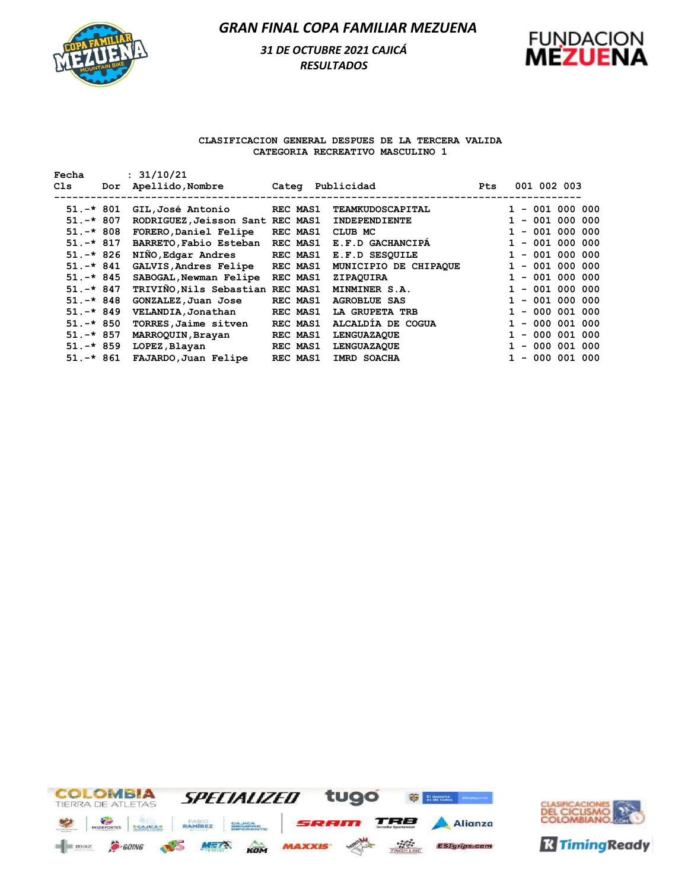

# *31 DE OCTUBRE 2021 CAJICÁ RESULTADOS*



### **CLASIFICACION GENERAL DESPUES DE LA TERCERA VALIDA CATEGORIA RECREATIVO MASCULINO 1**

| Fecha        |     | : 31/10/21                       |                  |                       |            |                   |
|--------------|-----|----------------------------------|------------------|-----------------------|------------|-------------------|
| Cls          | Dor | Apellido,Nombre                  | Categ Publicidad |                       | <b>Pts</b> | 001 002 003       |
|              |     |                                  |                  |                       |            |                   |
| $51. -* 801$ |     | GIL,José Antonio                 | <b>REC MAS1</b>  | TEAMKUDOSCAPITAL      |            | $1 - 001 000 000$ |
| $51. -* 807$ |     | RODRIGUEZ, Jeisson Sant REC MAS1 |                  | INDEPENDIENTE         |            | $1 - 001 000 000$ |
| $51. -* 808$ |     | FORERO, Daniel Felipe            | REC MAS1         | CLUB MC               |            | $-001000000$      |
| $51. -* 817$ |     | BARRETO, Fabio Esteban           | REC MAS1         | E.F.D GACHANCIPA      |            | $-001000000$      |
| $51. -* 826$ |     | NIÑO, Edgar Andres               | <b>REC MAS1</b>  | E.F.D SESOUILE        |            | $1 - 001 000 000$ |
| $51. -* 841$ |     | GALVIS, Andres Felipe            | <b>REC MAS1</b>  | MUNICIPIO DE CHIPAQUE |            | $1 - 001 000 000$ |
| $51. -* 845$ |     | SABOGAL, Newman Felipe           | REC MAS1         | ZIPAQUIRA             |            | - 001 000 000     |
| $51. -* 847$ |     | TRIVIÑO, Nils Sebastian REC MAS1 |                  | MINMINER S.A.         |            | $1 - 001 000 000$ |
| $51. -* 848$ |     | GONZALEZ, Juan Jose              | REC MAS1         | <b>AGROBLUE SAS</b>   |            | $-001000000$      |
| $51. -* 849$ |     | VELANDIA, Jonathan               | REC MAS1         | LA GRUPETA TRB        |            | $1 - 000001000$   |
| $51.-*850$   |     | TORRES, Jaime sitven             | REC MAS1         | ALCALDIA DE COGUA     |            | $-000001000$      |
| $51. -* 857$ |     | MARROQUIN, Brayan                | REC MAS1         | <b>LENGUAZAQUE</b>    |            | $-000001000$      |
| $51. -* 859$ |     | LOPEZ, Blayan                    | <b>REC MAS1</b>  | <b>LENGUAZAOUE</b>    |            | $-000001000$      |
| $51.-*861$   |     | FAJARDO, Juan Felipe             | REC MAS1         | IMRD SOACHA           |            | $-000001000$      |



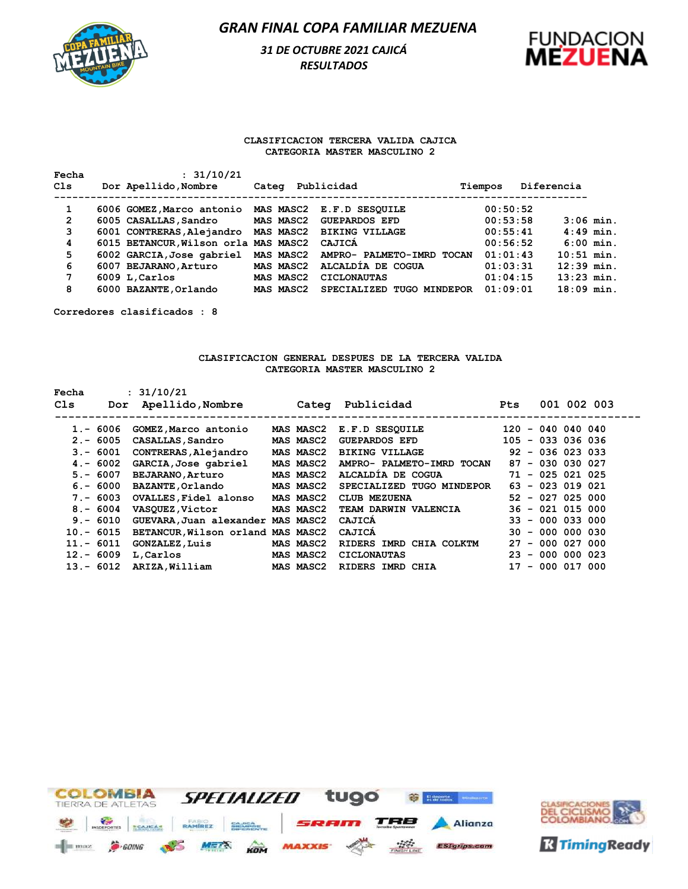

# *31 DE OCTUBRE 2021 CAJICÁ RESULTADOS*



### **CLASIFICACION TERCERA VALIDA CAJICA CATEGORIA MASTER MASCULINO 2**

| Fecha | : 31/10/21                                         |       |           |                                     |          |              |             |
|-------|----------------------------------------------------|-------|-----------|-------------------------------------|----------|--------------|-------------|
| Cls   | Dor Apellido, Nombre                               | Categ |           | Publicidad                          | Tiempos  | Diferencia   |             |
| 1     | 6006 GOMEZ, Marco antonio MAS MASC2 E.F.D SESQUILE |       |           |                                     | 00:50:52 |              |             |
| 2     | 6005 CASALLAS, Sandro                              |       | MAS MASC2 | <b>GUEPARDOS EFD</b>                | 00:53:58 |              | $3:06$ min. |
| 3     | 6001 CONTRERAS, Alejandro                          |       | MAS MASC2 | <b>BIKING VILLAGE</b>               | 00:55:41 |              | $4:49$ min. |
| 4     | 6015 BETANCUR, Wilson orla MAS MASC2 CAJICA        |       |           |                                     | 00:56:52 |              | $6:00$ min. |
| 5     | 6002 GARCIA, Jose gabriel                          |       |           | MAS MASC2 AMPRO- PALMETO-IMRD TOCAN | 01:01:43 | $10:51$ min. |             |
| 6     | 6007 BEJARANO, Arturo                              |       | MAS MASC2 | ALCALDIA DE COGUA                   | 01:03:31 | $12:39$ min. |             |
| 7     | 6009 L, Carlos                                     |       | MAS MASC2 | <b>CICLONAUTAS</b>                  | 01:04:15 | $13:23$ min. |             |
| 8     | 6000 BAZANTE, Orlando                              |       | MAS MASC2 | SPECIALIZED TUGO MINDEPOR           | 01:09:01 | $18:09$ min. |             |

**Corredores clasificados : 8**

#### **CLASIFICACION GENERAL DESPUES DE LA TERCERA VALIDA CATEGORIA MASTER MASCULINO 2**

| Fecha |             | : 31/10/21                        |                  |                           |                     |                    |             |
|-------|-------------|-----------------------------------|------------------|---------------------------|---------------------|--------------------|-------------|
| Cls   | Dor         | Apellido,Nombre                   |                  | Categ Publicidad          | Pts                 |                    | 001 002 003 |
|       |             |                                   |                  |                           |                     |                    |             |
|       | $1.-6006$   | GOMEZ, Marco antonio              | MAS MASC2        | E.F.D SESQUILE            | $120 - 040040040$   |                    |             |
|       | $2 - 6005$  | CASALLAS , Sandro                 | MAS MASC2        | <b>GUEPARDOS EFD</b>      | $105 - 033 036 036$ |                    |             |
|       | $3 - 6001$  | CONTRERAS, Alejandro              | <b>MAS MASC2</b> | <b>BIKING VILLAGE</b>     | $92 - 036 023 033$  |                    |             |
|       | $4 - 6002$  | GARCIA, Jose gabriel              | MAS MASC2        | AMPRO- PALMETO-IMRD TOCAN | $87 - 030 030 027$  |                    |             |
|       | $5. - 6007$ | <b>BEJARANO, Arturo</b>           | <b>MAS MASC2</b> | ALCALDIA DE COGUA         | $71 - 025 021 025$  |                    |             |
|       | $6. - 6000$ | <b>BAZANTE, Orlando</b>           | <b>MAS MASC2</b> | SPECIALIZED TUGO MINDEPOR | $63 - 023$ 019 021  |                    |             |
|       | $7 - 6003$  | OVALLES, Fidel alonso             | MAS MASC2        | CLUB MEZUENA              | $52 - 027 025 000$  |                    |             |
|       | $8 - 6004$  | <b>VASQUEZ,Victor</b>             | MAS MASC2        | TEAM DARWIN VALENCIA      |                     | $36 - 021$ 015 000 |             |
|       | $9 - 6010$  | GUEVARA, Juan alexander MAS MASC2 |                  | CAJICA                    | $33 - 000033000$    |                    |             |
|       | $10 - 6015$ | BETANCUR, Wilson orland MAS MASC2 |                  | CAJICA                    |                     | $30 - 000 000 030$ |             |
|       | $11.-6011$  | <b>GONZALEZ, Luis</b>             | MAS MASC2        | RIDERS IMRD CHIA COLKTM   | $27 - 000027000$    |                    |             |
|       | $12 - 6009$ | L,Carlos                          | MAS MASC2        | <b>CICLONAUTAS</b>        | $23 - 000 000 023$  |                    |             |
|       | $13 - 6012$ | ARIZA, William                    | MAS MASC2        | RIDERS IMRD CHIA          | $17 - 000 017 000$  |                    |             |
|       |             |                                   |                  |                           |                     |                    |             |



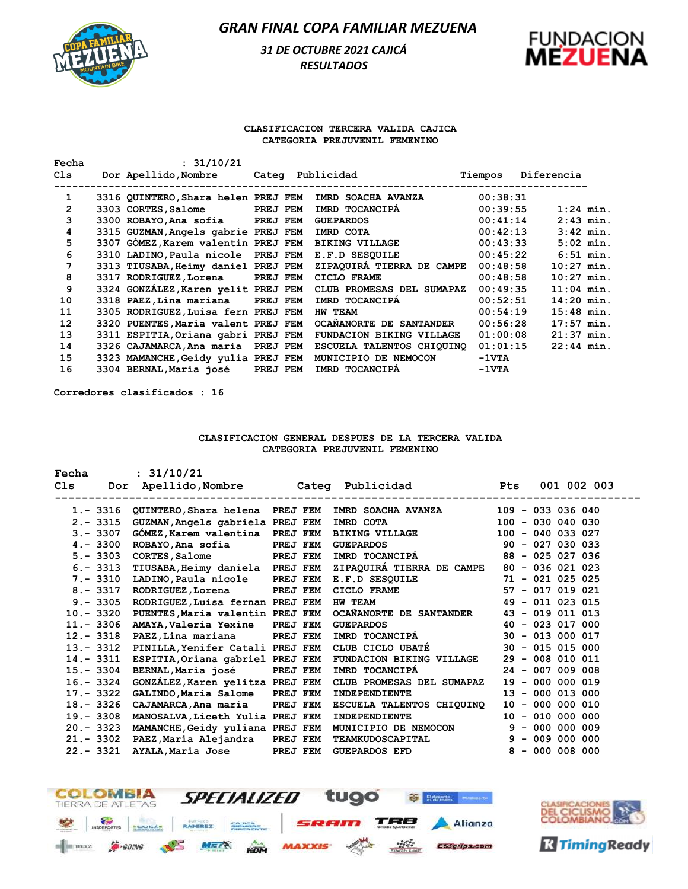# *31 DE OCTUBRE 2021 CAJICÁ RESULTADOS*



### **CLASIFICACION TERCERA VALIDA CAJICA CATEGORIA PREJUVENIL FEMENINO**

| Fecha | : 31/10/21                          |                 |                           |                 |              |             |
|-------|-------------------------------------|-----------------|---------------------------|-----------------|--------------|-------------|
| C1s   | Dor Apellido,Nombre                 |                 | Categ Publicidad          | Tiempos         | Diferencia   |             |
| 1     | 3316 QUINTERO, Shara helen PREJ FEM |                 | IMRD SOACHA AVANZA        | 00:38:31        |              |             |
| 2     | 3303 CORTES, Salome                 | <b>PREJ FEM</b> | IMRD TOCANCIPA            | 00:39:55        |              | $1:24$ min. |
| 3     | 3300 ROBAYO, Ana sofia PREJ FEM     |                 | <b>GUEPARDOS</b>          | 00:41:14        |              | $2:43$ min. |
| 4     | 3315 GUZMAN, Angels gabrie PREJ FEM |                 | IMRD COTA                 | 00:42:13        |              | $3:42$ min. |
| 5     | 3307 GÓMEZ, Karem valentin PREJ FEM |                 | <b>BIKING VILLAGE</b>     | 00:43:33        |              | $5:02$ min. |
| 6     | 3310 LADINO, Paula nicole PREJ FEM  |                 | E.F.D SESOUILE            | 00:45:22        |              | $6:51$ min. |
| 7     | 3313 TIUSABA, Heimy daniel PREJ FEM |                 | ZIPAQUIRÁ TIERRA DE CAMPE | 00:48:58        | $10:27$ min. |             |
| 8     | 3317 RODRIGUEZ, Lorena PREJ FEM     |                 | CICLO FRAME               | 00:48:58        | $10:27$ min. |             |
| 9     | 3324 GONZÁLEZ, Karen yelit PREJ FEM |                 | CLUB PROMESAS DEL SUMAPAZ | 00:49:35        | $11:04$ min. |             |
| 10    | 3318 PAEZ, Lina mariana PREJ FEM    |                 | IMRD TOCANCIPA            | 00:52:51        | $14:20$ min. |             |
| 11    | 3305 RODRIGUEZ, Luisa fern PREJ FEM |                 | <b>HW TEAM</b>            | 00:54:19        | $15:48$ min. |             |
| 12    | 3320 PUENTES, Maria valent PREJ FEM |                 | OCANANORTE DE SANTANDER   | 00:56:28        | $17:57$ min. |             |
| 13    | 3311 ESPITIA, Oriana gabri PREJ FEM |                 | FUNDACION BIKING VILLAGE  | 01:00:08        | $21:37$ min. |             |
| 14    | 3326 CAJAMARCA, Ana maria PREJ FEM  |                 | ESCUELA TALENTOS CHIOUINO | 01:01:15        | $22:44$ min. |             |
| 15    | 3323 MAMANCHE, Geidy yulia PREJ FEM |                 | MUNICIPIO DE NEMOCON      | $-1 \nabla T A$ |              |             |
| 16    | 3304 BERNAL, Maria josé             | PREJ FEM        | IMRD TOCANCIPA            | $-1VTA$         |              |             |

**Corredores clasificados : 16**

### **CLASIFICACION GENERAL DESPUES DE LA TERCERA VALIDA CATEGORIA PREJUVENIL FEMENINO**

| Fecha       | : 31/10/21                                 |                 |                                                             |                     |
|-------------|--------------------------------------------|-----------------|-------------------------------------------------------------|---------------------|
| Cls         |                                            |                 | Dor Apellido, Nombre Categ Publicidad Pts                   | 001 002 003         |
|             |                                            |                 |                                                             |                     |
|             |                                            |                 | 1.- 3316 QUINTERO, Shara helena PREJ FEM IMRD SOACHA AVANZA | $109 - 033 036 040$ |
| $2 - 3315$  | GUZMAN, Angels gabriela PREJ FEM           |                 | IMRD COTA                                                   | $100 - 030040030$   |
| $3 - 3307$  | GOMEZ, Karem valentina PREJ FEM            |                 | BIKING VILLAGE 100 - 040 033 027                            |                     |
| $4 - 3300$  | ROBAYO, Ana sofia                          | <b>PREJ FEM</b> | GUEPARDOS 90 - 027 030 033                                  |                     |
| $5. - 3303$ | CORTES, Salome PREJ FEM                    |                 | IMRD TOCANCIPÁ                                              | 88 - 025 027 036    |
| $6. - 3313$ | TIUSABA, Heimy daniela PREJ FEM            |                 | ZIPAQUIRA TIERRA DE CAMPE 80 - 036 021 023                  |                     |
| 7.- 3310    | LADINO, Paula nicole PREJ FEM              |                 | E.F.D SESQUILE 71 - 021 025 025                             |                     |
| 8.-3317     | RODRIGUEZ, Lorena PREJ FEM                 |                 | CICLO FRAME 57 - 017 019 021                                |                     |
|             | 9.- 3305 RODRIGUEZ, Luisa fernan PREJ FEM  |                 | HW TEAM 49 - 011 023 015                                    |                     |
| 10.- 3320   | PUENTES, Maria valentin PREJ FEM           |                 | OCAÑANORTE DE SANTANDER 43 - 019 011 013                    |                     |
| 11.- 3306   | AMAYA, Valeria Yexine PREJ FEM             |                 | GUEPARDOS 40 - 023 017 000                                  |                     |
|             | 12. - 3318 PAEZ, Lina mariana PREJ FEM     |                 | IMRD TOCANCIPÁ                                              | $30 - 013000017$    |
|             | 13.- 3312 PINILLA, Yenifer Catali PREJ FEM |                 | CLUB CICLO UBATÉ                                            | $30 - 015 015 000$  |
|             | 14.- 3311 ESPITIA, Oriana gabriel PREJ FEM |                 | FUNDACION BIKING VILLAGE                                    | $29 - 008 010 011$  |
| 15.- 3304   | BERNAL, Maria josé PREJ FEM                |                 | IMRD TOCANCIPA                                              | $24 - 007 009 008$  |
| 16.- 3324   | GONZALEZ, Karen yelitza PREJ FEM           |                 | CLUB PROMESAS DEL SUMAPAZ                                   | $19 - 000 000 019$  |
| 17.- 3322   | GALINDO, Maria Salome PREJ FEM             |                 | INDEPENDIENTE                                               | $13 - 000$ 013 000  |
|             | 18. - 3326 CAJAMARCA, Ana maria PREJ FEM   |                 | ESCUELA TALENTOS CHIQUINO                                   | $10 - 000 000 010$  |
| 19.- 3308   | MANOSALVA, Liceth Yulia PREJ FEM           |                 | INDEPENDIENTE                                               | $10 - 010 000 000$  |
|             | 20.- 3323 MAMANCHE, Geidy yuliana PREJ FEM |                 | MUNICIPIO DE NEMOCON                                        | $9 - 000 000 009$   |
|             | 21.- 3302 PAEZ, Maria Alejandra PREJ FEM   |                 | TEAMKUDOSCAPITAL                                            | $9 - 009 000 000$   |
| 22.- 3321   | AYALA, Maria Jose PREJ FEM                 |                 | GUEPARDOS EFD                                               | 8 - 000 008 000     |
|             |                                            |                 |                                                             |                     |

| <b>COLOMBIA</b><br><b>TIERRA DE ATLETAS</b>            | SPECIALIZED                  | tugo                 | <b>Digital El deporte</b> |
|--------------------------------------------------------|------------------------------|----------------------|---------------------------|
| TCAJICAS<br><b>INSDERORTES</b>                         | RAMIREZ<br>CAJICA<br>MEMINIK | SRAM                 | <b>TRB</b> Alianza        |
| $=$ $\frac{1}{2}$ max<br>GOING <sup></sup><br>$\sim$ 5 |                              | METS AN MAXXIS A THE | <b>ESIgrips.com</b>       |

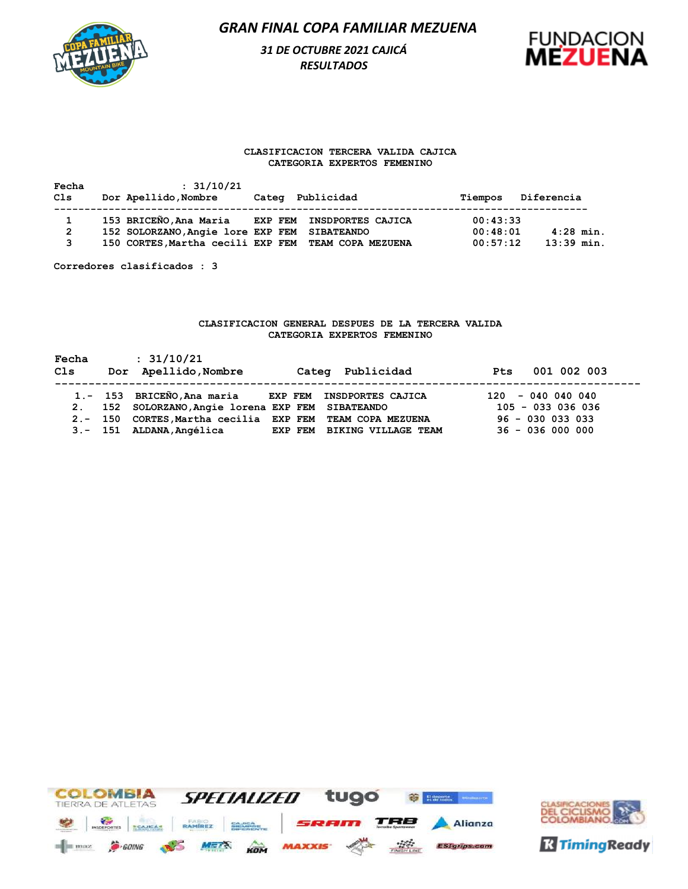

# *31 DE OCTUBRE 2021 CAJICÁ RESULTADOS*



#### **CLASIFICACION TERCERA VALIDA CAJICA CATEGORIA EXPERTOS FEMENINO**

| Fecha<br>Cls   | : 31/10/21<br>Dor Apellido, Nombre                  | Categ Publicidad | Tiempos  | Diferencia   |
|----------------|-----------------------------------------------------|------------------|----------|--------------|
| $\mathbf 1$    | 153 BRICEÑO, Ana Maria EXP FEM INSDPORTES CAJICA    |                  | 00:43:33 |              |
| $\overline{2}$ | 152 SOLORZANO, Angie lore EXP FEM SIBATEANDO        |                  | 00:48:01 | $4:28$ min.  |
| 3              | 150 CORTES, Martha cecili EXP FEM TEAM COPA MEZUENA |                  | 00:57:12 | $13:39$ min. |

**Corredores clasificados : 3**

### **CLASIFICACION GENERAL DESPUES DE LA TERCERA VALIDA CATEGORIA EXPERTOS FEMENINO**

| Fecha<br>Cls | : 31/10/21<br>Dor Apellido, Nombre                       | Categ Publicidad            | 001 002 003<br><b>Pts</b> |
|--------------|----------------------------------------------------------|-----------------------------|---------------------------|
|              | 1.- 153 BRICEÑO, Ana maria EXP FEM INSDPORTES CAJICA     |                             | $120 - 040040040$         |
|              | 2. 152 SOLORZANO, Angie lorena EXP FEM SIBATEANDO        |                             | $105 - 033 036 036$       |
|              | 2.- 150 CORTES, Martha cecilia EXP FEM TEAM COPA MEZUENA |                             | $96 - 030$ 033 033        |
|              | 3.- 151 ALDANA, Angélica                                 | EXP FEM BIKING VILLAGE TEAM | $36 - 036 000 000$        |



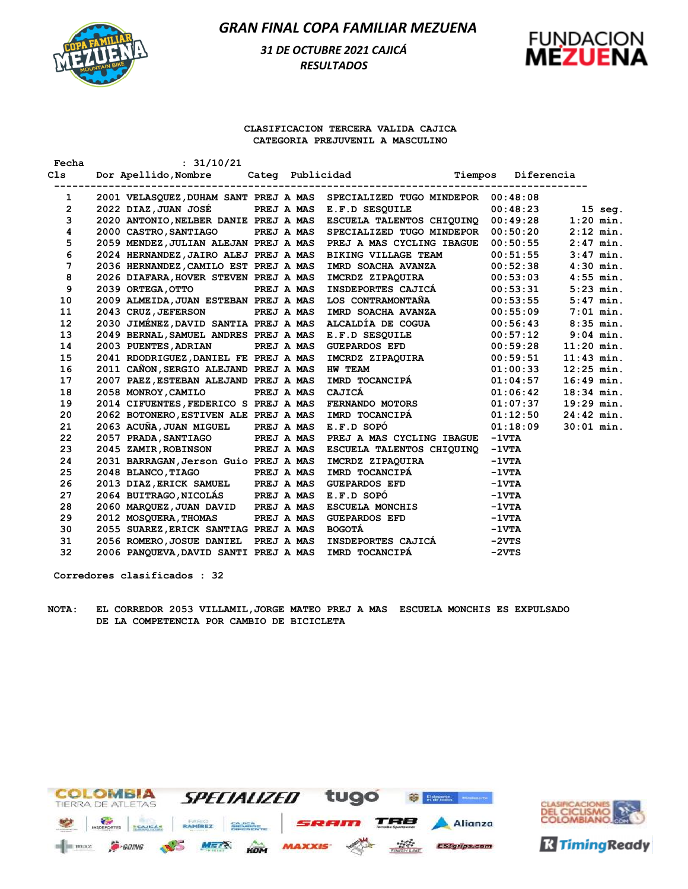

# *31 DE OCTUBRE 2021 CAJICÁ RESULTADOS*



#### **CLASIFICACION TERCERA VALIDA CAJICA CATEGORIA PREJUVENIL A MASCULINO**

| Fecha          | : 31/10/21                                                               |            |                   |                                    |                 |            |              |
|----------------|--------------------------------------------------------------------------|------------|-------------------|------------------------------------|-----------------|------------|--------------|
| Cls            | Dor Apellido, Nombre                                                     |            |                   | Categ Publicidad Tiempos           |                 | Diferencia |              |
| 1              | 2001 VELASQUEZ, DUHAM SANT PREJ A MAS SPECIALIZED TUGO MINDEPOR 00:48:08 |            |                   |                                    |                 |            |              |
| $\overline{2}$ | 2022 DIAZ, JUAN JOSÉ                                                     |            | <b>PREJ A MAS</b> | E.F.D SESQUILE                     |                 | 00:48:23   | $15$ seq.    |
| 3              | 2020 ANTONIO, NELBER DANIE PREJ A MAS                                    |            |                   | ESCUELA TALENTOS CHIQUINQ          |                 | 00:49:28   | $1:20$ min.  |
| 4              | 2000 CASTRO, SANTIAGO                                                    |            | PREJ A MAS        | SPECIALIZED TUGO MINDEPOR 00:50:20 |                 |            | $2:12$ min.  |
| 5              | 2059 MENDEZ, JULIAN ALEJAN PREJ A MAS                                    |            |                   | PREJ A MAS CYCLING IBAGUE 00:50:55 |                 |            | $2:47$ min.  |
| 6              | 2024 HERNANDEZ, JAIRO ALEJ PREJ A MAS                                    |            |                   | <b>BIKING VILLAGE TEAM</b>         |                 | 00:51:55   | $3:47$ min.  |
| 7              | 2036 HERNANDEZ, CAMILO EST PREJ A MAS                                    |            |                   | IMRD SOACHA AVANZA                 |                 | 00:52:38   | $4:30$ min.  |
| 8              | 2026 DIAFARA, HOVER STEVEN PREJ A MAS                                    |            |                   | IMCRDZ ZIPAQUIRA                   |                 | 00:53:03   | $4:55$ min.  |
| 9              | 2039 ORTEGA, OTTO                                                        |            | PREJ A MAS        | <b>INSDEPORTES CAJICÁ</b>          |                 | 00:53:31   | $5:23$ min.  |
| 10             | 2009 ALMEIDA, JUAN ESTEBAN PREJ A MAS                                    |            |                   | LOS CONTRAMONTAÑA                  |                 | 00:53:55   | $5:47$ min.  |
| 11             | 2043 CRUZ, JEFERSON                                                      | PREJ A MAS |                   |                                    |                 | 00:55:09   | $7:01$ min.  |
| 12             | 2030 JIMÉNEZ, DAVID SANTIA PREJ A MAS                                    |            |                   |                                    |                 | 00:56:43   | $8:35$ min.  |
| 13             | 2049 BERNAL, SAMUEL ANDRES PREJ A MAS                                    |            |                   | 00:57:12<br>E.F.D SESOUILE         |                 |            | $9:04$ min.  |
| 14             | 2003 PUENTES, ADRIAN                                                     |            | PREJ A MAS        | $GUEPARDOS EFD$ 00:59:28           |                 |            | $11:20$ min. |
| 15             | 2041 RDODRIGUEZ, DANIEL FE PREJ A MAS                                    |            |                   | IMCRDZ ZIPAQUIRA<br>=====          |                 | 00:59:51   | $11:43$ min. |
| 16             | 2011 CANON, SERGIO ALEJAND PREJ A MAS                                    |            |                   | HW TEAM                            |                 | 01:00:33   | $12:25$ min. |
| 17             | 2007 PAEZ, ESTEBAN ALEJAND PREJ A MAS                                    |            |                   | IMRD TOCANCIPÁ                     |                 | 01:04:57   | $16:49$ min. |
| 18             | 2058 MONROY, CAMILO                                                      |            | PREJ A MAS        | CAJICÁ                             |                 | 01:06:42   | $18:34$ min. |
| 19             | 2014 CIFUENTES, FEDERICO S PREJ A MAS                                    |            |                   | <b>FERNANDO MOTORS</b>             |                 | 01:07:37   | $19:29$ min. |
| 20             | 2062 BOTONERO, ESTIVEN ALE PREJ A MAS                                    |            |                   | IMRD TOCANCIPA                     |                 | 01:12:50   | $24:42$ min. |
| 21             | 2063 ACUÑA, JUAN MIGUEL                                                  |            | PREJ A MAS        | E.F.D SOPO                         |                 | 01:18:09   | $30:01$ min. |
| 22             | 2057 PRADA, SANTIAGO PREJ A MAS                                          |            |                   | PREJ A MAS CYCLING IBAGUE          | $-1$ VTA        |            |              |
| 23             | 2045 ZAMIR, ROBINSON                                                     |            | PREJ A MAS        | ESCUELA TALENTOS CHIQUINO          | $-1$ VTA        |            |              |
| 24             | 2031 BARRAGAN, Jerson Guio PREJ A MAS                                    |            |                   | IMCRDZ ZIPAQUIRA                   | $-1$ VTA        |            |              |
| 25             | 2048 BLANCO, TIAGO                                                       |            | PREJ A MAS        | IMRD TOCANCIPÁ                     | $-1 \nabla T A$ |            |              |
| 26             | 2013 DIAZ, ERICK SAMUEL PREJ A MAS                                       |            |                   | <b>GUEPARDOS EFD</b>               | $-1$ VTA        |            |              |
| 27             | 2064 BUITRAGO, NICOLÁS PREJ A MAS                                        |            |                   | E.F.D SOPÓ                         | $-1 \nabla T A$ |            |              |
| 28             | 2060 MARQUEZ, JUAN DAVID PREJ A MAS                                      |            |                   | ESCUELA MONCHIS                    | $-1 \nabla T A$ |            |              |
| 29             | <b>2012 MOSQUERA, THOMAS</b>                                             |            | PREJ A MAS        | <b>GUEPARDOS EFD</b>               | $-1 \nabla T A$ |            |              |
| 30             | 2055 SUAREZ, ERICK SANTIAG PREJ A MAS                                    |            |                   | <b>BOGOTÁ</b>                      | $-1 \nabla T A$ |            |              |
| 31             | 2056 ROMERO, JOSUE DANIEL PREJ A MAS                                     |            |                   | INSDEPORTES CAJICÁ                 | $-2VTS$         |            |              |
| 32             | 2006 PANQUEVA, DAVID SANTI PREJ A MAS                                    |            |                   | IMRD TOCANCIPA                     | $-2VTS$         |            |              |

**Corredores clasificados : 32**

**NOTA: EL CORREDOR 2053 VILLAMIL,JORGE MATEO PREJ A MAS ESCUELA MONCHIS ES EXPULSADO DE LA COMPETENCIA POR CAMBIO DE BICICLETA** 





**R** Timing Ready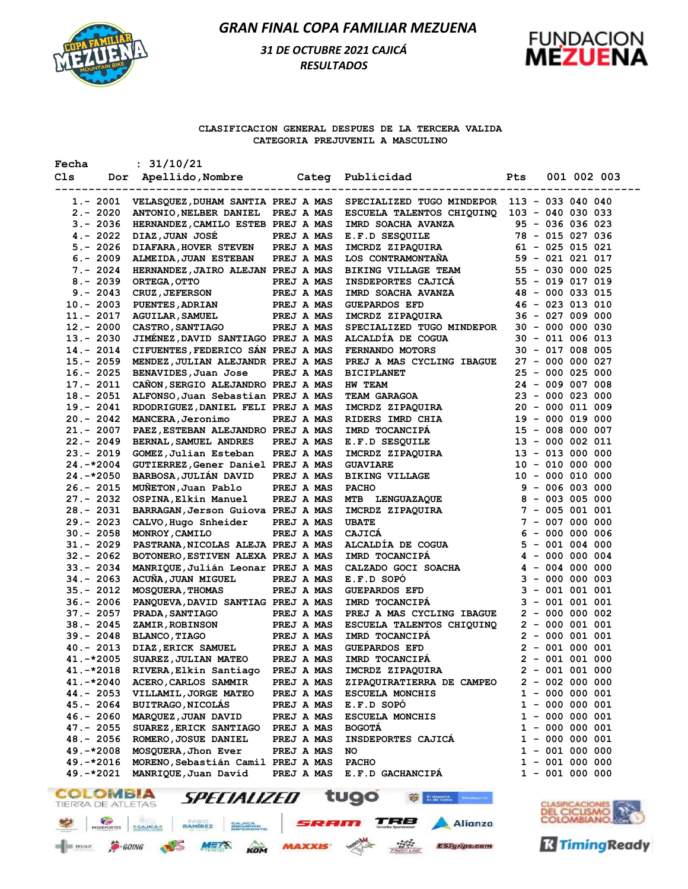

# *31 DE OCTUBRE 2021 CAJICÁ RESULTADOS*



### **CLASIFICACION GENERAL DESPUES DE LA TERCERA VALIDA CATEGORIA PREJUVENIL A MASCULINO**

| Fecha        | : 31/10/21                                               |                   |                                               |            |                     |             |
|--------------|----------------------------------------------------------|-------------------|-----------------------------------------------|------------|---------------------|-------------|
| Cls          | Dor Apellido, Nombre Categ Publicidad                    |                   |                                               | <b>Pts</b> |                     | 001 002 003 |
|              |                                                          |                   |                                               |            |                     |             |
| $1.-2001$    | VELASQUEZ,DUHAM SANTIA PREJ A MAS                        |                   | SPECIALIZED TUGO MINDEPOR                     |            | $113 - 033040040$   |             |
| $2. - 2020$  | ANTONIO, NELBER DANIEL                                   | PREJ A MAS        | ESCUELA TALENTOS CHIQUINQ                     |            | $103 - 040 030 033$ |             |
| $3. - 2036$  | HERNANDEZ, CAMILO ESTEB PREJ A MAS                       |                   | IMRD SOACHA AVANZA                            |            | $95 - 036 036 023$  |             |
| 4.- 2022     | DIAZ, JUAN JOSÉ                                          | PREJ A MAS        | E.F.D SESQUILE                                |            | 78 - 015 027 036    |             |
| $5. - 2026$  | <b>DIAFARA, HOVER STEVEN</b>                             | PREJ A MAS        | IMCRDZ ZIPAQUIRA                              |            | $61 - 025 015 021$  |             |
| $6. - 2009$  | ALMEIDA, JUAN ESTEBAN                                    | PREJ A MAS        | <b>LOS CONTRAMONTANA</b>                      |            | $59 - 021 021 017$  |             |
| 7.- 2024     | HERNANDEZ, JAIRO ALEJAN PREJ A MAS                       |                   | <b>BIKING VILLAGE TEAM</b>                    |            | $55 - 030 000 025$  |             |
| 8.- 2039     | ORTEGA, OTTO                                             | PREJ A MAS        | INSDEPORTES CAJICÁ                            |            | $55 - 019 017 019$  |             |
| $9. - 2043$  | <b>CRUZ, JEFERSON</b>                                    | PREJ A MAS        | IMRD SOACHA AVANZA                            |            | 48 - 000 033 015    |             |
| $10. - 2003$ | <b>PUENTES, ADRIAN</b>                                   | PREJ A MAS        | <b>GUEPARDOS EFD</b>                          |            | $46 - 023 013 010$  |             |
| 11.- 2017    | <b>AGUILAR, SAMUEL</b>                                   | PREJ A MAS        | IMCRDZ ZIPAQUIRA                              |            | $36 - 027 009 000$  |             |
| $12 - 2000$  | <b>CASTRO, SANTIAGO</b>                                  | PREJ A MAS        | SPECIALIZED TUGO MINDEPOR                     |            | $30 - 000 000 030$  |             |
| 13.- 2030    | JIMÉNEZ, DAVID SANTIAGO PREJ A MAS                       |                   | ALCALDIA DE COGUA                             |            | $30 - 011 006 013$  |             |
| 14.- 2014    | CIFUENTES, FEDERICO SÁN PREJ A MAS                       |                   | FERNANDO MOTORS                               |            | $30 - 017 008 005$  |             |
| 15.- 2059    | MENDEZ, JULIAN ALEJANDR PREJ A MAS                       |                   | PREJ A MAS CYCLING IBAGUE                     |            | $27 - 000 000 027$  |             |
| $16. - 2025$ | BENAVIDES, Juan Jose                                     | PREJ A MAS        | <b>BICIPLANET</b>                             |            | $25 - 000 025 000$  |             |
| 17.- 2011    | CAÑON, SERGIO ALEJANDRO PREJ A MAS                       |                   | HW TEAM                                       |            | 24 - 009 007 008    |             |
| 18.- 2051    | ALFONSO, Juan Sebastian PREJ A MAS                       |                   | <b>TEAM GARAGOA</b>                           |            | $23 - 0000023000$   |             |
| 19.- 2041    | RDODRIGUEZ, DANIEL FELI PREJ A MAS                       |                   | IMCRDZ ZIPAQUIRA                              |            | $20 - 000 011 009$  |             |
| $20. - 2042$ | MANCERA, Jeronimo                                        | PREJ A MAS        | RIDERS IMRD CHIA<br>IMRD TOCANCIPÁ            |            | $19 - 000 019 000$  |             |
| 21.- 2007    | PAEZ, ESTEBAN ALEJANDRO PREJ A MAS                       |                   |                                               |            | 15 - 008 000 007    |             |
| 22.- 2049    | BERNAL, SAMUEL ANDRES                                    | PREJ A MAS        | E.F.D SESQUILE                                |            | 13 - 000 002 011    |             |
| 23.- 2019    | GOMEZ, Julian Esteban                                    | PREJ A MAS        | IMCRDZ ZIPAQUIRA                              |            | $13 - 013 000 000$  |             |
| 24.-*2004    | GUTIERREZ, Gener Daniel PREJ A MAS                       |                   | <b>GUAVIARE</b>                               |            | $10 - 010 000 000$  |             |
| 24.-*2050    | BARBOSA, JULIÁN DAVID                                    | PREJ A MAS        | <b>BIKING VILLAGE</b>                         |            | $10 - 000 010 000$  |             |
| 26.- 2015    | MUÑETON, Juan Pablo                                      | PREJ A MAS        | <b>PACHO</b>                                  |            | $9 - 006 003 000$   |             |
| 27.- 2032    | OSPINA, Elkin Manuel                                     | PREJ A MAS        | FACILE<br>MTB LENGUAZAQUE<br>IMCRDZ ZIPAQUIRA |            | $8 - 003 005 000$   |             |
| 28.- 2031    | BARRAGAN, Jerson Guiova PREJ A MAS                       |                   |                                               |            | $7 - 005 001 001$   |             |
| 29.- 2023    | CALVO, Hugo Snheider                                     | PREJ A MAS        | <b>UBATE</b>                                  |            | $7 - 007 000 000$   |             |
| $30 - 2058$  | MONROY, CAMILO                                           | PREJ A MAS        | CAJICA                                        |            | $6 - 000 000 006$   |             |
| 31.- 2029    | PASTRANA, NICOLAS ALEJA PREJ A MAS                       |                   | ALCALDIA DE COGUA                             |            | $5 - 001 004 000$   |             |
| 32.- 2062    | BOTONERO, ESTIVEN ALEXA PREJ A MAS                       |                   | IMRD TOCANCIPA                                |            | $4 - 000 000 004$   |             |
| $33 - 2034$  | MANRIQUE, Julián Leonar PREJ A MAS                       |                   | CALZADO GOCI SOACHA                           |            | $4 - 004 000 000$   |             |
| 34.- 2063    | ACUÑA, JUAN MIGUEL                                       | PREJ A MAS        | E.F.D SOPO                                    |            | $3 - 000 000 003$   |             |
| 35.- 2012    | MOSQUERA, THOMAS                                         | PREJ A MAS        | <b>GUEPARDOS EFD</b>                          |            | $3 - 001 001 001$   |             |
| $36. - 2006$ | PANQUEVA, DAVID SANTIAG PREJ A MAS                       |                   | IMRD TOCANCIPA                                |            | $3 - 001 001 001$   |             |
| 37.- 2057    | <b>PRADA, SANTIAGO</b>                                   | PREJ A MAS        | PREJ A MAS CYCLING IBAGUE                     |            | $2 - 000000002$     |             |
| 38.- 2045    | <b>ZAMIR, ROBINSON</b>                                   | <b>PREJ A MAS</b> | ESCUELA TALENTOS CHIQUINQ                     |            | $2 - 000001001$     |             |
| 39.- 2048    | <b>BLANCO, TIAGO</b>                                     | PREJ A MAS        | IMRD TOCANCIPA                                |            | $2 - 000001001$     |             |
| 40.- 2013    | DIAZ, ERICK SAMUEL                                       | PREJ A MAS        | <b>GUEPARDOS EFD</b>                          |            | $2 - 001 000 001$   |             |
|              | 41.-*2005 SUAREZ, JULIAN MATEO PREJ A MAS IMRD TOCANCIPÁ |                   |                                               |            | $2 - 001 001 000$   |             |
| 41.-*2018    | RIVERA, Elkin Santiago                                   | PREJ A MAS        | IMCRDZ ZIPAQUIRA                              |            | $2 - 001 001 000$   |             |
| $41.-*2040$  | ACERO, CARLOS SAMMIR                                     | PREJ A MAS        | ZIPAQUIRATIERRA DE CAMPEO                     |            | $2 - 002 000 000$   |             |
| 44.- 2053    | VILLAMIL, JORGE MATEO                                    | PREJ A MAS        | <b>ESCUELA MONCHIS</b>                        |            | $1 - 000 000 001$   |             |
| 45.- 2064    | <b>BUITRAGO, NICOLÁS</b>                                 | PREJ A MAS        | E.F.D SOPÓ                                    |            | $1 - 000 000 001$   |             |
| $46. - 2060$ | MARQUEZ, JUAN DAVID                                      | PREJ A MAS        | <b>ESCUELA MONCHIS</b>                        |            | $1 - 000 000 001$   |             |
| 47.- 2055    | SUAREZ, ERICK SANTIAGO                                   | PREJ A MAS        | <b>BOGOTA</b>                                 |            | $1 - 000 000 001$   |             |
| 48.- 2056    | ROMERO, JOSUE DANIEL                                     | PREJ A MAS        | INSDEPORTES CAJICA                            |            | 1 - 000 000 001     |             |
| 49. –*2008   | MOSQUERA, Jhon Ever                                      | PREJ A MAS        | NO                                            |            | 1 - 001 000 000     |             |
| $49.-*2016$  | MORENO, Sebastián Camil PREJ A MAS                       |                   | <b>PACHO</b>                                  |            | $1 - 001 000 000$   |             |
| $49.-*2021$  | MANRIQUE, Juan David                                     | PREJ A MAS        | E.F.D GACHANCIPA                              |            | $1 - 001 000 000$   |             |





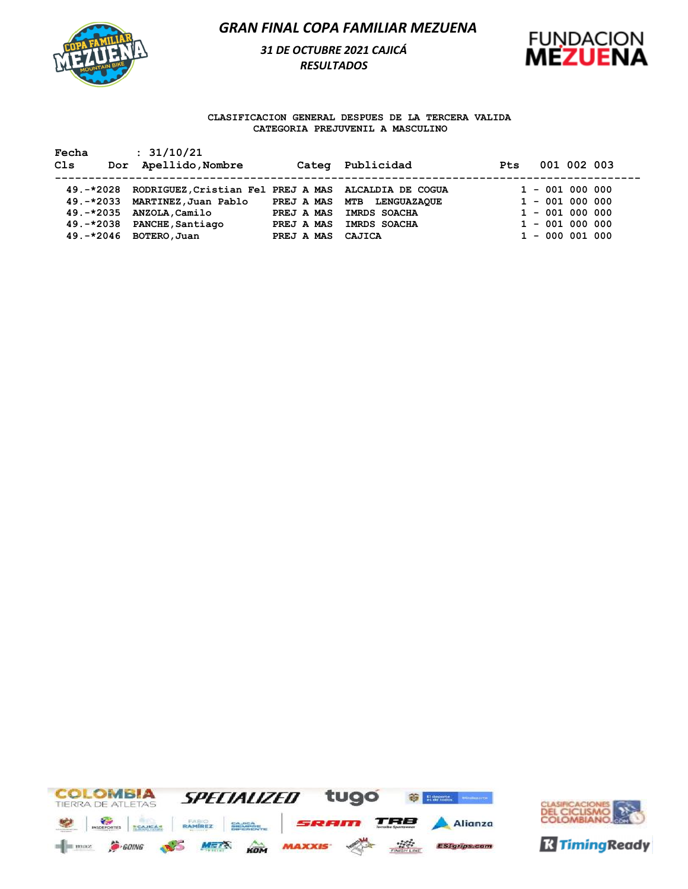

## *31 DE OCTUBRE 2021 CAJICÁ RESULTADOS*



### **CLASIFICACION GENERAL DESPUES DE LA TERCERA VALIDA CATEGORIA PREJUVENIL A MASCULINO**

**Fecha : 31/10/21**

| Cls | Dor Apellido, Nombre                                                                                                                                                                        |                                               | Categ Publicidad                                                         | <b>Pts</b> | 001 002 003                                                                                         |  |
|-----|---------------------------------------------------------------------------------------------------------------------------------------------------------------------------------------------|-----------------------------------------------|--------------------------------------------------------------------------|------------|-----------------------------------------------------------------------------------------------------|--|
|     | 49.-*2028 RODRIGUEZ, Cristian Fel PREJ A MAS ALCALDIA DE COGUA<br>49. -* 2033 MARTINEZ, Juan Pablo<br>49.-*2035 ANZOLA, Camilo<br>49. - * 2038 PANCHE, Santiago<br>$49.-*2046$ BOTERO, Juan | PREJ A MAS<br>PREJ A MAS<br>PREJ A MAS CAJICA | PREJ A MAS MTB LENGUAZAQUE<br><b>IMRDS SOACHA</b><br><b>IMRDS SOACHA</b> |            | $1 - 001 000 000$<br>$1 - 001 000 000$<br>$1 - 001 000 000$<br>$1 - 001 000 000$<br>$1 - 000001000$ |  |



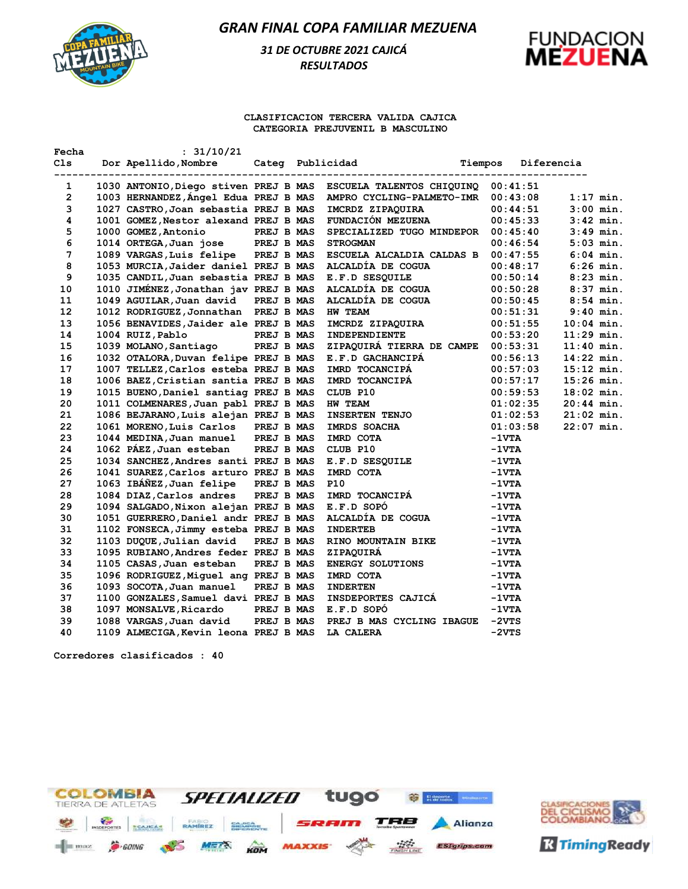

# *31 DE OCTUBRE 2021 CAJICÁ RESULTADOS*



### **CLASIFICACION TERCERA VALIDA CAJICA CATEGORIA PREJUVENIL B MASCULINO**

| Fecha          | : 31/10/21                            |                   |                                                                          |         |                 |              |
|----------------|---------------------------------------|-------------------|--------------------------------------------------------------------------|---------|-----------------|--------------|
| Cls.           | Dor Apellido, Nombre                  |                   | Categ Publicidad                                                         | Tiempos |                 | Diferencia   |
| 1              |                                       |                   | 1030 ANTONIO, Diego stiven PREJ B MAS ESCUELA TALENTOS CHIQUINQ 00:41:51 |         |                 |              |
| $\overline{2}$ | 1003 HERNANDEZ, Angel Edua PREJ B MAS |                   | AMPRO CYCLING-PALMETO-IMR 00:43:08                                       |         |                 | $1:17$ min.  |
| 3              | 1027 CASTRO, Joan sebastia PREJ B MAS |                   | IMCRDZ ZIPAQUIRA                                                         |         | 00:44:51        | $3:00$ min.  |
| 4              | 1001 GOMEZ, Nestor alexand PREJ B MAS |                   | FUNDACIÓN MEZUENA                                                        |         | 00:45:33        | $3:42$ min.  |
| 5              | 1000 GOMEZ, Antonio                   | <b>PREJ B MAS</b> | SPECIALIZED TUGO MINDEPOR                                                |         | 00:45:40        | $3:49$ min.  |
| 6              | 1014 ORTEGA, Juan jose PREJ B MAS     |                   | <b>STROGMAN</b>                                                          |         | 00:46:54        | $5:03$ min.  |
| 7              | 1089 VARGAS, Luis felipe PREJ B MAS   |                   | ESCUELA ALCALDIA CALDAS B                                                |         | 00:47:55        | $6:04$ min.  |
| 8              | 1053 MURCIA, Jaider daniel PREJ B MAS |                   | ALCALDÍA DE COGUA                                                        |         | 00:48:17        | $6:26$ min.  |
| 9              | 1035 CANDIL, Juan sebastia PREJ B MAS |                   | E.F.D SESQUILE                                                           |         | 00:50:14        | $8:23$ min.  |
| 10             | 1010 JIMÉNEZ, Jonathan jav PREJ B MAS |                   | ALCALDÍA DE COGUA                                                        |         | 00:50:28        | $8:37$ min.  |
| 11             | 1049 AGUILAR, Juan david              | PREJ B MAS        | ALCALDÍA DE COGUA                                                        |         | 00:50:45        | $8:54$ min.  |
| 12             | 1012 RODRIGUEZ, Jonnathan PREJ B MAS  |                   | HW TEAM                                                                  |         | 00:51:31        | $9:40$ min.  |
| 13             | 1056 BENAVIDES, Jaider ale PREJ B MAS |                   | IMCRDZ ZIPAQUIRA                                                         |         | 00:51:55        | $10:04$ min. |
| 14             | 1004 RUIZ, Pablo<br><b>PREJ B MAS</b> |                   | INDEPENDIENTE                                                            |         | 00:53:20        | $11:29$ min. |
| 15             | 1039 MOLANO, Santiago PREJ B MAS      |                   | ZIPAQUIRÁ TIERRA DE CAMPE                                                |         | 00:53:31        | $11:40$ min. |
| 16             | 1032 OTALORA, Duvan felipe PREJ B MAS |                   | E.F.D GACHANCIPA                                                         |         | 00:56:13        | $14:22$ min. |
| 17             | 1007 TELLEZ, Carlos esteba PREJ B MAS |                   | IMRD TOCANCIPÁ                                                           |         | 00:57:03        | $15:12$ min. |
| 18             | 1006 BAEZ, Cristian santia PREJ B MAS |                   | IMRD TOCANCIPÁ                                                           |         | 00:57:17        | $15:26$ min. |
| 19             | 1015 BUENO, Daniel santiag PREJ B MAS |                   | CLUB P10                                                                 |         | 00:59:53        | $18:02$ min. |
| 20             | 1011 COLMENARES, Juan pabl PREJ B MAS |                   | <b>HW TEAM</b>                                                           |         | 01:02:35        | $20:44$ min. |
| 21             | 1086 BEJARANO, Luis alejan PREJ B MAS |                   | <b>INSERTEN TENJO</b>                                                    |         | 01:02:53        | $21:02$ min. |
| 22             | 1061 MORENO, Luis Carlos PREJ B MAS   |                   | <b>IMRDS SOACHA</b>                                                      |         | 01:03:58        | $22:07$ min. |
| 23             | 1044 MEDINA, Juan manuel PREJ B MAS   |                   | IMRD COTA                                                                |         | $-1VTA$         |              |
| 24             | 1062 PÁEZ, Juan esteban PREJ B MAS    |                   | CLUB P10                                                                 |         | $-1VTA$         |              |
| 25             | 1034 SANCHEZ, Andres santi PREJ B MAS |                   | E.F.D SESQUILE                                                           |         | -1vta           |              |
| 26             | 1041 SUAREZ, Carlos arturo PREJ B MAS |                   | IMRD COTA                                                                |         | $-1 \nabla T A$ |              |
| 27             | 1063 IBÁÑEZ, Juan felipe              | PREJ B MAS        | <b>P10</b>                                                               |         | $-1VTA$         |              |
| 28             | 1084 DIAZ, Carlos andres              | PREJ B MAS        | IMRD TOCANCIPÁ                                                           |         | $-1VTA$         |              |
| 29             | 1094 SALGADO, Nixon alejan PREJ B MAS |                   | E.F.D SOPO                                                               |         | -1vta           |              |
| 30             | 1051 GUERRERO, Daniel andr PREJ B MAS |                   | ALCALDÍA DE COGUA                                                        |         | $-1 \nabla T A$ |              |
| 31             | 1102 FONSECA, Jimmy esteba PREJ B MAS |                   | <b>INDERTEB</b>                                                          |         | -1vta           |              |
| 32             | 1103 DUQUE, Julian david              | PREJ B MAS        | RINO MOUNTAIN BIKE                                                       |         | $-1VTA$         |              |
| 33             | 1095 RUBIANO, Andres feder PREJ B MAS |                   | ZIPAQUIRÁ                                                                |         | $-1VTA$         |              |
| 34             | 1105 CASAS, Juan esteban              | PREJ B MAS        | <b>ENERGY SOLUTIONS</b>                                                  |         | $-1 \nabla T A$ |              |
| 35             | 1096 RODRIGUEZ, Miguel ang PREJ B MAS |                   | IMRD COTA                                                                |         | $-1 \nabla T A$ |              |
| 36             | 1093 SOCOTA, Juan manuel              | PREJ B MAS        | <b>INDERTEN</b>                                                          |         | -1vta           |              |
| 37             | 1100 GONZALES, Samuel davi PREJ B MAS |                   | <b>INSDEPORTES CAJICA</b>                                                |         | $-1VTA$         |              |
| 38             | 1097 MONSALVE, Ricardo                | PREJ B MAS        | E.F.D SOPO                                                               |         | $-1 \nabla T A$ |              |
| 39             | 1088 VARGAS, Juan david               | PREJ B MAS        | PREJ B MAS CYCLING IBAGUE                                                |         | $-2VTS$         |              |
| 40             | 1109 ALMECIGA, Kevin leona PREJ B MAS |                   | LA CALERA                                                                |         | $-2VTS$         |              |

**Corredores clasificados : 40**



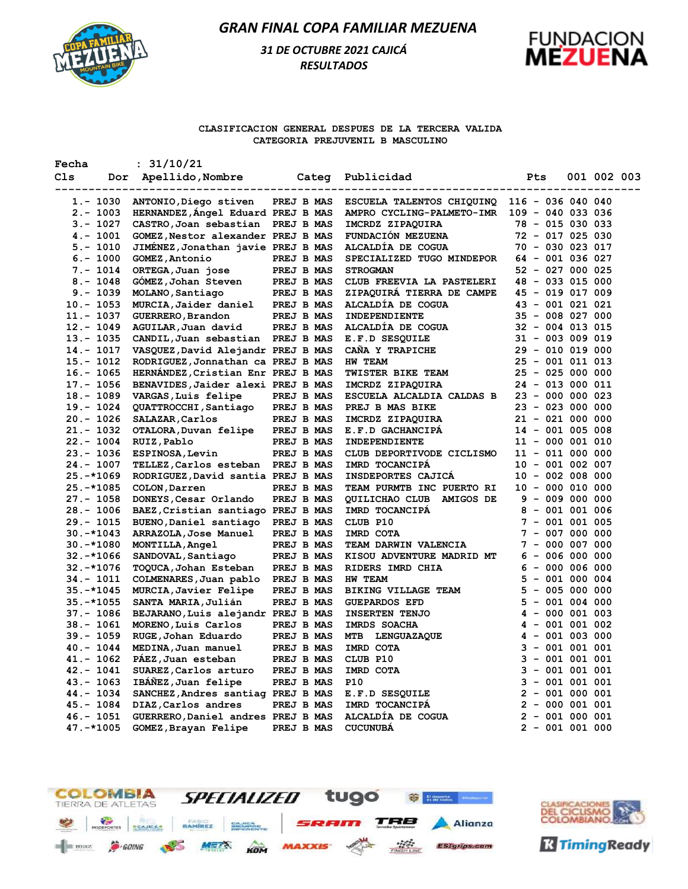

# *31 DE OCTUBRE 2021 CAJICÁ RESULTADOS*



### **CLASIFICACION GENERAL DESPUES DE LA TERCERA VALIDA CATEGORIA PREJUVENIL B MASCULINO**

| Fecha |              | : 31/10/21                            |            |                                      |                     |             |  |
|-------|--------------|---------------------------------------|------------|--------------------------------------|---------------------|-------------|--|
| C1s   |              | Dor Apellido, Nombre Categ Publicidad |            | ---------------------------------    | Pts                 | 001 002 003 |  |
|       | 1.- 1030     | ANTONIO, Diego stiven                 |            | PREJ B MAS ESCUELA TALENTOS CHIQUINQ | $116 - 036 040 040$ |             |  |
|       | $2. - 1003$  | HERNANDEZ, Angel Eduard PREJ B MAS    |            | AMPRO CYCLING-PALMETO-IMR            | $109 - 040 033 036$ |             |  |
|       | $3 - 1027$   | CASTRO, Joan sebastian PREJ B MAS     |            | IMCRDZ ZIPAQUIRA                     | 78 - 015 030 033    |             |  |
|       | $4. - 1001$  | GOMEZ, Nestor alexander PREJ B MAS    |            | FUNDACIÓN MEZUENA                    | 72 - 017 025 030    |             |  |
|       | $5. - 1010$  | JIMENEZ, Jonathan javie PREJ B MAS    |            | ALCALDÍA DE COGUA                    | $70 - 030 023 017$  |             |  |
|       | $6. - 1000$  | GOMEZ, Antonio                        | PREJ B MAS | SPECIALIZED TUGO MINDEPOR            | 64 - 001 036 027    |             |  |
|       | $7. - 1014$  | ORTEGA, Juan jose                     | PREJ B MAS | <b>STROGMAN</b>                      | 52 - 027 000 025    |             |  |
|       | $8. - 1048$  | GOMEZ,Johan Steven                    | PREJ B MAS | CLUB FREEVIA LA PASTELERI            | 48 - 033 015 000    |             |  |
|       | $9. - 1039$  | MOLANO, Santiago                      | PREJ B MAS | ZIPAQUIRÁ TIERRA DE CAMPE            | 45 - 019 017 009    |             |  |
|       | 10.- 1053    | MURCIA, Jaider daniel                 | PREJ B MAS | ALCALDÍA DE COGUA                    | 43 - 001 021 021    |             |  |
|       | $11.-1037$   | GUERRERO, Brandon                     | PREJ B MAS | <b>INDEPENDIENTE</b>                 | 35 - 008 027 000    |             |  |
|       | 12.- 1049    | AGUILAR, Juan david                   | PREJ B MAS | ALCALDIA DE COGUA                    | $32 - 004$ 013 015  |             |  |
|       | 13.- 1035    | CANDIL, Juan sebastian PREJ B MAS     |            | E.F.D SESQUILE                       | 31 - 003 009 019    |             |  |
|       | 14.- 1017    | VASQUEZ, David Alejandr PREJ B MAS    |            | CAÑA Y TRAPICHE                      | $29 - 010 019 000$  |             |  |
|       | 15.- 1012    | RODRIGUEZ, Jonnathan ca PREJ B MAS    |            | <b>HW TEAM</b>                       | $25 - 001 011 013$  |             |  |
|       | $16. - 1065$ | HERNANDEZ, Cristian Enr PREJ B MAS    |            | TWISTER BIKE TEAM                    | $25 - 025 000 000$  |             |  |
|       | 17.- 1056    | BENAVIDES, Jaider alexi PREJ B MAS    |            | IMCRDZ ZIPAQUIRA                     | $24 - 013 000 011$  |             |  |
|       | 18.- 1089    | <b>VARGAS, Luis felipe</b>            | PREJ B MAS | ESCUELA ALCALDIA CALDAS B            | $23 - 000 000 023$  |             |  |
|       | 19.- 1024    | QUATTROCCHI, Santiago                 | PREJ B MAS | PREJ B MAS BIKE                      | $23 - 023000000$    |             |  |
|       | $20. - 1026$ | <b>SALAZAR, Carlos</b>                | PREJ B MAS | IMCRDZ ZIPAQUIRA                     | $21 - 021 000 000$  |             |  |
|       | $21. - 1032$ | OTALORA, Duvan felipe                 | PREJ B MAS | E.F.D GACHANCIPÁ                     | 14 - 001 005 008    |             |  |
|       | $22 - 1004$  | RUIZ, Pablo                           | PREJ B MAS | <b>INDEPENDIENTE</b>                 | $11 - 000 001 010$  |             |  |
|       | $23 - 1036$  | ESPINOSA, Levin                       | PREJ B MAS | CLUB DEPORTIVODE CICLISMO            | $11 - 011 000 000$  |             |  |
|       | $24. - 1007$ | TELLEZ, Carlos esteban PREJ B MAS     |            | IMRD TOCANCIPA                       | $10 - 001 002 007$  |             |  |
|       | 25.–*1069    | RODRIGUEZ, David santia PREJ B MAS    |            | INSDEPORTES CAJICA                   | $10 - 002 008 000$  |             |  |
|       | $25. -*1085$ | COLON, Darren                         | PREJ B MAS | TEAM PURMTB INC PUERTO RI            | $10 - 000 010 000$  |             |  |
|       | $27. - 1058$ | DONEYS, Cesar Orlando                 | PREJ B MAS | QUILICHAO CLUB AMIGOS DE             | $9 - 009 000 000$   |             |  |
|       | 28.- 1006    | BAEZ, Cristian santiago PREJ B MAS    |            | IMRD TOCANCIPA                       | $8 - 001 001 006$   |             |  |
|       | 29.- 1015    | BUENO, Daniel santiago PREJ B MAS     |            | CLUB P10                             | $7 - 001 001 005$   |             |  |
|       | $30.-*1043$  | ARRAZOLA, Jose Manuel                 | PREJ B MAS | IMRD COTA                            | $7 - 007 000 000$   |             |  |
|       | $30.-*1080$  | MONTILLA, Angel                       | PREJ B MAS | TEAM DARWIN VALENCIA                 | $7 - 000 007 000$   |             |  |
|       | $32.-*1066$  | SANDOVAL, Santiago                    | PREJ B MAS | KISOU ADVENTURE MADRID MT            | $6 - 006 000 000$   |             |  |
|       | $32.-*1076$  | TOQUCA, Johan Esteban                 | PREJ B MAS | RIDERS IMRD CHIA                     | $6 - 000 006 000$   |             |  |
|       | $34. - 1011$ | COLMENARES, Juan pablo                | PREJ B MAS | HW TEAM                              | $5 - 001 000 004$   |             |  |
|       | $35. -*1045$ | MURCIA, Javier Felipe                 | PREJ B MAS | BIKING VILLAGE TEAM                  | $5 - 005 000 000$   |             |  |
|       | $35. -*1055$ | SANTA MARIA, Julián                   | PREJ B MAS | <b>GUEPARDOS EFD</b>                 | $5 - 001 004 000$   |             |  |
|       | $37. - 1086$ | BEJARANO, Luis alejandr PREJ B MAS    |            | <b>INSERTEN TENJO</b>                | $4 - 000 001 003$   |             |  |
|       | 38.- 1061    | MORENO, Luis Carlos                   | PREJ B MAS | IMRDS SOACHA                         | $4 - 001 001 002$   |             |  |
|       | $39. - 1059$ | RUGE, Johan Eduardo                   | PREJ B MAS | MTB LENGUAZAQUE                      | $4 - 001 003 000$   |             |  |
|       | $40 - 1044$  | MEDINA, Juan manuel                   | PREJ B MAS | IMRD COTA                            | $3 - 001 001 001$   |             |  |
|       | $41. - 1062$ | PÁEZ, Juan esteban                    | PREJ B MAS | CLUB P10                             | $3 - 001 001 001$   |             |  |
|       | $42 - 1041$  | SUAREZ, Carlos arturo                 | PREJ B MAS | IMRD COTA                            | $3 - 001 001 001$   |             |  |
|       | $43 - 1063$  | IBÁÑEZ, Juan felipe                   | PREJ B MAS | <b>P10</b>                           | $3 - 001 001 001$   |             |  |
|       | $44. - 1034$ | SANCHEZ, Andres santiag PREJ B MAS    |            | E.F.D SESQUILE                       | $2 - 001 000 001$   |             |  |
|       | $45 - 1084$  | DIAZ, Carlos andres                   | PREJ B MAS | IMRD TOCANCIPA                       | $2 - 000001001$     |             |  |
|       | $46. - 1051$ | GUERRERO, Daniel andres PREJ B MAS    |            | ALCALDIA DE COGUA                    | $2 - 001 000 001$   |             |  |
|       | 47. -*1005   |                                       | PREJ B MAS | <b>CUCUNUBÁ</b>                      | $2 - 001 001 000$   |             |  |
|       |              | GOMEZ, Brayan Felipe                  |            |                                      |                     |             |  |



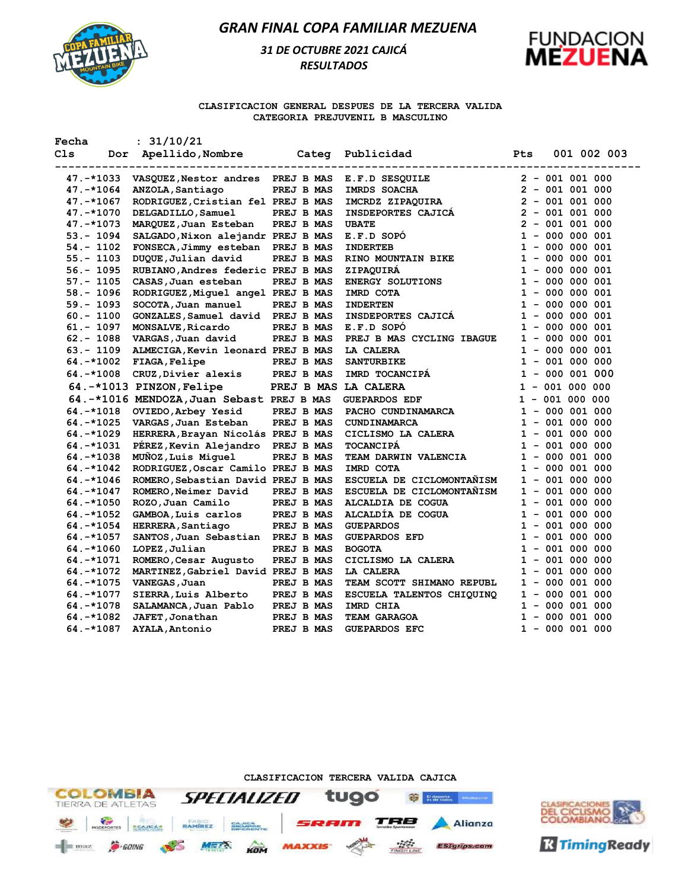

## *31 DE OCTUBRE 2021 CAJICÁ RESULTADOS*



#### **CLASIFICACION GENERAL DESPUES DE LA TERCERA VALIDA CATEGORIA PREJUVENIL B MASCULINO**

| Fecha        | : 31/10/21                                |                      |                                           |                           |
|--------------|-------------------------------------------|----------------------|-------------------------------------------|---------------------------|
| Cls          | Dor Apellido, Nombre                      | ------------------   | Categ Publicidad<br>--------------------- | <b>Pts</b><br>001 002 003 |
| 47.-*1033    | VASQUEZ, Nestor andres PREJ B MAS         |                      | E.F.D SESQUILE                            | $2 - 001 001 000$         |
| 47.-*1064    | ANZOLA, Santiago                          | PREJ B MAS           | IMRDS SOACHA                              | $2 - 001 001 000$         |
| 47.-*1067    | RODRIGUEZ, Cristian fel PREJ B MAS        |                      | IMCRDZ ZIPAQUIRA                          | $2 - 001 001 000$         |
| 47.-*1070    | DELGADILLO, Samuel                        | <b>PREJ B MAS</b>    | <b>INSDEPORTES CAJICA</b>                 | $2 - 001 001 000$         |
| 47. -*1073   | MARQUEZ, Juan Esteban                     | PREJ B MAS           | <b>UBATE</b>                              | $2 - 001 001 000$         |
| $53 - 1094$  | SALGADO, Nixon alejandr PREJ B MAS        |                      | E.F.D SOPO                                | $1 - 000 000 001$         |
| 54.- 1102    | FONSECA, Jimmy esteban PREJ B MAS         |                      | <b>INDERTEB</b>                           | $1 - 000 000 001$         |
| 55.- 1103    | DUQUE, Julian david                       | PREJ B MAS           | RINO MOUNTAIN BIKE                        | $1 - 000 000 001$         |
| $56. - 1095$ | RUBIANO, Andres federic PREJ B MAS        |                      | ZIPAQUIRA                                 | $1 - 000 000 001$         |
| 57.- 1105    | CASAS, Juan esteban                       | PREJ B MAS           | ENERGY SOLUTIONS                          | $1 - 000 000 001$         |
| $58. - 1096$ | RODRIGUEZ, Miguel angel PREJ B MAS        |                      | IMRD COTA                                 | $1 - 000 000 001$         |
| $59. - 1093$ | SOCOTA, Juan manuel                       | PREJ B MAS           | <b>INDERTEN</b>                           | $1 - 000 000 001$         |
| $60.-1100$   | GONZALES, Samuel david PREJ B MAS         |                      | INSDEPORTES CAJICÁ                        | $1 - 000 000 001$         |
| 61.- 1097    | <b>MONSALVE, Ricardo</b>                  | PREJ B MAS           | E.F.D SOPO                                | $1 - 000 000 001$         |
| $62 - 1088$  | VARGAS, Juan david                        | PREJ B MAS           | PREJ B MAS CYCLING IBAGUE                 | $1 - 000 000 001$         |
| 63.- 1109    | ALMECIGA, Kevin leonard PREJ B MAS        |                      | LA CALERA                                 | $1 - 000 000 001$         |
| $64. -*1002$ | FIAGA, Felipe                             | PREJ B MAS           | <b>SANTURBIKE</b>                         | $1 - 001 000 000$         |
| $64.-*1008$  | CRUZ, Divier alexis                       | PREJ B MAS           | IMRD TOCANCIPA                            | $1 - 000001000$           |
|              | 64.-*1013 PINZON, Felipe                  | PREJ B MAS LA CALERA |                                           | $1 - 001 000 000$         |
|              | 64.-*1016 MENDOZA, Juan Sebast PREJ B MAS |                      | <b>GUEPARDOS EDF</b>                      | $1 - 001 000 000$         |
| 64.-*1018    | OVIEDO, Arbey Yesid                       | PREJ B MAS           | PACHO CUNDINAMARCA                        | $1 - 000 001 000$         |
| 64. -*1025   | VARGAS, Juan Esteban                      | PREJ B MAS           | <b>CUNDINAMARCA</b>                       | $1 - 001 000 000$         |
| 64.-*1029    | HERRERA, Brayan Nicolás PREJ B MAS        |                      | CICLISMO LA CALERA                        | $1 - 001 000 000$         |
| $64. -*1031$ | PÉREZ, Kevin Alejandro PREJ B MAS         |                      | <b>TOCANCIPA</b>                          | $1 - 001 000 000$         |
| 64.-*1038    | MUÑOZ, Luis Miquel                        | PREJ B MAS           | TEAM DARWIN VALENCIA                      | $1 - 000 001 000$         |
| 64.-*1042    | RODRIGUEZ, Oscar Camilo PREJ B MAS        |                      | IMRD COTA                                 | $1 - 000 001 000$         |
| 64.-*1046    | ROMERO, Sebastian David PREJ B MAS        |                      | ESCUELA DE CICLOMONTANISM                 | $1 - 001 000 000$         |
| 64.-*1047    | ROMERO, Neimer David                      | PREJ B MAS           | ESCUELA DE CICLOMONTAÑISM                 | $1 - 001 000 000$         |
| $64.-*1050$  | ROZO, Juan Camilo                         | PREJ B MAS           | ALCALDIA DE COGUA                         | $1 - 001 000 000$         |
| 64. -*1052   | GAMBOA,Luis carlos                        | PREJ B MAS           | ALCALDIA DE COGUA                         | $1 - 001 000 000$         |
| $64. -*1054$ | HERRERA, Santiago                         | PREJ B MAS           | <b>GUEPARDOS</b>                          | $1 - 001 000 000$         |
| $64. -*1057$ | SANTOS, Juan Sebastian PREJ B MAS         |                      | <b>GUEPARDOS EFD</b>                      | $1 - 001 000 000$         |
| 64.-*1060    | LOPEZ, Julian                             | PREJ B MAS           | <b>BOGOTA</b>                             | $1 - 001 000 000$         |
| $64. -*1071$ | ROMERO, Cesar Augusto                     | PREJ B MAS           | CICLISMO LA CALERA                        | $1 - 001 000 000$         |
| 64.-*1072    | MARTINEZ, Gabriel David PREJ B MAS        |                      | LA CALERA                                 | $1 - 001 000 000$         |
| $64. -*1075$ | VANEGAS, Juan                             | PREJ B MAS           | TEAM SCOTT SHIMANO REPUBL                 | $1 - 000001000$           |
| 64.-*1077    | SIERRA, Luis Alberto                      | PREJ B MAS           | ESCUELA TALENTOS CHIQUINQ                 | $1 - 000 001 000$         |
| $64. -*1078$ | SALAMANCA, Juan Pablo                     | PREJ B MAS           | IMRD CHIA                                 | $1 - 000 001 000$         |
| $64. -*1082$ | JAFET,Jonathan                            | PREJ B MAS           | TEAM GARAGOA                              | $1 - 000 001 000$         |
| 64.-*1087    | <b>AYALA, Antonio</b>                     | PREJ B MAS           | <b>GUEPARDOS EFC</b>                      | $1 - 000001000$           |

**CLASIFICACION TERCERA VALIDA CAJICA**



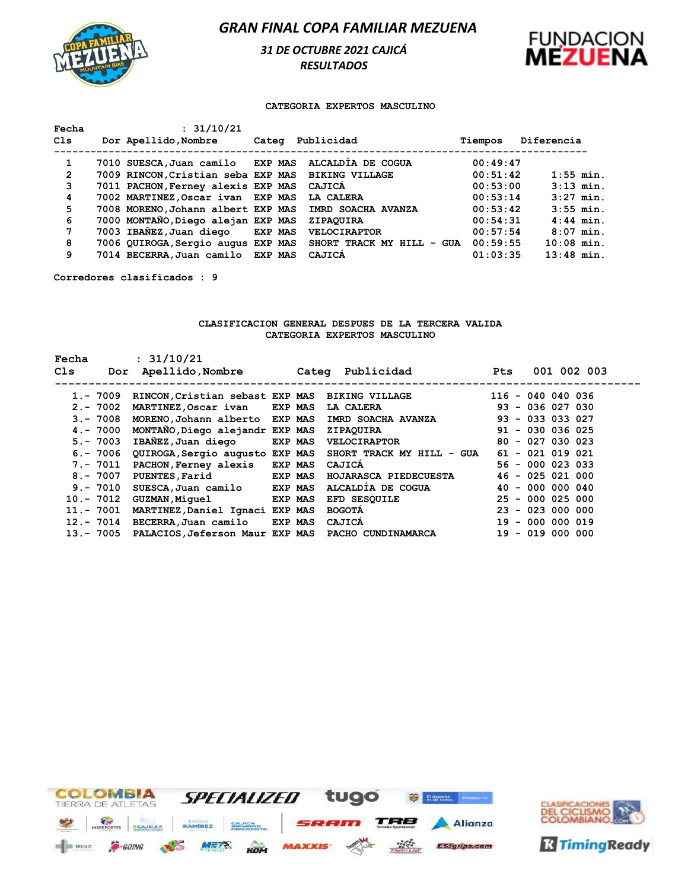

*31 DE OCTUBRE 2021 CAJICÁ RESULTADOS* 



#### **CATEGORIA EXPERTOS MASCULINO**

| Fecha<br>Cls   | : 31/10/21<br>Dor Apellido, Nombre                |                |                              |          | Diferencia   |
|----------------|---------------------------------------------------|----------------|------------------------------|----------|--------------|
|                |                                                   |                | Categ Publicidad             | Tiempos  |              |
| 1              | 7010 SUESCA, Juan camilo EXP MAS                  |                | ALCALDIA DE COGUA            | 00:49:47 |              |
| $\overline{2}$ | 7009 RINCON, Cristian seba EXP MAS BIKING VILLAGE |                |                              | 00:51:42 | $1:55$ min.  |
| 3              | 7011 PACHON, Ferney alexis EXP MAS                |                | CAJICA                       | 00:53:00 | $3:13$ min.  |
| 4              | 7002 MARTINEZ, Oscar ivan EXP MAS                 |                | LA CALERA                    | 00:53:14 | $3:27$ min.  |
| 5              | 7008 MORENO, Johann albert EXP MAS                |                | IMRD SOACHA AVANZA           | 00:53:42 | $3:55$ min.  |
| 6              | 7000 MONTAÑO, Diego alejan EXP MAS                |                | ZIPAOUIRA                    | 00:54:31 | $4:44$ min.  |
| 7              | 7003 IBAÑEZ, Juan diego                           | <b>EXP MAS</b> | <b>VELOCIRAPTOR</b>          | 00:57:54 | $8:07$ min.  |
| 8              | 7006 QUIROGA, Sergio augus EXP MAS                |                | SHORT TRACK MY HILL<br>- GUA | 00:59:55 | $10:08$ min. |
| 9              | 7014 BECERRA, Juan camilo EXP MAS                 |                | CAJICA                       | 01:03:35 | $13:48$ min. |

**Corredores clasificados : 9**

### **CLASIFICACION GENERAL DESPUES DE LA TERCERA VALIDA CATEGORIA EXPERTOS MASCULINO**

| Fecha<br>C1s | : 31/10/21<br>Apellido,Nombre<br>Dor               |                | Categ Publicidad          | Pts | 001 002 003         |
|--------------|----------------------------------------------------|----------------|---------------------------|-----|---------------------|
| $1. - 7009$  | RINCON, Cristian sebast EXP MAS BIKING VILLAGE     |                |                           |     | $116 - 040 040 036$ |
| $2 - 7002$   | MARTINEZ, Oscar ivan EXP MAS                       |                | LA CALERA                 |     | $93 - 036 027 030$  |
| $3 - 7008$   | MORENO, Johann alberto EXP MAS                     |                | IMRD SOACHA AVANZA        |     | $93 - 033 033 027$  |
| 4. - 7000    | MONTANO, Diego alejandr EXP MAS                    |                | <b>ZIPAQUIRA</b>          |     | $91 - 030$ 036 025  |
| $5. - 7003$  | IBAÑEZ, Juan diego                                 | <b>EXP MAS</b> | VELOCIRAPTOR              |     | $80 - 027 030 023$  |
|              | 6. - 7006 QUIROGA, Sergio augusto EXP MAS          |                | SHORT TRACK MY HILL - GUA |     | $61 - 021 019 021$  |
| 7.- 7011     | PACHON, Ferney alexis EXP MAS                      |                | CAJICA                    |     | $56 - 000 023 033$  |
| 8.- 7007     | <b>PUENTES, Farid</b>                              | EXP MAS        | HOJARASCA PIEDECUESTA     |     | $46 - 025 021 000$  |
| $9. - 7010$  | SUESCA, Juan camilo EXP MAS                        |                | ALCALDÍA DE COGUA         |     | $40 - 000 000 040$  |
| 10.- 7012    | <b>GUZMAN, Miquel</b>                              | <b>EXP MAS</b> | EFD SESOUILE              |     | $25 - 000 025 000$  |
| 11.- 7001    | MARTINEZ, Daniel Ignaci EXP MAS                    |                | <b>BOGOTA</b>             |     | $23 - 023000000$    |
| 12.- 7014    | BECERRA, Juan camilo EXP MAS                       |                | CAJICA                    |     | $19 - 000 000 019$  |
| 13.- 7005    | PALACIOS, Jeferson Maur EXP MAS PACHO CUNDINAMARCA |                |                           |     | $19 - 019 000 000$  |



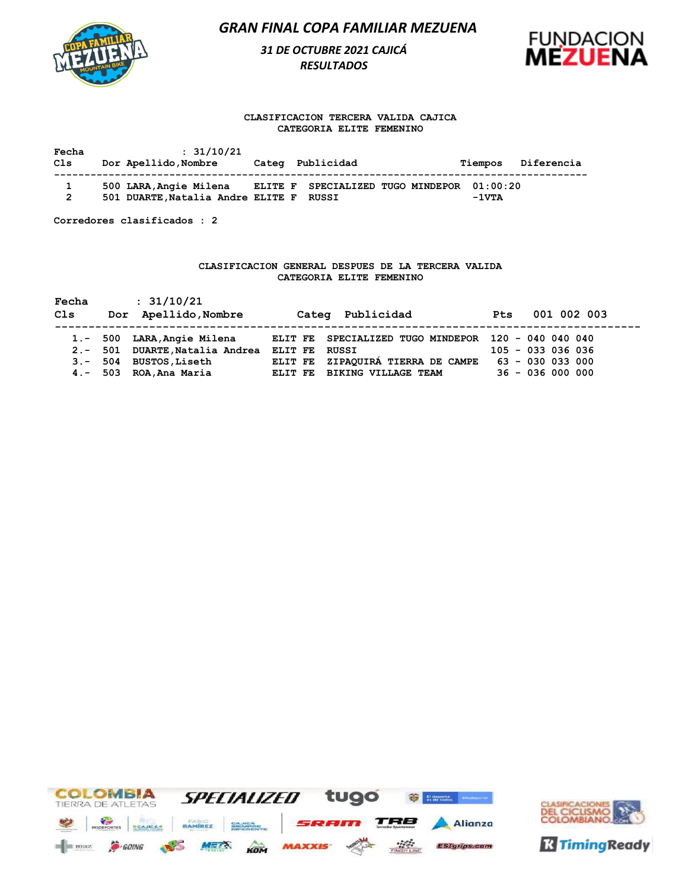# *31 DE OCTUBRE 2021 CAJICÁ RESULTADOS*



### **CLASIFICACION TERCERA VALIDA CAJICA CATEGORIA ELITE FEMENINO**

| Fecha  | : 31/10/21                                                        | Categ Publicidad                           | Diferencia      |
|--------|-------------------------------------------------------------------|--------------------------------------------|-----------------|
| Cls    | Dor Apellido, Nombre                                              |                                            | Tiempos         |
| 1<br>2 | 500 LARA, Angie Milena<br>501 DUARTE, Natalia Andre ELITE F RUSSI | ELITE F SPECIALIZED TUGO MINDEPOR 01:00:20 | $-1 \nabla T A$ |

**Corredores clasificados : 2**

### **CLASIFICACION GENERAL DESPUES DE LA TERCERA VALIDA CATEGORIA ELITE FEMENINO**

| Fecha                                                    | : 31/10/21                                                                              | Categ Publicidad                                                                                                                                            | 001 002 003                                                     |
|----------------------------------------------------------|-----------------------------------------------------------------------------------------|-------------------------------------------------------------------------------------------------------------------------------------------------------------|-----------------------------------------------------------------|
| Cls                                                      | Dor Apellido, Nombre                                                                    |                                                                                                                                                             | <b>Pts</b>                                                      |
| $1. - 500$<br>$2 - 501$<br>504<br>$3 -$<br>503<br>$4. -$ | LARA, Angie Milena<br>DUARTE, Natalia Andrea<br><b>BUSTOS, Liseth</b><br>ROA, Ana Maria | SPECIALIZED TUGO MINDEPOR 120 - 040 040 040<br>ELIT FE<br>ELIT FE<br>RUSSI<br>ZIPAQUIRÁ TIERRA DE CAMPE<br>ELIT FE<br><b>BIKING VILLAGE TEAM</b><br>ELIT FE | $105 - 033 036 036$<br>$63 - 030$ 033 000<br>$36 - 036 000 000$ |



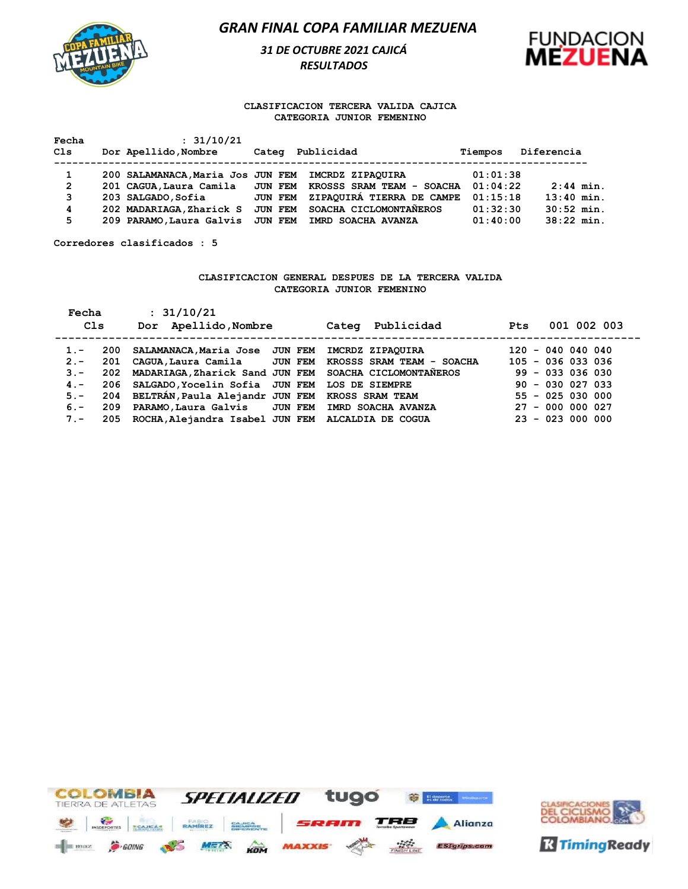

*31 DE OCTUBRE 2021 CAJICÁ RESULTADOS* 



#### **CLASIFICACION TERCERA VALIDA CAJICA CATEGORIA JUNIOR FEMENINO**

| Fecha          | : 31/10/21               |                                                                    |          |              |
|----------------|--------------------------|--------------------------------------------------------------------|----------|--------------|
| Cls            | Dor Apellido, Nombre     | Publicidad<br>Categ                                                | Tiempos  | Diferencia   |
|                |                          |                                                                    |          |              |
|                |                          | 200 SALAMANACA.Maria Jos JUN FEM IMCRDZ ZIPAOUIRA                  | 01:01:38 |              |
| $\overline{2}$ |                          | 201 CAGUA, Laura Camila JUN FEM KROSSS SRAM TEAM - SOACHA 01:04:22 |          | $2:44$ min.  |
| 3              | 203 SALGADO, Sofia       | ZIPAQUIRA TIERRA DE CAMPE<br><b>JUN FEM</b>                        | 01:15:18 | $13:40$ min. |
| 4              | 202 MADARIAGA, Zharick S | JUN FEM SOACHA CICLOMONTANEROS                                     | 01:32:30 | $30:52$ min. |
| 5              | 209 PARAMO, Laura Galvis | JUN FEM IMRD SOACHA AVANZA                                         | 01:40:00 | $38:22$ min. |

**Corredores clasificados : 5**

#### **CLASIFICACION GENERAL DESPUES DE LA TERCERA VALIDA CATEGORIA JUNIOR FEMENINO**

| Fecha<br>Cls | : 31/10/21<br>Dor Apellido, Nombre                         | Categ Publicidad | <b>Pts</b>          | 001 002 003 |
|--------------|------------------------------------------------------------|------------------|---------------------|-------------|
| $1 -$        | 200 SALAMANACA, Maria Jose JUN FEM                         | IMCRDZ ZIPAQUIRA | $120 - 0400040040$  |             |
| $2 -$        | 201 CAGUA, Laura Camila JUN FEM KROSSS SRAM TEAM - SOACHA  |                  | $105 - 036 033 036$ |             |
| $3 -$        | 202 MADARIAGA, Zharick Sand JUN FEM SOACHA CICLOMONTAÑEROS |                  | $99 - 033 036 030$  |             |
| $4 -$        | 206 SALGADO, Yocelin Sofia JUN FEM LOS DE SIEMPRE          |                  | $90 - 030 027 033$  |             |
| $5. -$       | 204 BELTRAN, Paula Alejandr JUN FEM KROSS SRAM TEAM        |                  | $55 - 025 030 000$  |             |
| $6 -$        | 209 PARAMO, Laura Galvis JUN FEM IMRD SOACHA AVANZA        |                  | $27 - 000 000 027$  |             |
| $7 -$        | 205 ROCHA, Alejandra Isabel JUN FEM ALCALDIA DE COGUA      |                  | $23 - 023000000$    |             |



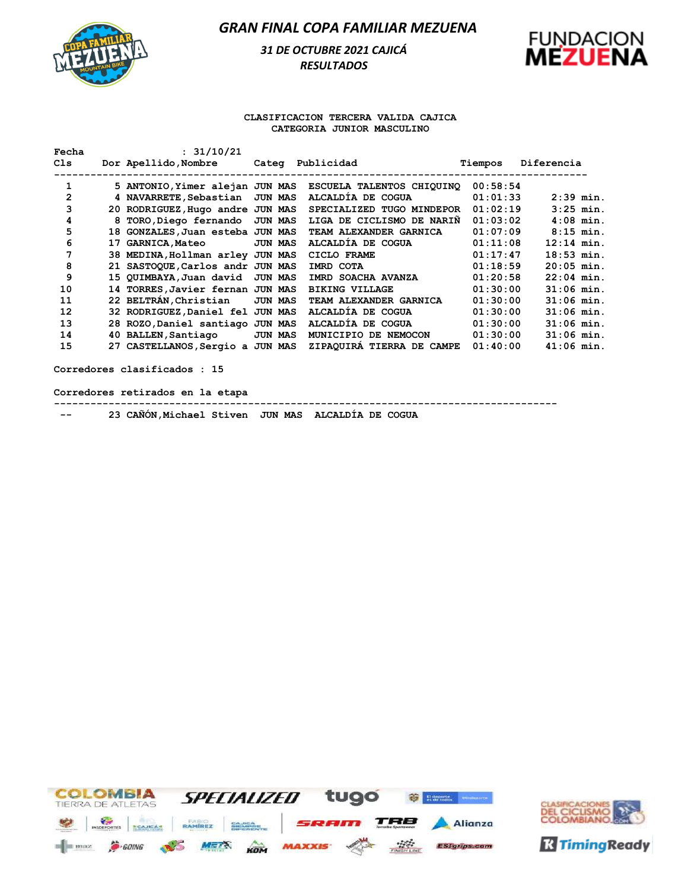

# *31 DE OCTUBRE 2021 CAJICÁ RESULTADOS*



### **CLASIFICACION TERCERA VALIDA CAJICA CATEGORIA JUNIOR MASCULINO**

| Fecha | : 31/10/21                       |                |                           |          |              |
|-------|----------------------------------|----------------|---------------------------|----------|--------------|
| Cls   | Dor Apellido, Nombre             |                | Categ Publicidad          | Tiempos  | Diferencia   |
| 1     | 5 ANTONIO, Yimer alejan JUN MAS  |                | ESCUELA TALENTOS CHIQUINO | 00:58:54 |              |
| 2     | 4 NAVARRETE, Sebastian JUN MAS   |                | ALCALDÍA DE COGUA         | 01:01:33 | $2:39$ min.  |
| 3     | 20 RODRIGUEZ, Hugo andre JUN MAS |                | SPECIALIZED TUGO MINDEPOR | 01:02:19 | $3:25$ min.  |
| 4     | 8 TORO, Diego fernando JUN MAS   |                | LIGA DE CICLISMO DE NARIÑ | 01:03:02 | $4:08$ min.  |
| 5     | 18 GONZALES, Juan esteba JUN MAS |                | TEAM ALEXANDER GARNICA    | 01:07:09 | $8:15$ min.  |
| 6     | <b>17 GARNICA, Mateo</b>         | <b>JUN MAS</b> | ALCALDÍA DE COGUA         | 01:11:08 | $12:14$ min. |
| 7     | 38 MEDINA, Hollman arley JUN MAS |                | CICLO FRAME               | 01:17:47 | $18:53$ min. |
| 8     | 21 SASTOQUE, Carlos andr JUN MAS |                | IMRD COTA                 | 01:18:59 | $20:05$ min. |
| 9     | 15 QUIMBAYA, Juan david JUN MAS  |                | IMRD SOACHA AVANZA        | 01:20:58 | $22:04$ min. |
| 10    | 14 TORRES, Javier fernan JUN MAS |                | <b>BIKING VILLAGE</b>     | 01:30:00 | $31:06$ min. |
| 11    | 22 BELTRÁN, Christian            | <b>JUN MAS</b> | TEAM ALEXANDER GARNICA    | 01:30:00 | $31:06$ min. |
| 12    | 32 RODRIGUEZ, Daniel fel JUN MAS |                | ALCALDIA DE COGUA         | 01:30:00 | $31:06$ min. |
| 13    | 28 ROZO, Daniel santiago JUN MAS |                | ALCALDIA DE COGUA         | 01:30:00 | $31:06$ min. |
| 14    | 40 BALLEN, Santiago              | <b>JUN MAS</b> | MUNICIPIO DE NEMOCON      | 01:30:00 | $31:06$ min. |
| 15    | 27 CASTELLANOS, Sergio a JUN MAS |                | ZIPAQUIRÁ TIERRA DE CAMPE | 01:40:00 | $41:06$ min. |
|       |                                  |                |                           |          |              |

**Corredores clasificados : 15**

**Corredores retirados en la etapa**

**-----------------------------------------------------------------------------------**

 **-- 23 CAÑÓN,Michael Stiven JUN MAS ALCALDÍA DE COGUA** 



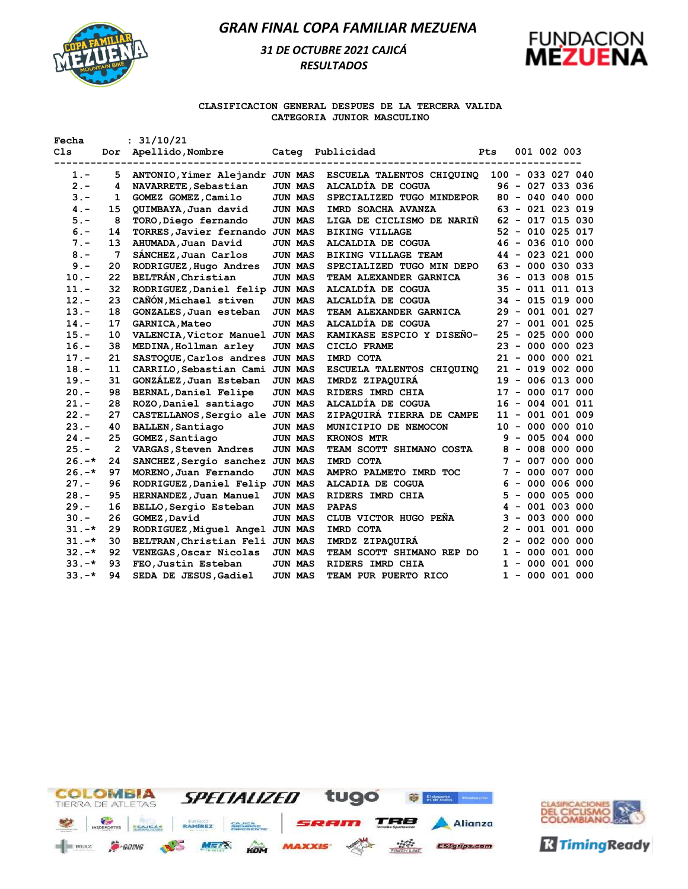

# *31 DE OCTUBRE 2021 CAJICÁ RESULTADOS*



### **CLASIFICACION GENERAL DESPUES DE LA TERCERA VALIDA CATEGORIA JUNIOR MASCULINO**

| Fecha    |     | : 31/10/21                      |                |                            |     |                      |
|----------|-----|---------------------------------|----------------|----------------------------|-----|----------------------|
| Cls      | Dor | Apellido, Nombre                |                | Categ Publicidad           | Pts | 001 002 003          |
| $1. -$   | 5   | ANTONIO, Yimer Alejandr JUN MAS |                | ESCUELA TALENTOS CHIQUINQ  |     | $100 - 033 027 040$  |
| $2 -$    | 4   | NAVARRETE, Sebastian            | JUN MAS        | ALCALDÍA DE COGUA          |     | 96 - 027 033 036     |
| $3 -$    | 1   | GOMEZ GOMEZ, Camilo             | <b>JUN MAS</b> | SPECIALIZED TUGO MINDEPOR  |     | $80 - 040 040 000$   |
| $4 -$    | 15  | QUIMBAYA, Juan david            | <b>JUN MAS</b> | IMRD SOACHA AVANZA         |     | $63 - 021 023 019$   |
| $5. -$   | 8   | TORO, Diego fernando            | <b>JUN MAS</b> | LIGA DE CICLISMO DE NARIÑ  |     | $62 - 017$ 015 030   |
| $6. -$   | 14  | TORRES, Javier fernando JUN MAS |                | <b>BIKING VILLAGE</b>      |     | $52 - 010 025 017$   |
| $7 -$    | 13  | AHUMADA, Juan David             | <b>JUN MAS</b> | ALCALDIA DE COGUA          |     | $46 - 036 010 000$   |
| $8 -$    | 7   | SÁNCHEZ, Juan Carlos            | <b>JUN MAS</b> | <b>BIKING VILLAGE TEAM</b> |     | $44 - 023 021 000$   |
| $9 -$    | 20  | RODRIGUEZ, Hugo Andres          | <b>JUN MAS</b> | SPECIALIZED TUGO MIN DEPO  |     | 63 - 000 030 033     |
| $10. -$  | 22  | BELTRÁN, Christian              | <b>JUN MAS</b> | TEAM ALEXANDER GARNICA     |     | $36 - 013 008 015$   |
| $11. -$  | 32  | RODRIGUEZ, Daniel felip JUN MAS |                | ALCALDÍA DE COGUA          |     | 35 - 011 011 013     |
| $12 -$   | 23  | CAÑÓN, Michael stiven           | <b>JUN MAS</b> | ALCALDÍA DE COGUA          |     | $34 - 015 019 000$   |
| $13. -$  | 18  | GONZALES, Juan esteban          | <b>JUN MAS</b> | TEAM ALEXANDER GARNICA     |     | $29 - 001 001 027$   |
| $14. -$  | 17  | <b>GARNICA, Mateo</b>           | <b>JUN MAS</b> | ALCALDÍA DE COGUA          |     | 27 - 001 001 025     |
| $15. -$  | 10  | VALENCIA, Victor Manuel JUN MAS |                | KAMIKASE ESPCIO Y DISENO-  |     | $25 - 025 000 000$   |
| $16. -$  | 38  | MEDINA, Hollman arley           | <b>JUN MAS</b> | CICLO FRAME                |     | $23 - 000 000 023$   |
| $17. -$  | 21  | SASTOQUE, Carlos andres JUN MAS |                | IMRD COTA                  |     | $21 - 000 000 021$   |
| $18. -$  | 11  | CARRILO, Sebastian Cami JUN MAS |                | ESCUELA TALENTOS CHIQUINO  |     | $21 - 019 002 000$   |
| $19. -$  | 31  | GONZÁLEZ, Juan Esteban          | <b>JUN MAS</b> | IMRDZ ZIPAQUIRA            |     | $19 - 006 013 000$   |
| $20. -$  | 98  | <b>BERNAL, Daniel Felipe</b>    | <b>JUN MAS</b> | RIDERS IMRD CHIA           |     | $17 - 000 017 000$   |
| $21. -$  | 28  | ROZO, Daniel santiago           | <b>JUN MAS</b> | ALCALDÍA DE COGUA          |     | $16 - 004 001 011$   |
| $22 -$   | 27  | CASTELLANOS, Sergio ale JUN MAS |                | ZIPAQUIRÁ TIERRA DE CAMPE  |     | $11 - 001 001 009$   |
| $23 -$   | 40  | <b>BALLEN, Santiago</b>         | <b>JUN MAS</b> | MUNICIPIO DE NEMOCON       |     | $10 - 000 000 010$   |
| $24. -$  | 25  | GOMEZ, Santiago                 | <b>JUN MAS</b> | <b>KRONOS MTR</b>          |     | $9 - 005 004 000$    |
| $25. -$  | 2   | VARGAS, Steven Andres           | <b>JUN MAS</b> | TEAM SCOTT SHIMANO COSTA   |     | $8 - 008 000 000$    |
| $26. -*$ | 24  | SANCHEZ, Sergio sanchez JUN MAS |                | IMRD COTA                  |     | 007 000 000<br>$7 -$ |
| $26. -*$ | 97  | MORENO, Juan Fernando           | <b>JUN MAS</b> | AMPRO PALMETO IMRD TOC     |     | 000 007 000<br>$7 -$ |
| $27 -$   | 96  | RODRIGUEZ, Daniel Felip JUN MAS |                | ALCADIA DE COGUA           | 6   | $-000006000$         |
| $28. -$  | 95  | HERNANDEZ, Juan Manuel          | <b>JUN MAS</b> | RIDERS IMRD CHIA           |     | $5 - 000 005 000$    |
| $29. -$  | 16  | BELLO, Sergio Esteban           | JUN MAS        | <b>PAPAS</b>               |     | $4 - 001 003 000$    |
| $30 -$   | 26  | GOMEZ, David                    | JUN MAS        | CLUB VICTOR HUGO PENA      |     | $3 - 003 000 000$    |
| $31. -*$ | 29  | RODRIGUEZ, Miguel Angel JUN MAS |                | IMRD COTA                  |     | $2 - 001 001 000$    |
| $31. -*$ | 30  | BELTRAN, Christian Feli JUN MAS |                | IMRDZ ZIPAQUIRA            |     | $2 - 002 000 000$    |
| $32. -*$ | 92  | VENEGAS, Oscar Nicolas          | <b>JUN MAS</b> | TEAM SCOTT SHIMANO REP DO  |     | $1 - 000001000$      |
| $33. -*$ | 93  | FEO, Justin Esteban             | <b>JUN MAS</b> | RIDERS IMRD CHIA           |     | $1 - 000001000$      |
| $33. -*$ | 94  | SEDA DE JESUS, Gadiel           | <b>JUN MAS</b> | TEAM PUR PUERTO RICO       |     | $1 - 000001000$      |



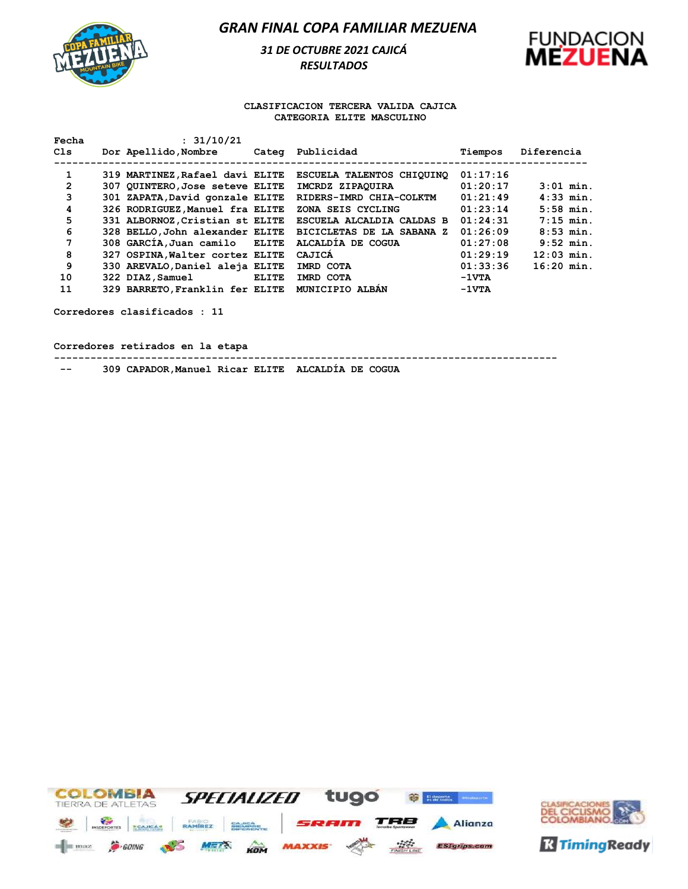

*31 DE OCTUBRE 2021 CAJICÁ RESULTADOS* 



#### **CLASIFICACION TERCERA VALIDA CAJICA CATEGORIA ELITE MASCULINO**

| : 31/10/21 |                                                                     |                                                                                                                                                                                                                                                                                                                                         |                  | Diferencia   |
|------------|---------------------------------------------------------------------|-----------------------------------------------------------------------------------------------------------------------------------------------------------------------------------------------------------------------------------------------------------------------------------------------------------------------------------------|------------------|--------------|
|            |                                                                     |                                                                                                                                                                                                                                                                                                                                         |                  |              |
|            |                                                                     | <b>ESCUELA TALENTOS CHIOUINO</b>                                                                                                                                                                                                                                                                                                        | 01:17:16         |              |
|            |                                                                     | IMCRDZ ZIPAOUIRA                                                                                                                                                                                                                                                                                                                        | 01:20:17         | $3:01$ min.  |
|            |                                                                     | RIDERS-IMRD CHIA-COLKTM                                                                                                                                                                                                                                                                                                                 | 01:21:49         | $4:33$ min.  |
|            |                                                                     | ZONA SEIS CYCLING                                                                                                                                                                                                                                                                                                                       | 01:23:14         | $5:58$ min.  |
|            |                                                                     | ESCUELA ALCALDIA CALDAS B                                                                                                                                                                                                                                                                                                               | 01:24:31         | $7:15$ min.  |
|            |                                                                     | <b>BICICLETAS DE LA SABANA Z</b>                                                                                                                                                                                                                                                                                                        | 01:26:09         | $8:53$ min.  |
|            |                                                                     | ALCALDIA DE COGUA                                                                                                                                                                                                                                                                                                                       | 01:27:08         | $9:52$ min.  |
|            |                                                                     | CAJICA                                                                                                                                                                                                                                                                                                                                  | 01:29:19         | $12:03$ min. |
|            |                                                                     | IMRD COTA                                                                                                                                                                                                                                                                                                                               | 01:33:36         | $16:20$ min. |
|            | <b>ELITE</b>                                                        | IMRD COTA                                                                                                                                                                                                                                                                                                                               | $-1 \nabla T A$  |              |
|            |                                                                     | MUNICIPIO ALBAN                                                                                                                                                                                                                                                                                                                         | $-1VTA$          |              |
|            | Dor Apellido, Nombre<br>308 GARCIA, Juan camilo<br>322 DIAZ, Samuel | 319 MARTINEZ, Rafael davi ELITE<br>307 QUINTERO, Jose seteve ELITE<br>301 ZAPATA, David gonzale ELITE<br>326 RODRIGUEZ, Manuel fra ELITE<br>331 ALBORNOZ, Cristian st ELITE<br>328 BELLO, John alexander ELITE<br><b>ELITE</b><br>327 OSPINA, Walter cortez ELITE<br>330 AREVALO, Daniel aleja ELITE<br>329 BARRETO, Franklin fer ELITE | Categ Publicidad | Tiempos      |

**Corredores clasificados : 11**

**Corredores retirados en la etapa**

**-----------------------------------------------------------------------------------**

 **-- 309 CAPADOR,Manuel Ricar ELITE ALCALDÍA DE COGUA**